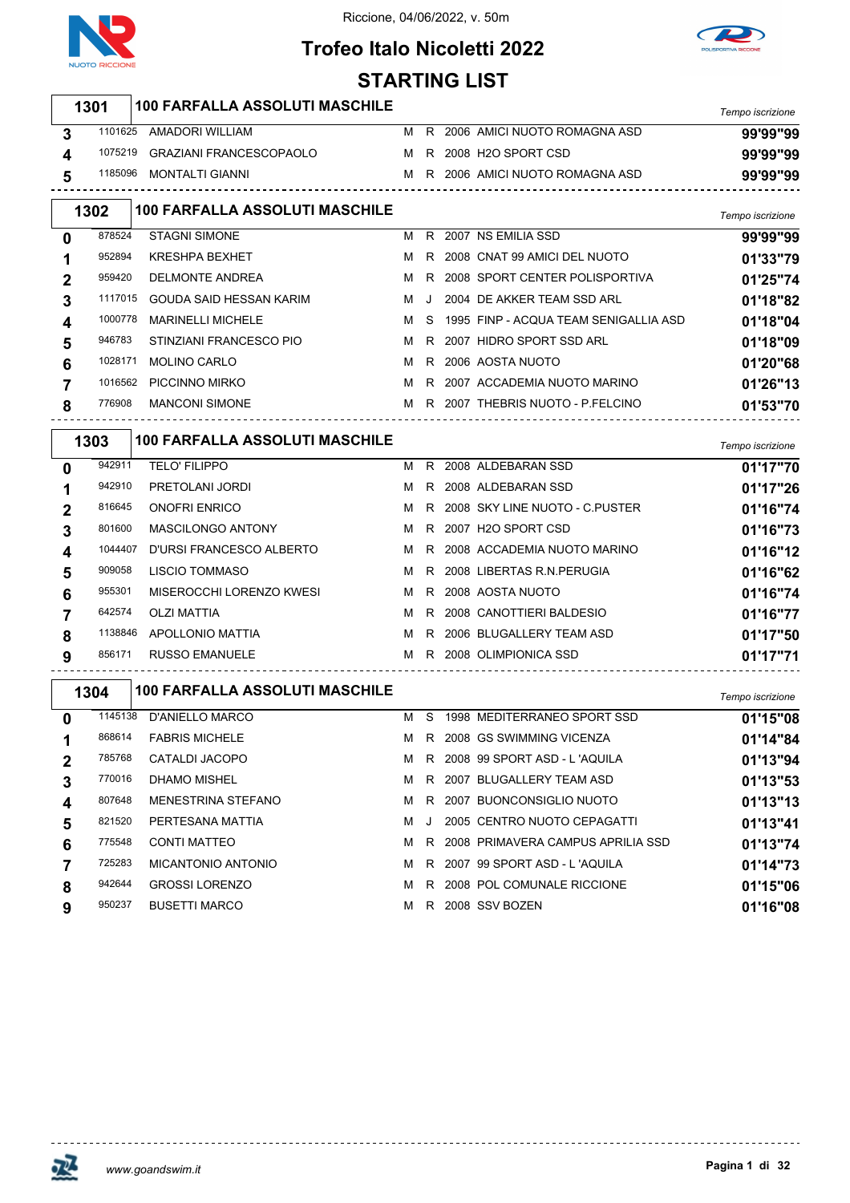



## **Trofeo Italo Nicoletti 2022 STARTING LIST**

|   | 1301    | <b>100 FARFALLA ASSOLUTI MASCHILE</b> |   |    |                                       |                  |
|---|---------|---------------------------------------|---|----|---------------------------------------|------------------|
|   |         |                                       |   |    |                                       | Tempo iscrizione |
| 3 |         | 1101625 AMADORI WILLIAM               |   |    | M R 2006 AMICI NUOTO ROMAGNA ASD      | 99'99"99         |
| 4 | 1075219 | GRAZIANI FRANCESCOPAOLO               |   |    | M R 2008 H2O SPORT CSD                | 99'99"99         |
| 5 | 1185096 | <b>MONTALTI GIANNI</b>                |   |    | M R 2006 AMICI NUOTO ROMAGNA ASD      | 99'99"99         |
|   | 1302    | <b>100 FARFALLA ASSOLUTI MASCHILE</b> |   |    |                                       | Tempo iscrizione |
| 0 | 878524  | <b>STAGNI SIMONE</b>                  |   |    | M R 2007 NS EMILIA SSD                | 99'99"99         |
| 1 | 952894  | <b>KRESHPA BEXHET</b>                 |   |    | M R 2008 CNAT 99 AMICI DEL NUOTO      | 01'33"79         |
| 2 | 959420  | <b>DELMONTE ANDREA</b>                |   |    | M R 2008 SPORT CENTER POLISPORTIVA    | 01'25"74         |
| 3 | 1117015 | GOUDA SAID HESSAN KARIM               | м | J  | 2004 DE AKKER TEAM SSD ARL            | 01'18"82         |
| 4 | 1000778 | <b>MARINELLI MICHELE</b>              | м | -S | 1995 FINP - ACQUA TEAM SENIGALLIA ASD | 01'18"04         |
| 5 | 946783  | STINZIANI FRANCESCO PIO               | M |    | R 2007 HIDRO SPORT SSD ARL            | 01'18"09         |
| 6 | 1028171 | <b>MOLINO CARLO</b>                   | м |    | R 2006 AOSTA NUOTO                    | 01'20"68         |
| 7 | 1016562 | PICCINNO MIRKO                        |   |    | M R 2007 ACCADEMIA NUOTO MARINO       | 01'26"13         |
| 8 | 776908  | <b>MANCONI SIMONE</b>                 |   |    | M R 2007 THEBRIS NUOTO - P.FELCINO    | 01'53"70         |
|   |         |                                       |   |    |                                       |                  |
|   | 1303    | <b>100 FARFALLA ASSOLUTI MASCHILE</b> |   |    |                                       | Tempo iscrizione |
| 0 | 942911  | <b>TELO' FILIPPO</b>                  |   |    | M R 2008 ALDEBARAN SSD                | 01'17"70         |
| 1 | 942910  | PRETOLANI JORDI                       |   |    | M R 2008 ALDEBARAN SSD                | 01'17"26         |
| 2 | 816645  | <b>ONOFRI ENRICO</b>                  |   |    | M R 2008 SKY LINE NUOTO - C.PUSTER    | 01'16"74         |
| 3 | 801600  | <b>MASCILONGO ANTONY</b>              |   |    | M R 2007 H2O SPORT CSD                | 01'16"73         |
| 4 | 1044407 | D'URSI FRANCESCO ALBERTO              | M | R. | 2008 ACCADEMIA NUOTO MARINO           | 01'16"12         |
| 5 | 909058  | LISCIO TOMMASO                        | M | R  | 2008 LIBERTAS R.N. PERUGIA            | 01'16"62         |
| 6 | 955301  | MISEROCCHI LORENZO KWESI              | M |    | R 2008 AOSTA NUOTO                    | 01'16"74         |
| 7 | 642574  | OLZI MATTIA                           | м |    | R 2008 CANOTTIERI BALDESIO            | 01'16"77         |
| 8 | 1138846 | APOLLONIO MATTIA                      |   |    | M R 2006 BLUGALLERY TEAM ASD          | 01'17"50         |
| 9 | 856171  | RUSSO EMANUELE                        |   |    | M R 2008 OLIMPIONICA SSD              | 01'17"71         |
|   |         |                                       |   |    |                                       |                  |
|   | 1304    | <b>100 FARFALLA ASSOLUTI MASCHILE</b> |   |    |                                       | Tempo iscrizione |
| 0 |         | 1145138 D'ANIELLO MARCO               |   |    | M S 1998 MEDITERRANEO SPORT SSD       | 01'15"08         |
| 1 | 868614  | <b>FABRIS MICHELE</b>                 |   |    | M R 2008 GS SWIMMING VICENZA          | 01'14"84         |
| 2 | 785768  | CATALDI JACOPO                        | м |    | R 2008 99 SPORT ASD - L'AQUILA        | 01'13"94         |
| 3 | 770016  | <b>DHAMO MISHEL</b>                   | м |    | R 2007 BLUGALLERY TEAM ASD            | 01'13"53         |
| 4 | 807648  | <b>MENESTRINA STEFANO</b>             | м |    | R 2007 BUONCONSIGLIO NUOTO            | 01'13"13         |
| 5 | 821520  | PERTESANA MATTIA                      | м | J  | 2005 CENTRO NUOTO CEPAGATTI           | 01'13"41         |
| 6 | 775548  | <b>CONTI MATTEO</b>                   | м |    | R 2008 PRIMAVERA CAMPUS APRILIA SSD   | 01'13"74         |
| 7 | 725283  | <b>MICANTONIO ANTONIO</b>             | м |    | R 2007 99 SPORT ASD - L'AQUILA        | 01'14"73         |
| 8 | 942644  | <b>GROSSI LORENZO</b>                 | м |    | R 2008 POL COMUNALE RICCIONE          | 01'15"06         |
| 9 | 950237  | <b>BUSETTI MARCO</b>                  |   |    | M R 2008 SSV BOZEN                    | 01'16"08         |



<u> - - - - - - - - - - - - -</u>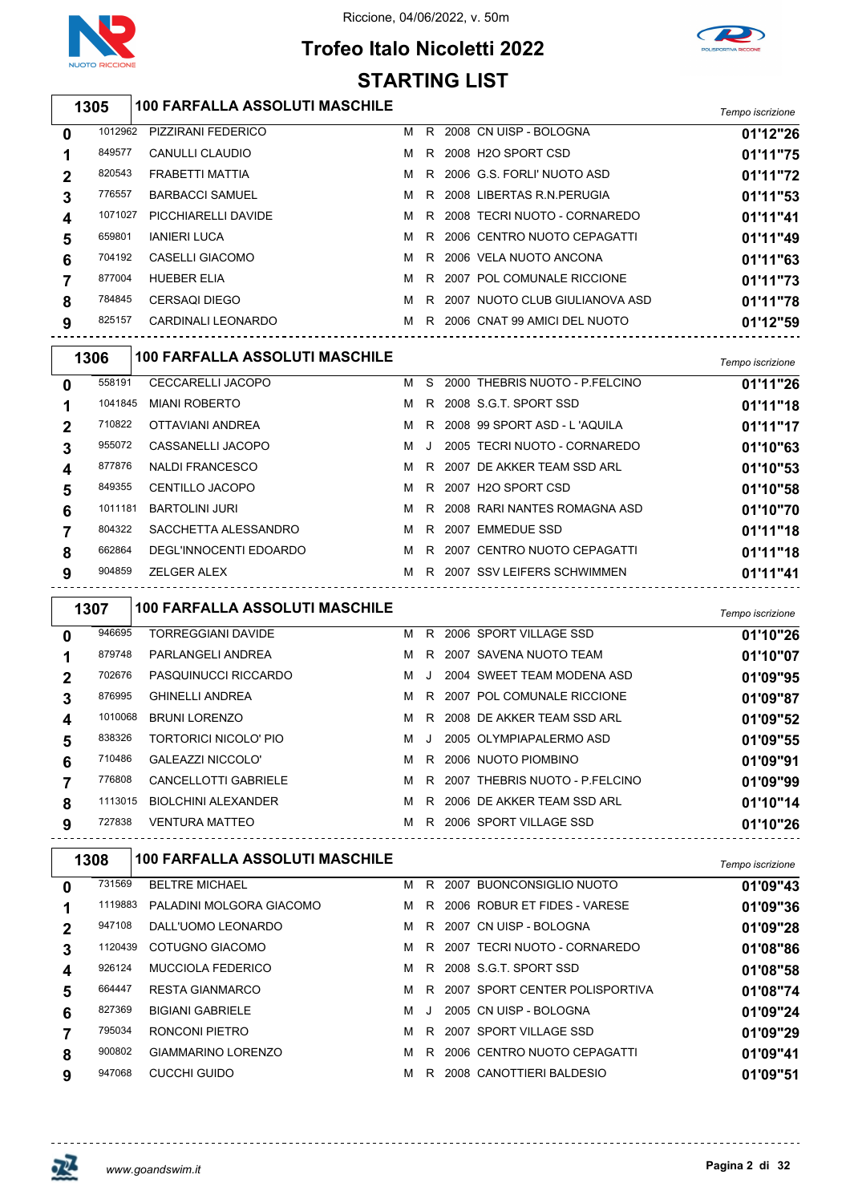

Riccione, 04/06/2022, v. 50m

## **Trofeo Italo Nicoletti 2022 STARTING LIST**



### *Tempo iscrizione* **100 FARFALLA ASSOLUTI MASCHILE** PIZZIRANI FEDERICO M R 2008 CN UISP - BOLOGNA **01'12"26** CANULLI CLAUDIO M R 2008 H2O SPORT CSD **01'11"75** FRABETTI MATTIA M R 2006 G.S. FORLI' NUOTO ASD **01'11"72**

|         |                        |   |    |                                  | <u>UIIII</u> |
|---------|------------------------|---|----|----------------------------------|--------------|
| 776557  | <b>BARBACCI SAMUEL</b> | м |    | R 2008 LIBERTAS R.N.PERUGIA      | 01'11"53     |
| 1071027 | PICCHIARELLI DAVIDE    | м |    | R 2008 TECRI NUOTO - CORNAREDO   | 01'11"41     |
| 659801  | <b>IANIERI LUCA</b>    | M |    | R 2006 CENTRO NUOTO CEPAGATTI    | 01'11"49     |
| 704192  | CASELLI GIACOMO        | м |    | R 2006 VELA NUOTO ANCONA         | 01'11"63     |
| 877004  | <b>HUEBER ELIA</b>     | M |    | R 2007 POL COMUNALE RICCIONE     | 01'11"73     |
| 784845  | <b>CERSAQI DIEGO</b>   | м |    | R 2007 NUOTO CLUB GIULIANOVA ASD | 01'11"78     |
| 825157  | CARDINALI LEONARDO     | м | R. | 2006 CNAT 99 AMICI DEL NUOTO     | 01'12"59     |
|         |                        |   |    |                                  |              |

|              | 1306    | <b>100 FARFALLA ASSOLUTI MASCHILE</b> |   |        |                                | Tempo iscrizione |
|--------------|---------|---------------------------------------|---|--------|--------------------------------|------------------|
| $\mathbf{0}$ | 558191  | <b>CECCARELLI JACOPO</b>              | м | S.     | 2000 THEBRIS NUOTO - P.FELCINO | 01'11"26         |
|              | 1041845 | <b>MIANI ROBERTO</b>                  | м |        | R 2008 S.G.T. SPORT SSD        | 01'11"18         |
|              | 710822  | OTTAVIANI ANDREA                      | м |        | R 2008 99 SPORT ASD - L'AQUILA | 01'11"17         |
| 3            | 955072  | CASSANELLI JACOPO                     | м | $\Box$ | 2005 TECRI NUOTO - CORNAREDO   | 01'10"63         |
| 4            | 877876  | <b>NALDI FRANCESCO</b>                | м |        | R 2007 DE AKKER TEAM SSD ARL   | 01'10"53         |
| 5            | 849355  | <b>CENTILLO JACOPO</b>                | м | R.     | 2007 H2O SPORT CSD             | 01'10"58         |
| 6            | 1011181 | <b>BARTOLINI JURI</b>                 | м |        | R 2008 RARI NANTES ROMAGNA ASD | 01'10"70         |
|              | 804322  | SACCHETTA ALESSANDRO                  | м | R      | 2007 EMMEDUE SSD               | 01'11"18         |
| 8            | 662864  | DEGL'INNOCENTI EDOARDO                | м |        | R 2007 CENTRO NUOTO CEPAGATTI  | 01'11"18         |
| 9            | 904859  | <b>ZELGER ALEX</b>                    | м |        | R 2007 SSV LEIFERS SCHWIMMEN   | 01'11"41         |

|   | 1307    | <b>100 FARFALLA ASSOLUTI MASCHILE</b> |   |         |                                | Tempo iscrizione |
|---|---------|---------------------------------------|---|---------|--------------------------------|------------------|
| 0 | 946695  | <b>TORREGGIANI DAVIDE</b>             | м | R.      | 2006 SPORT VILLAGE SSD         | 01'10"26         |
| 1 | 879748  | PARLANGELI ANDREA                     | м | R.      | 2007 SAVENA NUOTO TEAM         | 01'10"07         |
| 2 | 702676  | PASQUINUCCI RICCARDO                  | м | $\cdot$ | 2004 SWEET TEAM MODENA ASD     | 01'09"95         |
| 3 | 876995  | <b>GHINELLI ANDREA</b>                | м | R.      | 2007 POL COMUNALE RICCIONE     | 01'09"87         |
| 4 | 1010068 | <b>BRUNI LORENZO</b>                  | м | R       | 2008 DE AKKER TEAM SSD ARL     | 01'09"52         |
| 5 | 838326  | TORTORICI NICOLO' PIO                 | м | $\cdot$ | 2005 OLYMPIAPALERMO ASD        | 01'09"55         |
| 6 | 710486  | <b>GALEAZZI NICCOLO'</b>              | м | R       | 2006 NUOTO PIOMBINO            | 01'09"91         |
|   | 776808  | <b>CANCELLOTTI GABRIELE</b>           | м | R.      | 2007 THEBRIS NUOTO - P.FELCINO | 01'09"99         |
| 8 | 1113015 | <b>BIOLCHINI ALEXANDER</b>            | м | R.      | 2006 DE AKKER TEAM SSD ARL     | 01'10"14         |
| 9 | 727838  | <b>VENTURA MATTEO</b>                 | м | R       | 2006 SPORT VILLAGE SSD         | 01'10"26         |

|   | 1308    | <b>100 FARFALLA ASSOLUTI MASCHILE</b> |   |         |      |                                | Tempo iscrizione |
|---|---------|---------------------------------------|---|---------|------|--------------------------------|------------------|
| 0 | 731569  | <b>BELTRE MICHAEL</b>                 | м | R.      | 2007 | BUONCONSIGLIO NUOTO            | 01'09"43         |
|   | 1119883 | PALADINI MOLGORA GIACOMO              | м | R       |      | 2006 ROBUR ET FIDES - VARESE   | 01'09"36         |
|   | 947108  | DALL'UOMO LEONARDO                    | м |         |      | R 2007 CN UISP - BOLOGNA       | 01'09"28         |
| 3 | 1120439 | COTUGNO GIACOMO                       | м | R.      |      | 2007 TECRI NUOTO - CORNAREDO   | 01'08"86         |
| 4 | 926124  | <b>MUCCIOLA FEDERICO</b>              | м | R.      |      | 2008 S.G.T. SPORT SSD          | 01'08"58         |
| 5 | 664447  | <b>RESTA GIANMARCO</b>                | м | R.      |      | 2007 SPORT CENTER POLISPORTIVA | 01'08"74         |
| 6 | 827369  | <b>BIGIANI GABRIELE</b>               | м | $\cdot$ |      | 2005 CN UISP - BOLOGNA         | 01'09"24         |
|   | 795034  | RONCONI PIETRO                        | м | R.      |      | 2007 SPORT VILLAGE SSD         | 01'09"29         |
| 8 | 900802  | GIAMMARINO LORENZO                    | м | R.      |      | 2006 CENTRO NUOTO CEPAGATTI    | 01'09"41         |
| 9 | 947068  | CUCCHI GUIDO                          | м | R       |      | 2008 CANOTTIERI BALDESIO       | 01'09"51         |
|   |         |                                       |   |         |      |                                |                  |

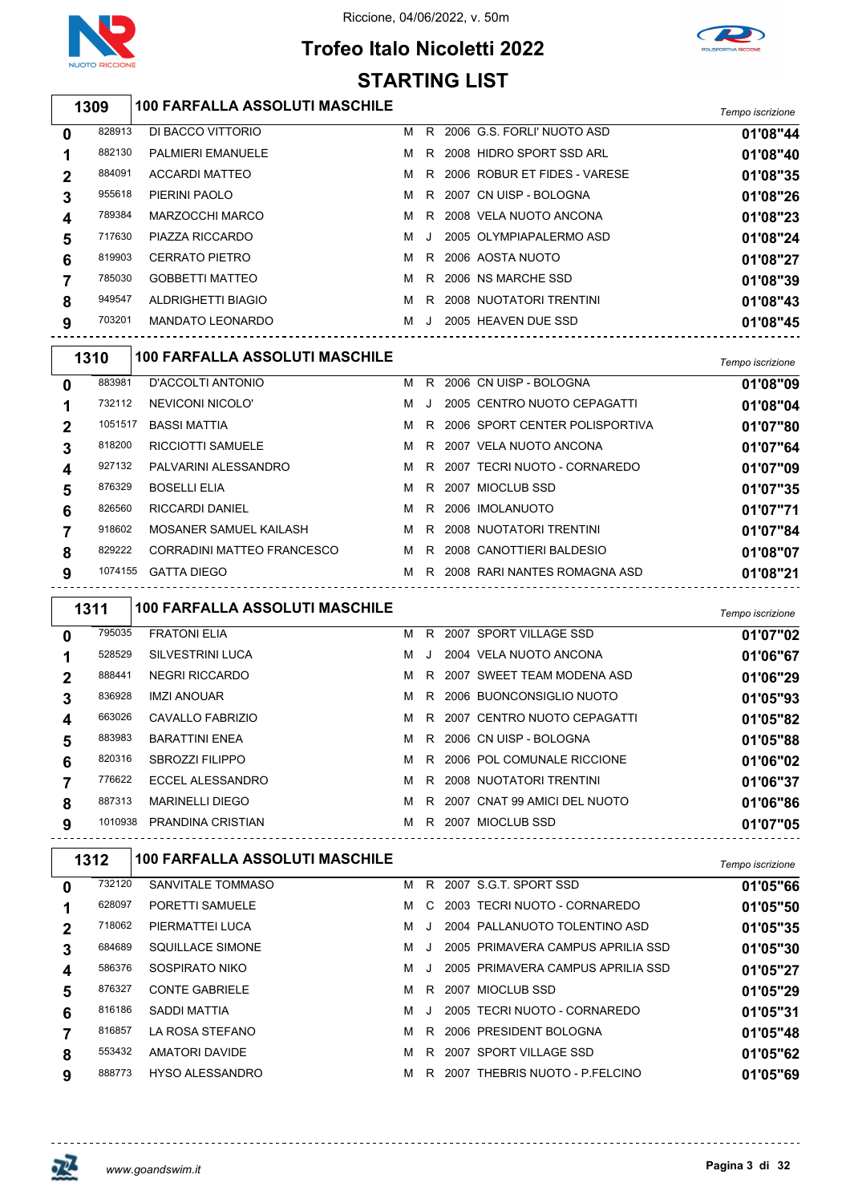





# **Trofeo Italo Nicoletti 2022 STARTING LIST**

## *Tempo iscrizione* **100 FARFALLA ASSOLUTI MASCHILE**

| 0 | 828913 | DI BACCO VITTORIO        | м |         | R 2006 G.S. FORLI' NUOTO ASD   | 01'08"44 |
|---|--------|--------------------------|---|---------|--------------------------------|----------|
|   | 882130 | <b>PALMIERI EMANUELE</b> | м | R       | 2008 HIDRO SPORT SSD ARL       | 01'08"40 |
| 2 | 884091 | <b>ACCARDI MATTEO</b>    | м |         | R 2006 ROBUR ET FIDES - VARESE | 01'08"35 |
| 3 | 955618 | PIERINI PAOLO            | м | R.      | 2007 CN UISP - BOLOGNA         | 01'08"26 |
|   | 789384 | MARZOCCHI MARCO          | м | R.      | 2008 VELA NUOTO ANCONA         | 01'08"23 |
| 5 | 717630 | PIAZZA RICCARDO          | м | $\cdot$ | 2005 OLYMPIAPALERMO ASD        | 01'08"24 |
| 6 | 819903 | <b>CERRATO PIETRO</b>    | м | R       | 2006 AOSTA NUOTO               | 01'08"27 |
|   | 785030 | <b>GOBBETTI MATTEO</b>   | м | R       | 2006 NS MARCHE SSD             | 01'08"39 |
| 8 | 949547 | ALDRIGHETTI BIAGIO       | м |         | R 2008 NUOTATORI TRENTINI      | 01'08"43 |
| 9 | 703201 | <b>MANDATO LEONARDO</b>  | м | $\cdot$ | 2005 HEAVEN DUE SSD            | 01'08"45 |
|   |        |                          |   |         |                                |          |

|             | 1310    | <b>100 FARFALLA ASSOLUTI MASCHILE</b> |   |    |                                  | Tempo iscrizione |
|-------------|---------|---------------------------------------|---|----|----------------------------------|------------------|
| $\mathbf 0$ | 883981  | D'ACCOLTI ANTONIO                     | м | R. | 2006 CN UISP - BOLOGNA           | 01'08"09         |
|             | 732112  | NEVICONI NICOLO'                      | м |    | 2005 CENTRO NUOTO CEPAGATTI      | 01'08"04         |
| $\mathbf 2$ | 1051517 | <b>BASSI MATTIA</b>                   | м |    | R 2006 SPORT CENTER POLISPORTIVA | 01'07"80         |
| 3           | 818200  | <b>RICCIOTTI SAMUELE</b>              | м |    | R 2007 VELA NUOTO ANCONA         | 01'07"64         |
| 4           | 927132  | PALVARINI ALESSANDRO                  | м |    | R 2007 TECRI NUOTO - CORNAREDO   | 01'07"09         |
| 5           | 876329  | <b>BOSELLI ELIA</b>                   | м |    | R 2007 MIOCLUB SSD               | 01'07"35         |
| 6           | 826560  | <b>RICCARDI DANIEL</b>                | м |    | R 2006 IMOLANUOTO                | 01'07"71         |
|             | 918602  | MOSANER SAMUEL KAILASH                | м |    | R 2008 NUOTATORI TRENTINI        | 01'07"84         |
| 8           | 829222  | CORRADINI MATTEO FRANCESCO            | м | R. | 2008 CANOTTIERI BALDESIO         | 01'08"07         |
| 9           | 1074155 | <b>GATTA DIEGO</b>                    | м |    | R 2008 RARI NANTES ROMAGNA ASD   | 01'08"21         |

|                | 1311    | <b>100 FARFALLA ASSOLUTI MASCHILE</b> |   |   |                                | Tempo iscrizione |
|----------------|---------|---------------------------------------|---|---|--------------------------------|------------------|
| $\bf{0}$       | 795035  | <b>FRATONI ELIA</b>                   | M |   | R 2007 SPORT VILLAGE SSD       | 01'07"02         |
|                | 528529  | <b>SILVESTRINI LUCA</b>               | м | J | 2004 VELA NUOTO ANCONA         | 01'06"67         |
| $\overline{2}$ | 888441  | <b>NEGRI RICCARDO</b>                 | м |   | R 2007 SWEET TEAM MODENA ASD   | 01'06"29         |
|                | 836928  | <b>IMZI ANOUAR</b>                    | M |   | R 2006 BUONCONSIGLIO NUOTO     | 01'05"93         |
| 4              | 663026  | CAVALLO FABRIZIO                      | M |   | R 2007 CENTRO NUOTO CEPAGATTI  | 01'05"82         |
| 5              | 883983  | <b>BARATTINI ENEA</b>                 | M |   | R 2006 CN UISP - BOLOGNA       | 01'05"88         |
| 6              | 820316  | <b>SBROZZI FILIPPO</b>                | M |   | R 2006 POL COMUNALE RICCIONE   | 01'06"02         |
|                | 776622  | ECCEL ALESSANDRO                      | м |   | R 2008 NUOTATORI TRENTINI      | 01'06"37         |
| 8              | 887313  | <b>MARINELLI DIEGO</b>                | M |   | R 2007 CNAT 99 AMICI DEL NUOTO | 01'06"86         |
| 9              | 1010938 | PRANDINA CRISTIAN                     | M |   | R 2007 MIOCLUB SSD             | 01'07"05         |

|   | 1312   | <b>100 FARFALLA ASSOLUTI MASCHILE</b> |   |         |                                   | Tempo iscrizione |
|---|--------|---------------------------------------|---|---------|-----------------------------------|------------------|
| 0 | 732120 | SANVITALE TOMMASO                     | м | R       | 2007 S.G.T. SPORT SSD             | 01'05"66         |
|   | 628097 | PORETTI SAMUELE                       | м | C       | 2003 TECRI NUOTO - CORNAREDO      | 01'05"50         |
| 2 | 718062 | PIERMATTEI LUCA                       | м | $\cdot$ | 2004 PALLANUOTO TOLENTINO ASD     | 01'05"35         |
| 3 | 684689 | SQUILLACE SIMONE                      | м | $\cdot$ | 2005 PRIMAVERA CAMPUS APRILIA SSD | 01'05"30         |
| 4 | 586376 | SOSPIRATO NIKO                        | м | $\cdot$ | 2005 PRIMAVERA CAMPUS APRILIA SSD | 01'05"27         |
| 5 | 876327 | <b>CONTE GABRIELE</b>                 | м | R.      | 2007 MIOCLUB SSD                  | 01'05"29         |
| 6 | 816186 | SADDI MATTIA                          | м | $\cdot$ | 2005 TECRI NUOTO - CORNAREDO      | 01'05"31         |
|   | 816857 | LA ROSA STEFANO                       | м | R.      | 2006 PRESIDENT BOLOGNA            | 01'05"48         |
| 8 | 553432 | AMATORI DAVIDE                        | м | R       | 2007 SPORT VILLAGE SSD            | 01'05"62         |
| 9 | 888773 | <b>HYSO ALESSANDRO</b>                | м | R       | 2007 THEBRIS NUOTO - P FELCINO    | 01'05"69         |

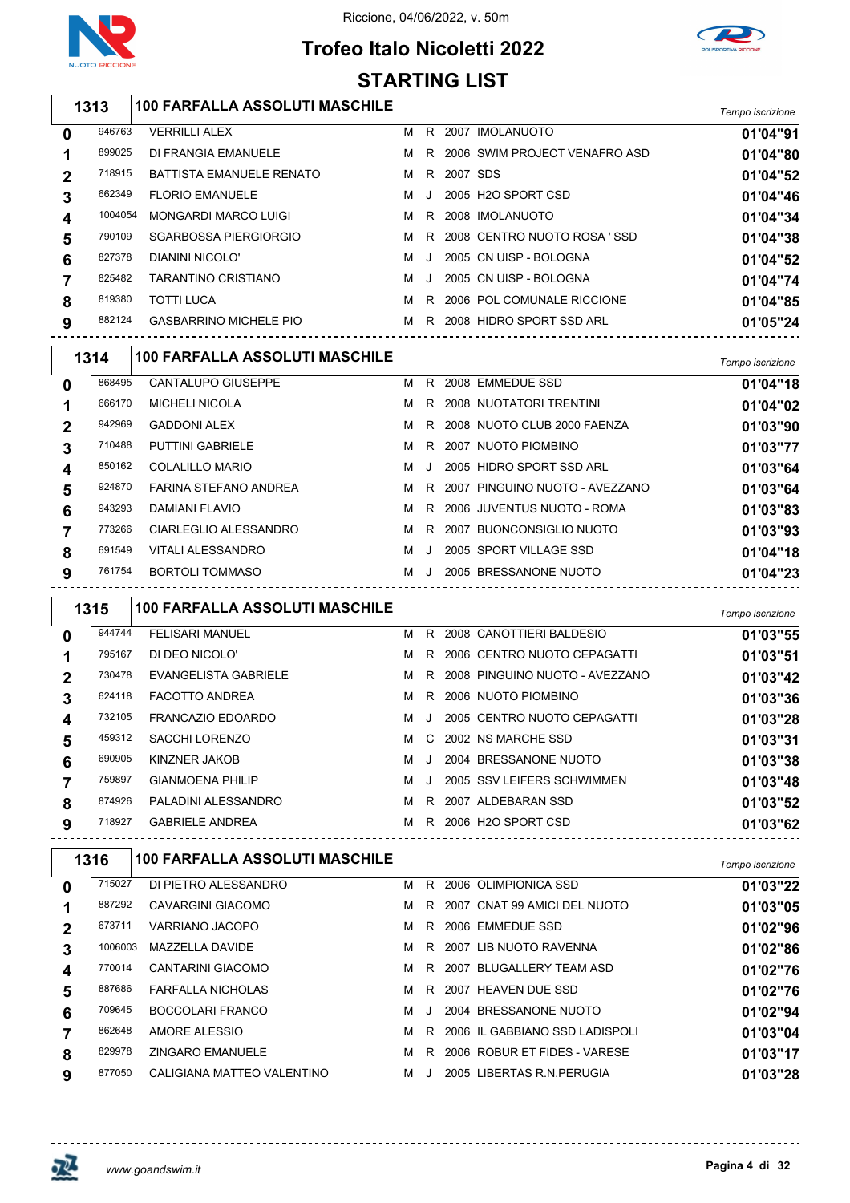

## **Trofeo Italo Nicoletti 2022 STARTING LIST**



*Tempo iscrizione* **100 FARFALLA ASSOLUTI MASCHILE** VERRILLI ALEX M R 2007 IMOLANUOTO **01'04"91** 899025 DI FRANGIA EMANUELE M R 2006 SWIM PROJECT VENAFRO ASD **01'04"80**  BATTISTA EMANUELE RENATO M R 2007 SDS **01'04"52** FLORIO EMANUELE M J 2005 H2O SPORT CSD **01'04"46** MONGARDI MARCO LUIGI M R 2008 IMOLANUOTO **01'04"34** SGARBOSSA PIERGIORGIO M R 2008 CENTRO NUOTO ROSA ' SSD **01'04"38** DIANINI NICOLO' M J 2005 CN UISP - BOLOGNA **01'04"52** 825482 TARANTINO CRISTIANO **M** J 2005 CN UISP - BOLOGNA **01'04"74**  TOTTI LUCA M R 2006 POL COMUNALE RICCIONE **01'04"85** GASBARRINO MICHELE PIO M R 2008 HIDRO SPORT SSD ARL **01'05"24**

|          | 1314   | <b>100 FARFALLA ASSOLUTI MASCHILE</b> |   |         |                                | Tempo iscrizione |
|----------|--------|---------------------------------------|---|---------|--------------------------------|------------------|
| $\bf{0}$ | 868495 | <b>CANTALUPO GIUSEPPE</b>             | м | R.      | 2008 EMMEDUE SSD               | 01'04"18         |
|          | 666170 | <b>MICHELI NICOLA</b>                 | м | R.      | 2008 NUOTATORI TRENTINI        | 01'04"02         |
| 2        | 942969 | <b>GADDONI ALEX</b>                   | м | R.      | 2008 NUOTO CLUB 2000 FAENZA    | 01'03"90         |
| 3        | 710488 | <b>PUTTINI GABRIELE</b>               | M | R.      | 2007 NUOTO PIOMBINO            | 01'03"77         |
| 4        | 850162 | COLALILLO MARIO                       | м | $\cdot$ | 2005 HIDRO SPORT SSD ARL       | 01'03"64         |
| 5        | 924870 | FARINA STEFANO ANDREA                 | м | R.      | 2007 PINGUINO NUOTO - AVEZZANO | 01'03"64         |
| 6        | 943293 | DAMIANI FLAVIO                        | м |         | R 2006 JUVENTUS NUOTO - ROMA   | 01'03"83         |
|          | 773266 | CIARLEGLIO ALESSANDRO                 | M | R.      | 2007 BUONCONSIGLIO NUOTO       | 01'03"93         |
| 8        | 691549 | VITALI ALESSANDRO                     | M | $\cdot$ | 2005 SPORT VILLAGE SSD         | 01'04"18         |
| 9        | 761754 | BORTOLI TOMMASO                       | M | $\cdot$ | 2005 BRESSANONE NUOTO          | 01'04"23         |

|   | 1315   | <b>100 FARFALLA ASSOLUTI MASCHILE</b> |   |           |                                  | Tempo iscrizione |
|---|--------|---------------------------------------|---|-----------|----------------------------------|------------------|
| 0 | 944744 | <b>FELISARI MANUEL</b>                | м | R.        | 2008 CANOTTIERI BALDESIO         | 01'03"55         |
|   | 795167 | DI DEO NICOLO'                        | м |           | R 2006 CENTRO NUOTO CEPAGATTI    | 01'03"51         |
| 2 | 730478 | EVANGELISTA GABRIELE                  | M |           | R 2008 PINGUINO NUOTO - AVEZZANO | 01'03"42         |
| 3 | 624118 | <b>FACOTTO ANDREA</b>                 | м | R         | 2006 NUOTO PIOMBINO              | 01'03"36         |
| 4 | 732105 | <b>FRANCAZIO EDOARDO</b>              | м | $\Box$    | 2005 CENTRO NUOTO CEPAGATTI      | 01'03"28         |
| 5 | 459312 | SACCHI LORENZO                        | м |           | C 2002 NS MARCHE SSD             | 01'03"31         |
| 6 | 690905 | KINZNER JAKOB                         | м | $\cdot$   | 2004 BRESSANONE NUOTO            | 01'03"38         |
|   | 759897 | <b>GIANMOENA PHILIP</b>               | м | $\cdot$ . | 2005 SSV LEIFERS SCHWIMMEN       | 01'03"48         |
| 8 | 874926 | PALADINI ALESSANDRO                   | м |           | R 2007 ALDEBARAN SSD             | 01'03"52         |
| 9 | 718927 | <b>GABRIELE ANDREA</b>                | м |           | R 2006 H2O SPORT CSD             | 01'03"62         |

|   | 1316    | 100 FARFALLA ASSOLUTI MASCHILE |   |           |                                | Tempo iscrizione |
|---|---------|--------------------------------|---|-----------|--------------------------------|------------------|
| 0 | 715027  | DI PIETRO ALESSANDRO           | м | R.        | 2006 OLIMPIONICA SSD           | 01'03"22         |
|   | 887292  | <b>CAVARGINI GIACOMO</b>       | м | R.        | 2007 CNAT 99 AMICI DEL NUOTO   | 01'03"05         |
| 2 | 673711  | VARRIANO JACOPO                | м | R.        | 2006 EMMEDUE SSD               | 01'02"96         |
| 3 | 1006003 | MAZZELLA DAVIDE                | M |           | R 2007 LIB NUOTO RAVENNA       | 01'02"86         |
| 4 | 770014  | CANTARINI GIACOMO              | м | R.        | 2007 BLUGALLERY TEAM ASD       | 01'02"76         |
| 5 | 887686  | <b>FARFALLA NICHOLAS</b>       | м |           | R 2007 HEAVEN DUE SSD          | 01'02"76         |
| 6 | 709645  | <b>BOCCOLARI FRANCO</b>        | м | $\cdot$ . | 2004 BRESSANONE NUOTO          | 01'02"94         |
|   | 862648  | AMORE ALESSIO                  | м | R         | 2006 IL GABBIANO SSD LADISPOLI | 01'03"04         |
| 8 | 829978  | <b>ZINGARO EMANUELE</b>        | м | R.        | 2006 ROBUR ET FIDES - VARESE   | 01'03"17         |
| 9 | 877050  | CALIGIANA MATTEO VALENTINO     | м | $\cdot$ . | 2005 LIBERTAS R.N. PERUGIA     | 01'03"28         |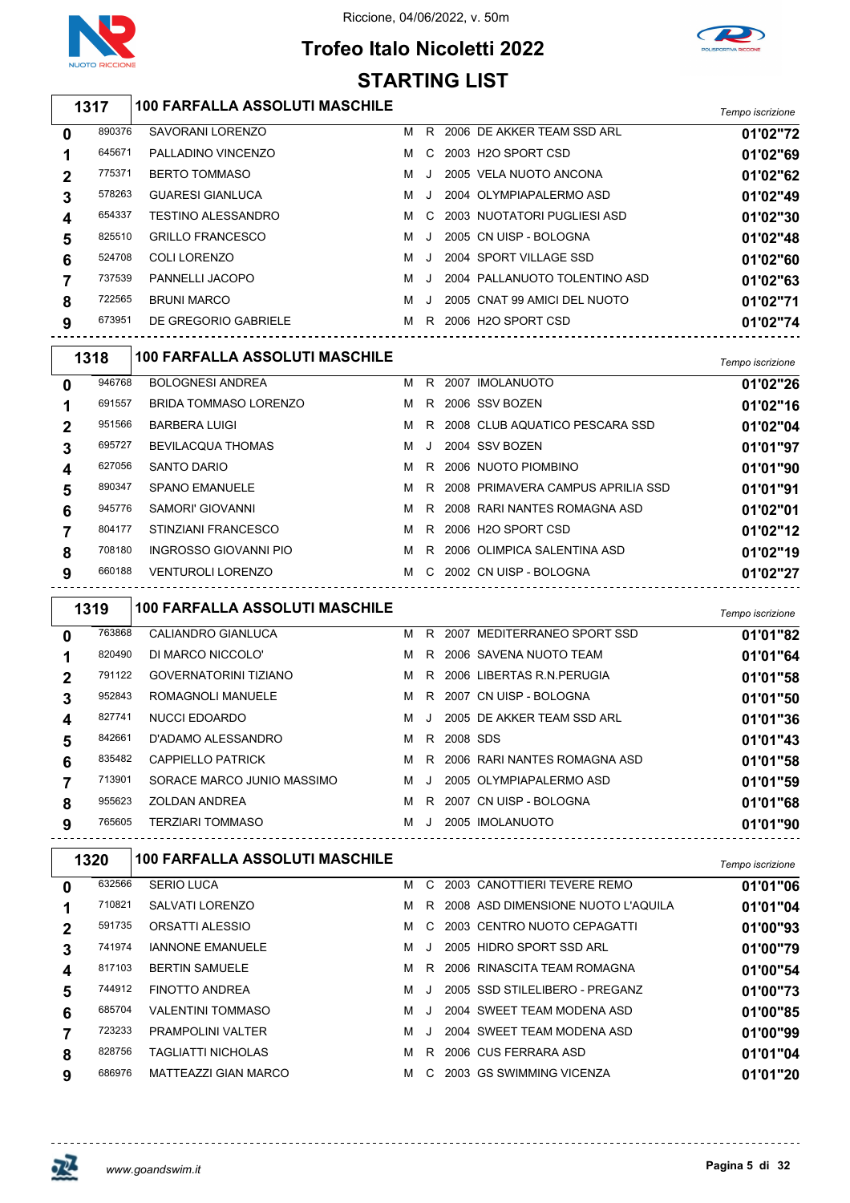

## **Trofeo Italo Nicoletti 2022 STARTING LIST**



#### *Tempo iscrizione* **100 FARFALLA ASSOLUTI MASCHILE** SAVORANI LORENZO M R 2006 DE AKKER TEAM SSD ARL **01'02"72** PALLADINO VINCENZO M C 2003 H2O SPORT CSD **01'02"69** BERTO TOMMASO M J 2005 VELA NUOTO ANCONA **01'02"62** GUARESI GIANLUCA M J 2004 OLYMPIAPALERMO ASD **01'02"49** TESTINO ALESSANDRO M C 2003 NUOTATORI PUGLIESI ASD **01'02"30** 825510 GRILLO FRANCESCO M J 2005 CN UISP - BOLOGNA **01'02"48**  COLI LORENZO M J 2004 SPORT VILLAGE SSD **01'02"60** PANNELLI JACOPO M J 2004 PALLANUOTO TOLENTINO ASD **01'02"63** BRUNI MARCO M J 2005 CNAT 99 AMICI DEL NUOTO **01'02"71** DE GREGORIO GABRIELE M R 2006 H2O SPORT CSD **01'02"74** *Tempo iscrizione* **100 FARFALLA ASSOLUTI MASCHILE**

|   | .      |                              |   |         |                                   | i empo iscrizione |
|---|--------|------------------------------|---|---------|-----------------------------------|-------------------|
| 0 | 946768 | <b>BOLOGNESI ANDREA</b>      | м | R.      | 2007 IMOLANUOTO                   | 01'02"26          |
|   | 691557 | <b>BRIDA TOMMASO LORENZO</b> | м | R.      | 2006 SSV BOZEN                    | 01'02"16          |
| 2 | 951566 | <b>BARBERA LUIGI</b>         | м |         | R 2008 CLUB AQUATICO PESCARA SSD  | 01'02"04          |
|   | 695727 | <b>BEVILACQUA THOMAS</b>     | м | $\cdot$ | 2004 SSV BOZEN                    | 01'01"97          |
| 4 | 627056 | <b>SANTO DARIO</b>           | м | R.      | 2006 NUOTO PIOMBINO               | 01'01"90          |
| 5 | 890347 | <b>SPANO EMANUELE</b>        | м | R       | 2008 PRIMAVERA CAMPUS APRILIA SSD | 01'01"91          |
| 6 | 945776 | SAMORI' GIOVANNI             | м | R       | 2008 RARI NANTES ROMAGNA ASD      | 01'02"01          |
|   | 804177 | STINZIANI FRANCESCO          | м | R.      | 2006 H2O SPORT CSD                | 01'02"12          |
| 8 | 708180 | INGROSSO GIOVANNI PIO        | м | R.      | 2006 OLIMPICA SALENTINA ASD       | 01'02"19          |
| 9 | 660188 | <b>VENTUROLI LORENZO</b>     | м |         | C 2002 CN UISP - BOLOGNA          | 01'02"27          |

|              | 1319   | <b>100 FARFALLA ASSOLUTI MASCHILE</b> |   |              |          |                                  | Tempo iscrizione |
|--------------|--------|---------------------------------------|---|--------------|----------|----------------------------------|------------------|
| $\mathbf{0}$ | 763868 | <b>CALIANDRO GIANLUCA</b>             | M |              |          | R 2007 MEDITERRANEO SPORT SSD    | 01'01"82         |
|              | 820490 | DI MARCO NICCOLO'                     | м |              |          | R 2006 SAVENA NUOTO TEAM         | 01'01"64         |
|              | 791122 | <b>GOVERNATORINI TIZIANO</b>          | M |              |          | R 2006 LIBERTAS R.N. PERUGIA     | 01'01"58         |
| 3            | 952843 | ROMAGNOLI MANUELE                     | M |              |          | R 2007 CN UISP - BOLOGNA         | 01'01"50         |
| 4            | 827741 | NUCCI EDOARDO                         | м | - 11         |          | 2005 DE AKKER TEAM SSD ARL       | 01'01"36         |
| 5            | 842661 | D'ADAMO ALESSANDRO                    | м | R.           | 2008 SDS |                                  | 01'01"43         |
| 6            | 835482 | <b>CAPPIELLO PATRICK</b>              |   |              |          | M R 2006 RARI NANTES ROMAGNA ASD | 01'01"58         |
|              | 713901 | SORACE MARCO JUNIO MASSIMO            | M | $\mathbf{J}$ |          | 2005 OLYMPIAPALERMO ASD          | 01'01"59         |
| 8            | 955623 | ZOLDAN ANDREA                         | м |              |          | R 2007 CN UISP - BOLOGNA         | 01'01"68         |
| 9            | 765605 | TERZIARI TOMMASO                      | м | -J           |          | 2005 IMOLANUOTO                  | 01'01"90         |

|             | 1320   | <b>100 FARFALLA ASSOLUTI MASCHILE</b> | Tempo iscrizione |    |                                    |          |
|-------------|--------|---------------------------------------|------------------|----|------------------------------------|----------|
| 0           | 632566 | <b>SERIO LUCA</b>                     | м                | C. | 2003 CANOTTIERI TEVERE REMO        | 01'01"06 |
|             | 710821 | SALVATI LORENZO                       | м                | R. | 2008 ASD DIMENSIONE NUOTO L'AQUILA | 01'01"04 |
| $\mathbf 2$ | 591735 | ORSATTI ALESSIO                       | м                | C. | 2003 CENTRO NUOTO CEPAGATTI        | 01'00"93 |
|             | 741974 | <b>IANNONE EMANUELE</b>               | м                |    | 2005 HIDRO SPORT SSD ARL           | 01'00"79 |
| 4           | 817103 | <b>BERTIN SAMUELE</b>                 | м                | R. | 2006 RINASCITA TEAM ROMAGNA        | 01'00"54 |
| 5           | 744912 | <b>FINOTTO ANDREA</b>                 | м                |    | 2005 SSD STILELIBERO - PREGANZ     | 01'00"73 |
| 6           | 685704 | <b>VALENTINI TOMMASO</b>              | м                |    | 2004 SWEET TEAM MODENA ASD         | 01'00"85 |
|             | 723233 | <b>PRAMPOLINI VALTER</b>              | м                |    | 2004 SWEET TEAM MODENA ASD         | 01'00"99 |
| 8           | 828756 | <b>TAGLIATTI NICHOLAS</b>             | м                | R. | 2006 CUS FERRARA ASD               | 01'01"04 |
| 9           | 686976 | <b>MATTEAZZI GIAN MARCO</b>           | м                | C. | 2003 GS SWIMMING VICENZA           | 01'01"20 |

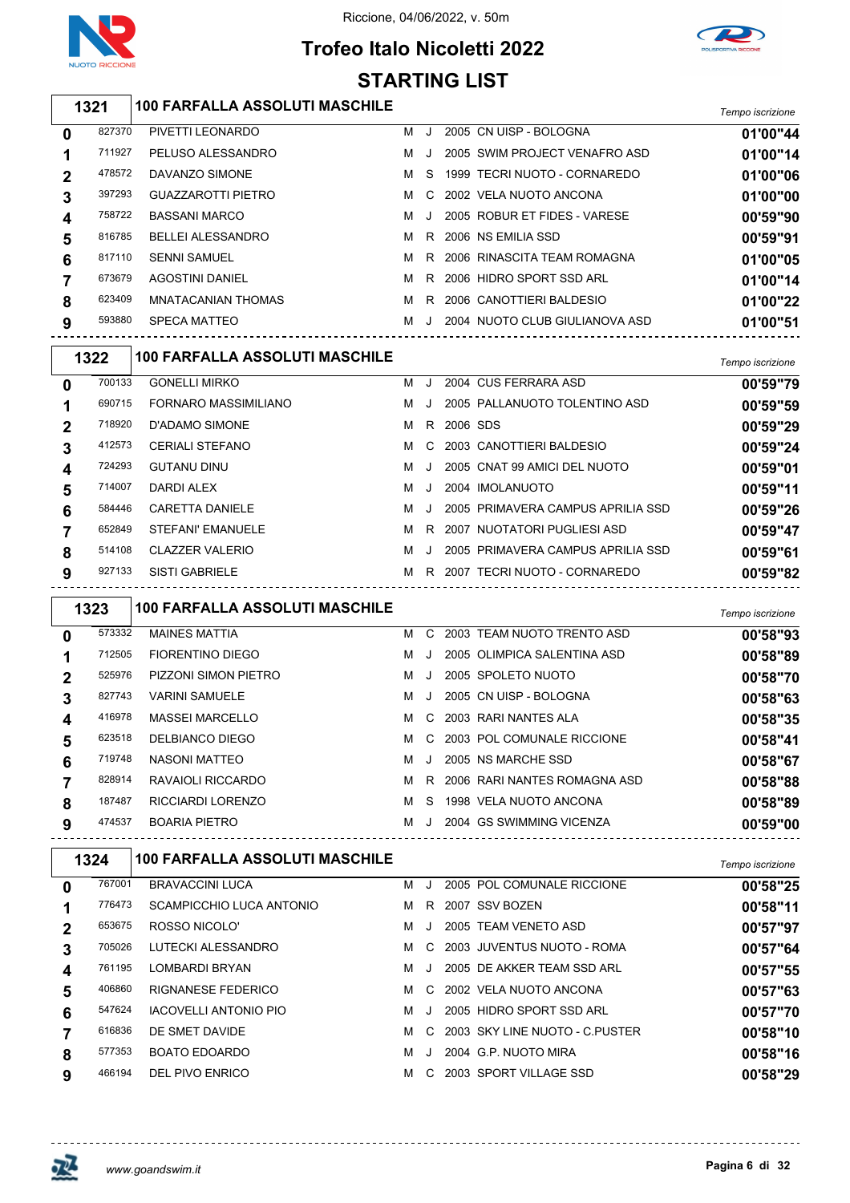



# **Trofeo Italo Nicoletti 2022 STARTING LIST**

# *Tempo iscrizione* **100 FARFALLA ASSOLUTI MASCHILE**

| $\mathbf 0$ | 827370 | PIVETTI LEONARDO          | м | $\cdot$ | 2005 CN UISP - BOLOGNA         | 01'00"44 |
|-------------|--------|---------------------------|---|---------|--------------------------------|----------|
| 1           | 711927 | PELUSO ALESSANDRO         | M |         | 2005 SWIM PROJECT VENAFRO ASD  | 01'00"14 |
| $\mathbf 2$ | 478572 | DAVANZO SIMONE            | M | S.      | 1999 TECRI NUOTO - CORNAREDO   | 01'00"06 |
| 3           | 397293 | <b>GUAZZAROTTI PIETRO</b> | M | C.      | 2002 VELA NUOTO ANCONA         | 01'00"00 |
| 4           | 758722 | <b>BASSANI MARCO</b>      | M |         | 2005 ROBUR ET FIDES - VARESE   | 00'59"90 |
| 5           | 816785 | <b>BELLEI ALESSANDRO</b>  | M | R.      | 2006 NS FMILLA SSD             | 00'59"91 |
| 6           | 817110 | <b>SENNI SAMUEL</b>       | M | R.      | 2006 RINASCITA TEAM ROMAGNA    | 01'00"05 |
| 7           | 673679 | AGOSTINI DANIEL           | м | R.      | 2006 HIDRO SPORT SSD ARL       | 01'00"14 |
| 8           | 623409 | MNATACANIAN THOMAS        | м | R       | 2006 CANOTTIERI BALDESIO       | 01'00"22 |
| 9           | 593880 | <b>SPECA MATTEO</b>       | M |         | 2004 NUOTO CLUB GIULIANOVA ASD | 01'00"51 |
|             |        |                           |   |         |                                |          |

|             | 1322   | <b>100 FARFALLA ASSOLUTI MASCHILE</b> |   |              |          |                                   | Tempo iscrizione |
|-------------|--------|---------------------------------------|---|--------------|----------|-----------------------------------|------------------|
| $\mathbf 0$ | 700133 | <b>GONELLI MIRKO</b>                  | м | J.           |          | 2004 CUS FERRARA ASD              | 00'59"79         |
|             | 690715 | FORNARO MASSIMILIANO                  | м | $\mathbf{J}$ |          | 2005 PALLANUOTO TOLENTINO ASD     | 00'59"59         |
| $\mathbf 2$ | 718920 | D'ADAMO SIMONE                        | м | R.           | 2006 SDS |                                   | 00'59"29         |
| 3           | 412573 | <b>CERIALI STEFANO</b>                | м | C.           |          | 2003 CANOTTIERI BALDESIO          | 00'59"24         |
| 4           | 724293 | <b>GUTANU DINU</b>                    | м |              |          | 2005 CNAT 99 AMICI DEL NUOTO      | 00'59"01         |
| 5           | 714007 | DARDI ALEX                            | м | $\cdot$      |          | 2004 IMOLANUOTO                   | 00'59"11         |
| 6           | 584446 | <b>CARETTA DANIELE</b>                | м |              |          | 2005 PRIMAVERA CAMPUS APRILIA SSD | 00'59"26         |
|             | 652849 | STEFANI' EMANUELE                     | м | R.           |          | 2007 NUOTATORI PUGLIESI ASD       | 00'59"47         |
| 8           | 514108 | <b>CLAZZER VALERIO</b>                | м | $\cdot$      |          | 2005 PRIMAVERA CAMPUS APRILIA SSD | 00'59"61         |
| 9           | 927133 | <b>SISTI GABRIELE</b>                 | м | R.           |          | 2007 TECRI NUOTO - CORNAREDO      | 00'59"82         |
|             |        |                                       |   |              |          |                                   |                  |

|             | 1323   | <b>100 FARFALLA ASSOLUTI MASCHILE</b> |   |    |                              | Tempo iscrizione |
|-------------|--------|---------------------------------------|---|----|------------------------------|------------------|
| 0           | 573332 | <b>MAINES MATTIA</b>                  | м | C. | 2003 TEAM NUOTO TRENTO ASD   | 00'58"93         |
|             | 712505 | FIORENTINO DIEGO                      | м |    | 2005 OLIMPICA SALENTINA ASD  | 00'58"89         |
| $\mathbf 2$ | 525976 | PIZZONI SIMON PIETRO                  | м |    | 2005 SPOLETO NUOTO           | 00'58"70         |
| 3           | 827743 | <b>VARINI SAMUELE</b>                 | м |    | 2005 CN UISP - BOLOGNA       | 00'58"63         |
| 4           | 416978 | <b>MASSEI MARCELLO</b>                | м | C. | 2003 RARI NANTES ALA         | 00'58"35         |
| 5           | 623518 | DELBIANCO DIEGO                       | м | C. | 2003 POL COMUNALE RICCIONE   | 00'58"41         |
| 6           | 719748 | NASONI MATTEO                         | м |    | 2005 NS MARCHE SSD           | 00'58"67         |
|             | 828914 | RAVAIOLI RICCARDO                     | м | R. | 2006 RARI NANTES ROMAGNA ASD | 00'58"88         |
| 8           | 187487 | <b>RICCIARDI LORENZO</b>              | м | S. | 1998 VELA NUOTO ANCONA       | 00'58"89         |
| 9           | 474537 | <b>BOARIA PIETRO</b>                  | м |    | 2004 GS SWIMMING VICENZA     | 00'59"00         |

|             | 1324   | <b>100 FARFALLA ASSOLUTI MASCHILE</b> |   |           |                                  | Tempo iscrizione |
|-------------|--------|---------------------------------------|---|-----------|----------------------------------|------------------|
| $\mathbf 0$ | 767001 | <b>BRAVACCINI LUCA</b>                | м | . . 1     | 2005 POL COMUNALE RICCIONE       | 00'58"25         |
|             | 776473 | SCAMPICCHIO LUCA ANTONIO              | м | R.        | 2007 SSV BOZEN                   | 00'58"11         |
| $\mathbf 2$ | 653675 | ROSSO NICOLO'                         | м | . . 1     | 2005 TEAM VENETO ASD             | 00'57"97         |
| 3           | 705026 | LUTECKI ALESSANDRO                    | M |           | C 2003 JUVENTUS NUOTO - ROMA     | 00'57"64         |
| 4           | 761195 | <b>LOMBARDI BRYAN</b>                 | м | $\Box$    | 2005 DE AKKER TEAM SSD ARL       | 00'57"55         |
| 5           | 406860 | RIGNANESE FEDERICO                    | M |           | C 2002 VELA NUOTO ANCONA         | 00'57"63         |
| 6           | 547624 | <b>IACOVELLI ANTONIO PIO</b>          | м | J.        | 2005 HIDRO SPORT SSD ARL         | 00'57"70         |
|             | 616836 | DE SMET DAVIDE                        | м |           | C 2003 SKY LINE NUOTO - C PUSTER | 00'58"10         |
| 8           | 577353 | <b>BOATO EDOARDO</b>                  | м | $\cdot$ . | 2004 G.P. NUOTO MIRA             | 00'58"16         |
| 9           | 466194 | DEL PIVO ENRICO                       | м | C.        | 2003 SPORT VILLAGE SSD           | 00'58"29         |

-------------------------------------

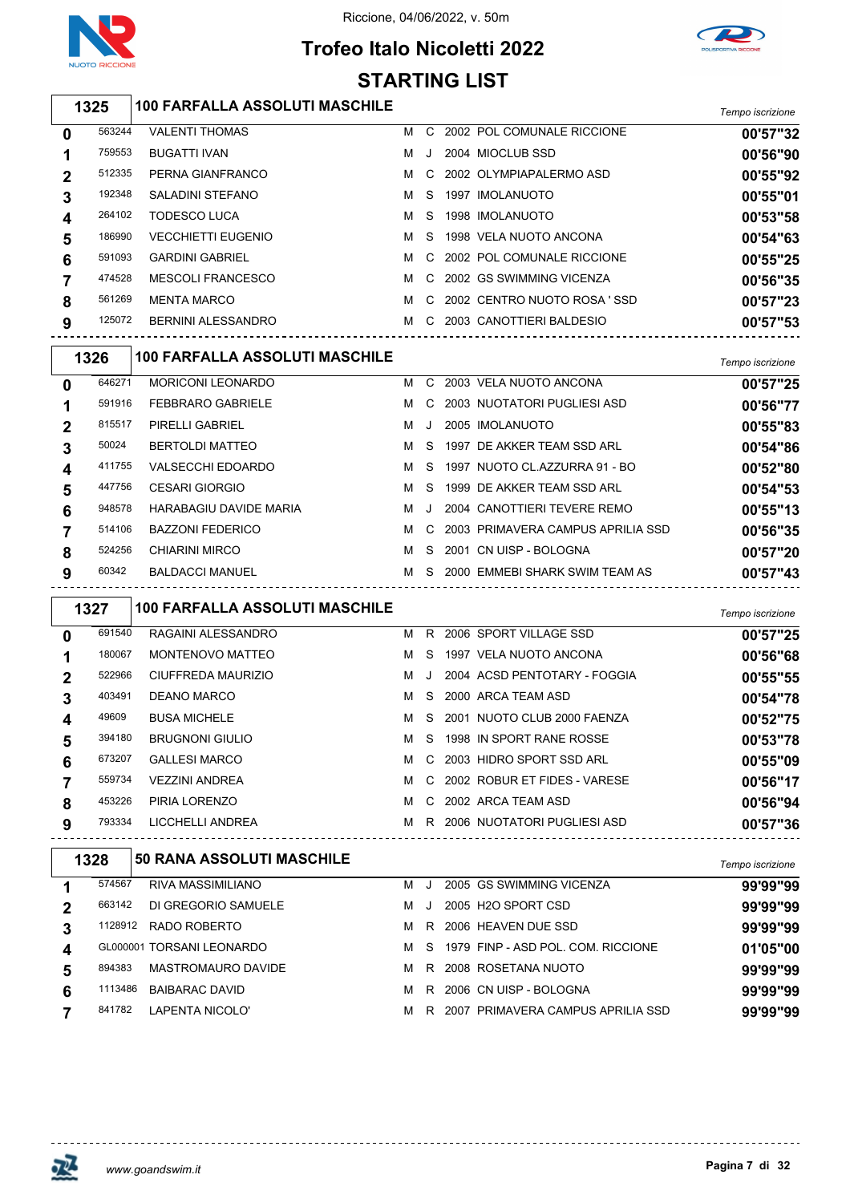



# **Trofeo Italo Nicoletti 2022 STARTING LIST**

*Tempo iscrizione* **100 FARFALLA ASSOLUTI MASCHILE**

| $\mathbf 0$ | 563244 | <b>VALENTI THOMAS</b>     | м | C. | 2002 POL COMUNALE RICCIONE  | 00'57"32 |
|-------------|--------|---------------------------|---|----|-----------------------------|----------|
| 1           | 759553 | <b>BUGATTI IVAN</b>       | м | J. | 2004 MIOCLUB SSD            | 00'56"90 |
| $\mathbf 2$ | 512335 | PERNA GIANFRANCO          | м |    | C 2002 OLYMPIAPALERMO ASD   | 00'55"92 |
| 3           | 192348 | SALADINI STEFANO          | м | S. | 1997 IMOLANUOTO             | 00'55"01 |
| 4           | 264102 | <b>TODESCO LUCA</b>       | м |    | S 1998 IMOLANUOTO           | 00'53"58 |
| 5           | 186990 | <b>VECCHIETTI EUGENIO</b> | м |    | S 1998 VELA NUOTO ANCONA    | 00'54"63 |
| 6           | 591093 | <b>GARDINI GABRIEL</b>    | м | C. | 2002 POL COMUNALE RICCIONE  | 00'55"25 |
|             | 474528 | <b>MESCOLI FRANCESCO</b>  | м | C. | 2002 GS SWIMMING VICENZA    | 00'56"35 |
| 8           | 561269 | <b>MENTA MARCO</b>        | м | C. | 2002 CENTRO NUOTO ROSA 'SSD | 00'57"23 |
| 9           | 125072 | BERNINI ALESSANDRO        | м | C. | 2003 CANOTTIERI BALDESIO    | 00'57"53 |
|             |        |                           |   |    |                             |          |

|              | 1326   | <b>100 FARFALLA ASSOLUTI MASCHILE</b> |   |         |                                   | Tempo iscrizione |
|--------------|--------|---------------------------------------|---|---------|-----------------------------------|------------------|
| 0            | 646271 | <b>MORICONI LEONARDO</b>              | м | C.      | 2003 VELA NUOTO ANCONA            | 00'57"25         |
| 1            | 591916 | <b>FEBBRARO GABRIELE</b>              | м | C.      | 2003 NUOTATORI PUGLIESI ASD       | 00'56"77         |
| $\mathbf{2}$ | 815517 | PIRELLI GABRIEL                       | м | $\cdot$ | 2005 IMOLANUOTO                   | 00'55"83         |
| 3            | 50024  | <b>BERTOLDI MATTEO</b>                | м | S.      | 1997 DE AKKER TEAM SSD ARL        | 00'54"86         |
| 4            | 411755 | <b>VALSECCHI EDOARDO</b>              | м | S.      | 1997 NUOTO CL.AZZURRA 91 - BO     | 00'52"80         |
| 5            | 447756 | <b>CESARI GIORGIO</b>                 | м | -S      | 1999 DE AKKER TEAM SSD ARL        | 00'54"53         |
| 6            | 948578 | <b>HARABAGIU DAVIDE MARIA</b>         | м | $\cdot$ | 2004 CANOTTIERI TEVERE REMO       | 00'55"13         |
|              | 514106 | <b>BAZZONI FEDERICO</b>               | м | C.      | 2003 PRIMAVERA CAMPUS APRILIA SSD | 00'56"35         |
| 8            | 524256 | <b>CHIARINI MIRCO</b>                 | м | S.      | 2001 CN UISP - BOLOGNA            | 00'57"20         |
| 9            | 60342  | <b>BALDACCI MANUEL</b>                | м | S.      | 2000 EMMEBI SHARK SWIM TEAM AS    | 00'57"43         |

| RAGAINI ALESSANDRO<br>2006 SPORT VILLAGE SSD<br>691540<br>м<br>R.<br>0<br>180067<br>1997 VELA NUOTO ANCONA<br>MONTENOVO MATTEO<br>м<br>S.<br>2004 ACSD PENTOTARY - FOGGIA<br>CIUFFREDA MAURIZIO<br>522966<br>м<br>2<br>. . 1<br>403491<br>DEANO MARCO<br>2000 ARCA TEAM ASD<br>м<br>-S<br>3<br>49609<br><b>BUSA MICHELE</b><br>2001 NUOTO CLUB 2000 FAENZA<br>м<br>S.<br>4<br>1998 IN SPORT RANE ROSSE<br><b>BRUGNONI GIULIO</b><br>394180<br>м<br>-S<br>5<br><b>GALLESI MARCO</b><br>2003 HIDRO SPORT SSD ARL<br>673207<br>м<br>C.<br>6<br>C 2002 ROBUR ET FIDES - VARESE<br>559734<br><b>VEZZINI ANDREA</b><br>м<br>453226<br>PIRIA LORENZO<br>2002 ARCA TEAM ASD<br>м<br>C.<br>8 |   | 1327   | <b>100 FARFALLA ASSOLUTI MASCHILE</b> |   |    |                             | Tempo iscrizione |
|-------------------------------------------------------------------------------------------------------------------------------------------------------------------------------------------------------------------------------------------------------------------------------------------------------------------------------------------------------------------------------------------------------------------------------------------------------------------------------------------------------------------------------------------------------------------------------------------------------------------------------------------------------------------------------------|---|--------|---------------------------------------|---|----|-----------------------------|------------------|
|                                                                                                                                                                                                                                                                                                                                                                                                                                                                                                                                                                                                                                                                                     |   |        |                                       |   |    |                             | 00'57"25         |
|                                                                                                                                                                                                                                                                                                                                                                                                                                                                                                                                                                                                                                                                                     |   |        |                                       |   |    |                             | 00'56"68         |
|                                                                                                                                                                                                                                                                                                                                                                                                                                                                                                                                                                                                                                                                                     |   |        |                                       |   |    |                             | 00'55"55         |
|                                                                                                                                                                                                                                                                                                                                                                                                                                                                                                                                                                                                                                                                                     |   |        |                                       |   |    |                             | 00'54"78         |
|                                                                                                                                                                                                                                                                                                                                                                                                                                                                                                                                                                                                                                                                                     |   |        |                                       |   |    |                             | 00'52"75         |
|                                                                                                                                                                                                                                                                                                                                                                                                                                                                                                                                                                                                                                                                                     |   |        |                                       |   |    |                             | 00'53"78         |
|                                                                                                                                                                                                                                                                                                                                                                                                                                                                                                                                                                                                                                                                                     |   |        |                                       |   |    |                             | 00'55"09         |
|                                                                                                                                                                                                                                                                                                                                                                                                                                                                                                                                                                                                                                                                                     |   |        |                                       |   |    |                             | 00'56"17         |
|                                                                                                                                                                                                                                                                                                                                                                                                                                                                                                                                                                                                                                                                                     |   |        |                                       |   |    |                             | 00'56"94         |
|                                                                                                                                                                                                                                                                                                                                                                                                                                                                                                                                                                                                                                                                                     | 9 | 793334 | LICCHELLI ANDREA                      | м | R. | 2006 NUOTATORI PUGLIESI ASD | 00'57"36         |

|   | 1328    | <b>50 RANA ASSOLUTI MASCHILE</b> |   |         |                                    | Tempo iscrizione |
|---|---------|----------------------------------|---|---------|------------------------------------|------------------|
|   | 574567  | RIVA MASSIMILIANO                | м |         | 2005 GS SWIMMING VICENZA           | 99'99"99         |
|   | 663142  | DI GREGORIO SAMUELE              | м | $\cdot$ | 2005 H <sub>2</sub> O SPORT CSD    | 99'99"99         |
| 3 | 1128912 | RADO ROBERTO                     | м | R.      | 2006 HEAVEN DUE SSD                | 99'99"99         |
|   |         | GL000001 TORSANI LEONARDO        | м | S.      | 1979 FINP - ASD POL. COM. RICCIONE | 01'05"00         |
|   | 894383  | <b>MASTROMAURO DAVIDE</b>        | м | R       | 2008 ROSETANA NUOTO                | 99'99"99         |
| 6 | 1113486 | BAIBARAC DAVID                   | м | R       | 2006 CN UISP - BOLOGNA             | 99'99"99         |
|   | 841782  | LAPENTA NICOLO'                  | м | R       | 2007 PRIMAVERA CAMPUS APRILIA SSD  | 99'99"99         |

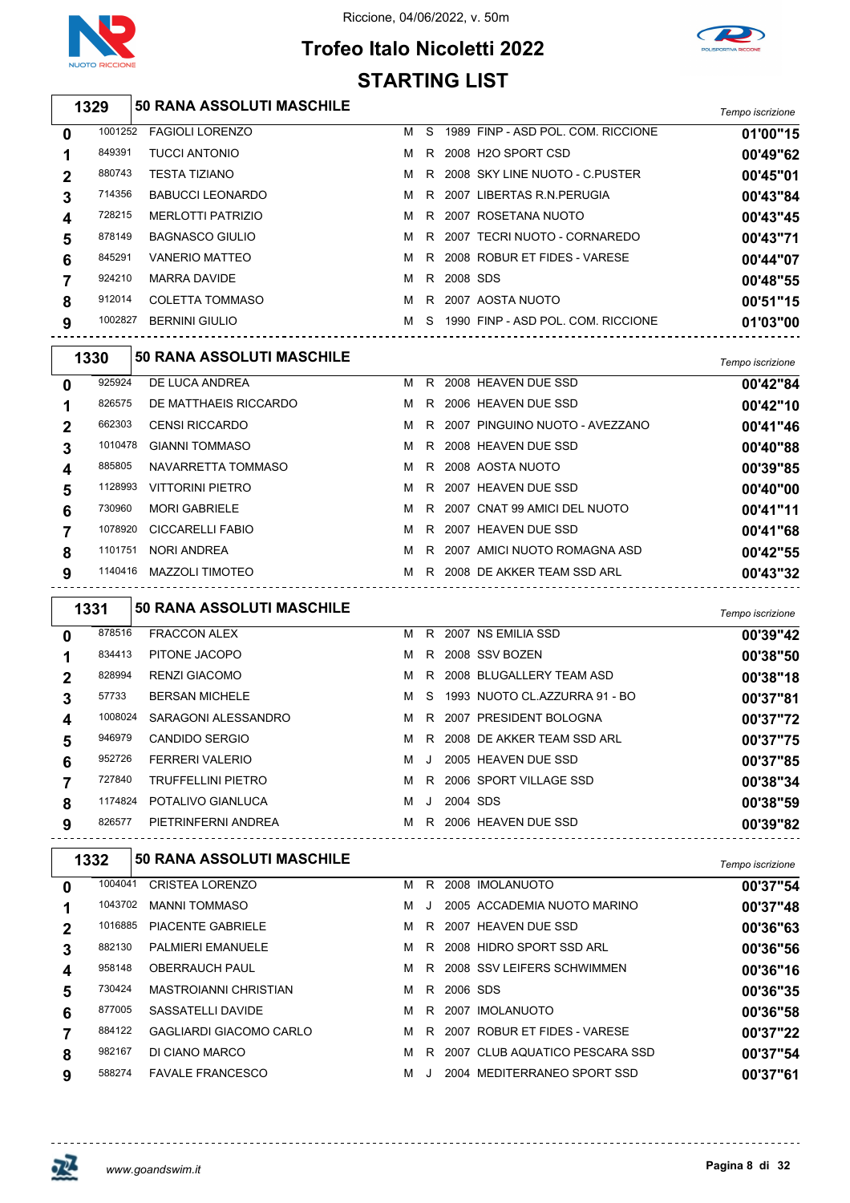

# **Trofeo Italo Nicoletti 2022 STARTING LIST**



|                | 1329    | <b>50 RANA ASSOLUTI MASCHILE</b> |   |    |          |                                    | Tempo iscrizione |
|----------------|---------|----------------------------------|---|----|----------|------------------------------------|------------------|
| $\mathbf{0}$   | 1001252 | <b>FAGIOLI LORENZO</b>           | м | S. |          | 1989 FINP - ASD POL. COM. RICCIONE | 01'00"15         |
|                | 849391  | <b>TUCCI ANTONIO</b>             | м | R  |          | 2008 H2O SPORT CSD                 | 00'49"62         |
| $\overline{2}$ | 880743  | <b>TESTA TIZIANO</b>             | м |    |          | R 2008 SKY LINE NUOTO - C.PUSTER   | 00'45"01         |
| 3              | 714356  | <b>BABUCCI LEONARDO</b>          | м | R. |          | 2007 LIBERTAS R.N.PERUGIA          | 00'43"84         |
| 4              | 728215  | <b>MERLOTTI PATRIZIO</b>         | м | R. |          | 2007 ROSETANA NUOTO                | 00'43"45         |
| 5              | 878149  | BAGNASCO GIULIO                  | м | R. |          | 2007 TECRI NUOTO - CORNAREDO       | 00'43"71         |
| 6              | 845291  | <b>VANERIO MATTEO</b>            | м | R. |          | 2008 ROBUR ET FIDES - VARESE       | 00'44"07         |
|                | 924210  | <b>MARRA DAVIDE</b>              | м | R. | 2008 SDS |                                    | 00'48"55         |
| 8              | 912014  | <b>COLETTA TOMMASO</b>           | м | R  |          | 2007 AOSTA NUOTO                   | 00'51"15         |

| 9 |        | 1002827 BERNINI GIULIO           |  | M S 1990 FINP - ASD POL. COM. RICCIONE | 01'03"00         |
|---|--------|----------------------------------|--|----------------------------------------|------------------|
|   | 1330   | <b>50 RANA ASSOLUTI MASCHILE</b> |  |                                        | Tempo iscrizione |
| 0 | 925924 | DE LUCA ANDREA                   |  | M R 2008 HEAVEN DUE SSD                | 00'42"84         |
|   | 826575 | DE MATTHAEIS RICCARDO            |  | M R 2006 HEAVEN DUE SSD                | 00'42"10         |

| u | ------<br>826575 | <b>DL LUVA ANDIVEA</b><br>DE MATTHAEIS RICCARDO | м |  | IVI IN ZUUD IILAVLIN DUL OOD<br>R 2006 HEAVEN DUE SSD | UU 42 04<br>00'42"10 |
|---|------------------|-------------------------------------------------|---|--|-------------------------------------------------------|----------------------|
|   | 662303           | <b>CENSI RICCARDO</b>                           | M |  | R 2007 PINGUINO NUOTO - AVEZZANO                      | 00'41"46             |
| 3 | 1010478          | <b>GIANNI TOMMASO</b>                           | M |  | R 2008 HEAVEN DUE SSD                                 | 00'40"88             |
|   | 885805           | NAVARRETTA TOMMASO                              |   |  | M R 2008 AOSTA NUOTO                                  | 00'39"85             |
| 5 | 1128993          | <b>VITTORINI PIETRO</b>                         |   |  | M R 2007 HEAVEN DUE SSD                               | 00'40"00             |
| 6 | 730960           | <b>MORI GABRIELE</b>                            | M |  | R 2007 CNAT 99 AMICI DEL NUOTO                        | 00'41"11             |
|   | 1078920          | <b>CICCARELLI FABIO</b>                         | M |  | R 2007 HEAVEN DUE SSD                                 | 00'41"68             |
| 8 | 1101751          | NORI ANDREA                                     | м |  | R 2007 AMICI NUOTO ROMAGNA ASD                        | 00'42"55             |
| 9 | 1140416          | <b>MAZZOLI TIMOTEO</b>                          | м |  | R 2008 DE AKKER TEAM SSD ARL                          | 00'43"32             |

|              | 1331    | <b>50 RANA ASSOLUTI MASCHILE</b> |   |       |          |                               | Tempo iscrizione |
|--------------|---------|----------------------------------|---|-------|----------|-------------------------------|------------------|
| $\mathbf{0}$ | 878516  | <b>FRACCON ALEX</b>              | м | R.    |          | 2007 NS EMILIA SSD            | 00'39"42         |
|              | 834413  | PITONE JACOPO                    | м | R.    |          | 2008 SSV BOZEN                | 00'38"50         |
|              | 828994  | <b>RENZI GIACOMO</b>             | м | R.    |          | 2008 BLUGALLERY TEAM ASD      | 00'38"18         |
| 3            | 57733   | <b>BERSAN MICHELE</b>            | м | S.    |          | 1993 NUOTO CL.AZZURRA 91 - BO | 00'37"81         |
| 4            | 1008024 | SARAGONI ALESSANDRO              | м | R     |          | 2007 PRESIDENT BOLOGNA        | 00'37"72         |
| 5            | 946979  | CANDIDO SERGIO                   | м |       |          | R 2008 DE AKKER TEAM SSD ARL  | 00'37"75         |
| 6            | 952726  | <b>FERRERI VALERIO</b>           | м | . . 1 |          | 2005 HEAVEN DUE SSD           | 00'37"85         |
|              | 727840  | <b>TRUFFELLINI PIETRO</b>        | м | R.    |          | 2006 SPORT VILLAGE SSD        | 00'38"34         |
| 8            | 1174824 | POTALIVO GIANLUCA                | м | J.    | 2004 SDS |                               | 00'38"59         |
| 9            | 826577  | PIETRINFERNI ANDREA              | м |       |          | R 2006 HEAVEN DUE SSD         | 00'39"82         |

|             | 1332    | <b>50 RANA ASSOLUTI MASCHILE</b> |   |    |            |                                  | Tempo iscrizione |
|-------------|---------|----------------------------------|---|----|------------|----------------------------------|------------------|
| $\bf{0}$    | 1004041 | CRISTEA LORENZO                  | м | R. |            | 2008 IMOLANUOTO                  | 00'37"54         |
|             | 1043702 | <b>MANNI TOMMASO</b>             | м |    |            | 2005 ACCADEMIA NUOTO MARINO      | 00'37"48         |
| $\mathbf 2$ | 1016885 | <b>PIACENTE GABRIELE</b>         | м | R. |            | 2007 HEAVEN DUE SSD              | 00'36"63         |
| 3           | 882130  | <b>PALMIERI EMANUELE</b>         |   |    |            | M R 2008 HIDRO SPORT SSD ARL     | 00'36"56         |
| 4           | 958148  | <b>OBERRAUCH PAUL</b>            | M |    |            | R 2008 SSV LEIFERS SCHWIMMEN     | 00'36"16         |
| 5           | 730424  | <b>MASTROIANNI CHRISTIAN</b>     | м |    | R 2006 SDS |                                  | 00'36"35         |
| 6           | 877005  | SASSATELLI DAVIDE                | M | R. |            | 2007 IMOLANUOTO                  | 00'36"58         |
|             | 884122  | GAGLIARDI GIACOMO CARLO          | м | R. |            | 2007 ROBUR ET FIDES - VARESE     | 00'37"22         |
| 8           | 982167  | DI CIANO MARCO                   | м |    |            | R 2007 CLUB AQUATICO PESCARA SSD | 00'37"54         |
| 9           | 588274  | <b>FAVALE FRANCESCO</b>          | м |    |            | 2004 MEDITERRANEO SPORT SSD      | 00'37"61         |



<u>-------------</u>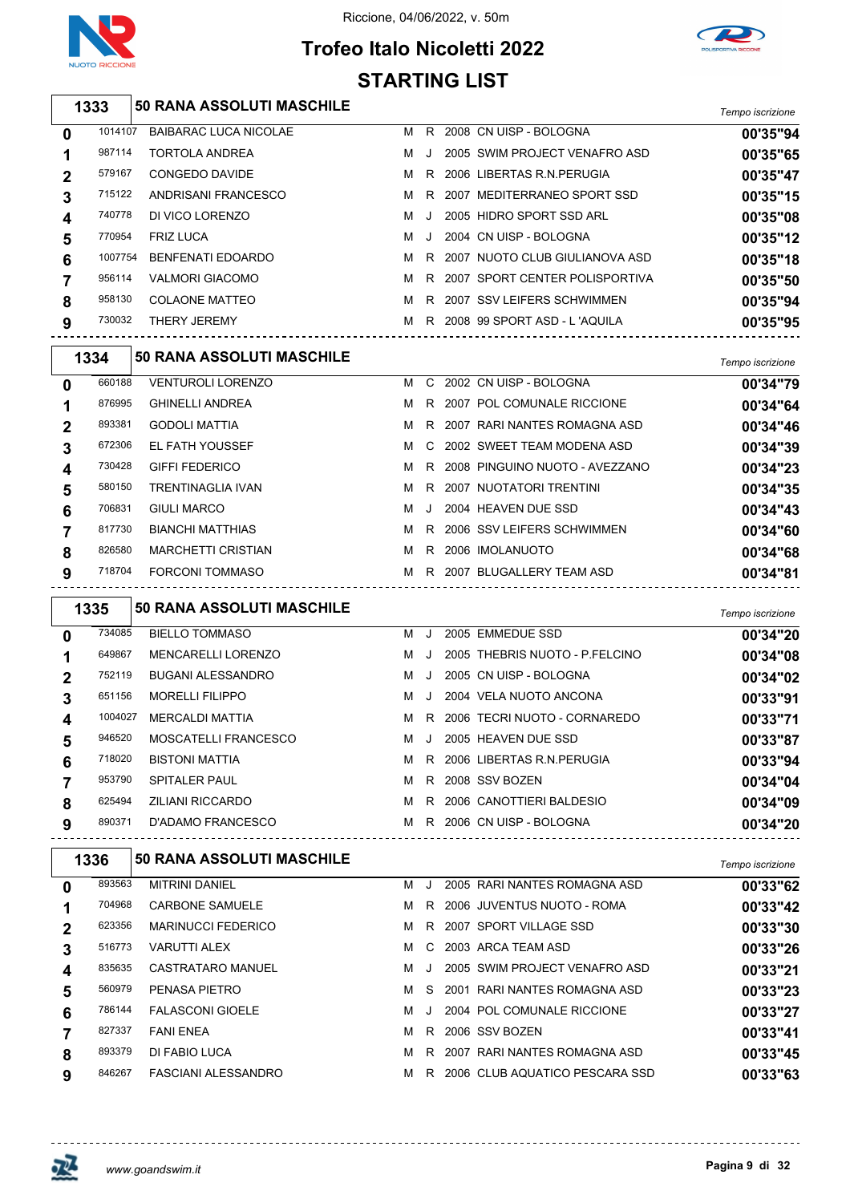

## **Trofeo Italo Nicoletti 2022 STARTING LIST**



|              |         |                                                 | <b>STARTING LIST</b> |     |                                   |                  |
|--------------|---------|-------------------------------------------------|----------------------|-----|-----------------------------------|------------------|
|              | 1333    | <b>50 RANA ASSOLUTI MASCHILE</b>                |                      |     |                                   | Tempo iscrizione |
| 0            | 1014107 | <b>BAIBARAC LUCA NICOLAE</b>                    |                      |     | M R 2008 CN UISP - BOLOGNA        | 00'35"94         |
| 1            | 987114  | <b>TORTOLA ANDREA</b>                           | м                    | J   | 2005 SWIM PROJECT VENAFRO ASD     | 00'35"65         |
| 2            | 579167  | <b>CONGEDO DAVIDE</b>                           | м                    |     | R 2006 LIBERTAS R.N. PERUGIA      | 00'35"47         |
| 3            | 715122  | ANDRISANI FRANCESCO                             | м                    | R   | 2007 MEDITERRANEO SPORT SSD       | 00'35"15         |
| 4            | 740778  | DI VICO LORENZO                                 | м                    | J   | 2005 HIDRO SPORT SSD ARL          | 00'35"08         |
| 5            | 770954  | <b>FRIZ LUCA</b>                                | м                    | J   | 2004 CN UISP - BOLOGNA            | 00'35"12         |
| 6            | 1007754 | <b>BENFENATI EDOARDO</b>                        | м                    |     | R 2007 NUOTO CLUB GIULIANOVA ASD  | 00'35"18         |
| 7            | 956114  | <b>VALMORI GIACOMO</b>                          | м                    | R   | 2007 SPORT CENTER POLISPORTIVA    | 00'35"50         |
| 8            | 958130  | <b>COLAONE MATTEO</b>                           | M                    |     | R 2007 SSV LEIFERS SCHWIMMEN      | 00'35"94         |
| 9            | 730032  | THERY JEREMY<br>------------------------------- |                      |     | M R 2008 99 SPORT ASD - L'AQUILA  | 00'35"95         |
|              | 1334    | 50 RANA ASSOLUTI MASCHILE                       |                      |     |                                   | Tempo iscrizione |
| 0            | 660188  | <b>VENTUROLI LORENZO</b>                        |                      |     | M C 2002 CN UISP - BOLOGNA        | 00'34"79         |
| 1            | 876995  | <b>GHINELLI ANDREA</b>                          | м                    |     | R 2007 POL COMUNALE RICCIONE      | 00'34"64         |
| 2            | 893381  | <b>GODOLI MATTIA</b>                            | M                    |     | R 2007 RARI NANTES ROMAGNA ASD    | 00'34"46         |
| 3            | 672306  | EL FATH YOUSSEF                                 | м                    | C   | 2002 SWEET TEAM MODENA ASD        | 00'34"39         |
| 4            | 730428  | <b>GIFFI FEDERICO</b>                           | м                    |     | R 2008 PINGUINO NUOTO - AVEZZANO  | 00'34"23         |
| 5            | 580150  | <b>TRENTINAGLIA IVAN</b>                        | м                    | R   | 2007 NUOTATORI TRENTINI           | 00'34"35         |
| 6            | 706831  | <b>GIULI MARCO</b>                              | м                    | J   | 2004 HEAVEN DUE SSD               | 00'34"43         |
| 7            | 817730  | <b>BIANCHI MATTHIAS</b>                         | м                    |     | R 2006 SSV LEIFERS SCHWIMMEN      | 00'34"60         |
| 8            | 826580  | <b>MARCHETTI CRISTIAN</b>                       | M                    |     | R 2006 IMOLANUOTO                 | 00'34"68         |
| 9            | 718704  | FORCONI TOMMASO                                 |                      |     | M R 2007 BLUGALLERY TEAM ASD      | 00'34"81         |
|              | 1335    | <b>50 RANA ASSOLUTI MASCHILE</b>                |                      |     |                                   | Tempo iscrizione |
| 0            | 734085  | <b>BIELLO TOMMASO</b>                           |                      | M J | 2005 EMMEDUE SSD                  | 00'34"20         |
| 1            | 649867  | <b>MENCARELLI LORENZO</b>                       | м                    | J   | 2005 THEBRIS NUOTO - P.FELCINO    | 00'34"08         |
| 2            | 752119  | <b>BUGANI ALESSANDRO</b>                        | м                    | J   | 2005 CN UISP - BOLOGNA            | 00'34"02         |
| 3            | 651156  | <b>MORELLI FILIPPO</b>                          | м                    | J   | 2004 VELA NUOTO ANCONA            | 00'33"91         |
| 4            |         | 1004027 MERCALDI MATTIA                         |                      |     | M R 2006 TECRI NUOTO - CORNAREDO  | 00'33"71         |
| 5            | 946520  | MOSCATELLI FRANCESCO                            |                      |     | M J 2005 HEAVEN DUE SSD           | 00'33"87         |
| 6            | 718020  | <b>BISTONI MATTIA</b>                           |                      |     | M R 2006 LIBERTAS R.N.PERUGIA     | 00'33"94         |
| 7            | 953790  | <b>SPITALER PAUL</b>                            |                      |     | M R 2008 SSV BOZEN                | 00'34"04         |
| 8            | 625494  | ZILIANI RICCARDO                                |                      |     | M R 2006 CANOTTIERI BALDESIO      | 00'34"09         |
| 9            | 890371  | D'ADAMO FRANCESCO                               |                      |     | M R 2006 CN UISP - BOLOGNA        | 00'34"20         |
|              | 1336    | <b>50 RANA ASSOLUTI MASCHILE</b>                |                      |     |                                   | Tempo iscrizione |
| 0            | 893563  | MITRINI DANIEL                                  |                      |     | M J 2005 RARI NANTES ROMAGNA ASD  | 00'33"62         |
| 1            | 704968  | <b>CARBONE SAMUELE</b>                          |                      |     | M R 2006 JUVENTUS NUOTO - ROMA    | 00'33"42         |
| $\mathbf{2}$ | 623356  | <b>MARINUCCI FEDERICO</b>                       |                      |     | M R 2007 SPORT VILLAGE SSD        | 00'33"30         |
| 3            | 516773  | VARUTTI ALEX                                    |                      |     | M C 2003 ARCA TEAM ASD            | 00'33"26         |
| 4            | 835635  | CASTRATARO MANUEL                               |                      |     | M J 2005 SWIM PROJECT VENAFRO ASD | 00'33"21         |
| 5            | 560979  | PENASA PIETRO                                   |                      |     | M S 2001 RARI NANTES ROMAGNA ASD  | 00'33"23         |
| 6            | 786144  | <b>FALASCONI GIOELE</b>                         | M                    |     | J 2004 POL COMUNALE RICCIONE      | 00'33"27         |
| 7            | 827337  | FANI ENEA                                       |                      |     | M R 2006 SSV BOZEN                | 00'33"41         |

DI FABIO LUCA M R 2007 RARI NANTES ROMAGNA ASD **00'33"45**

846267 FASCIANI ALESSANDRO M R 2006 CLUB AQUATICO PESCARA SSD **00'33"63** 

巫

 $- - - - - -$ 

<u> - - - - - - - - - - - - -</u>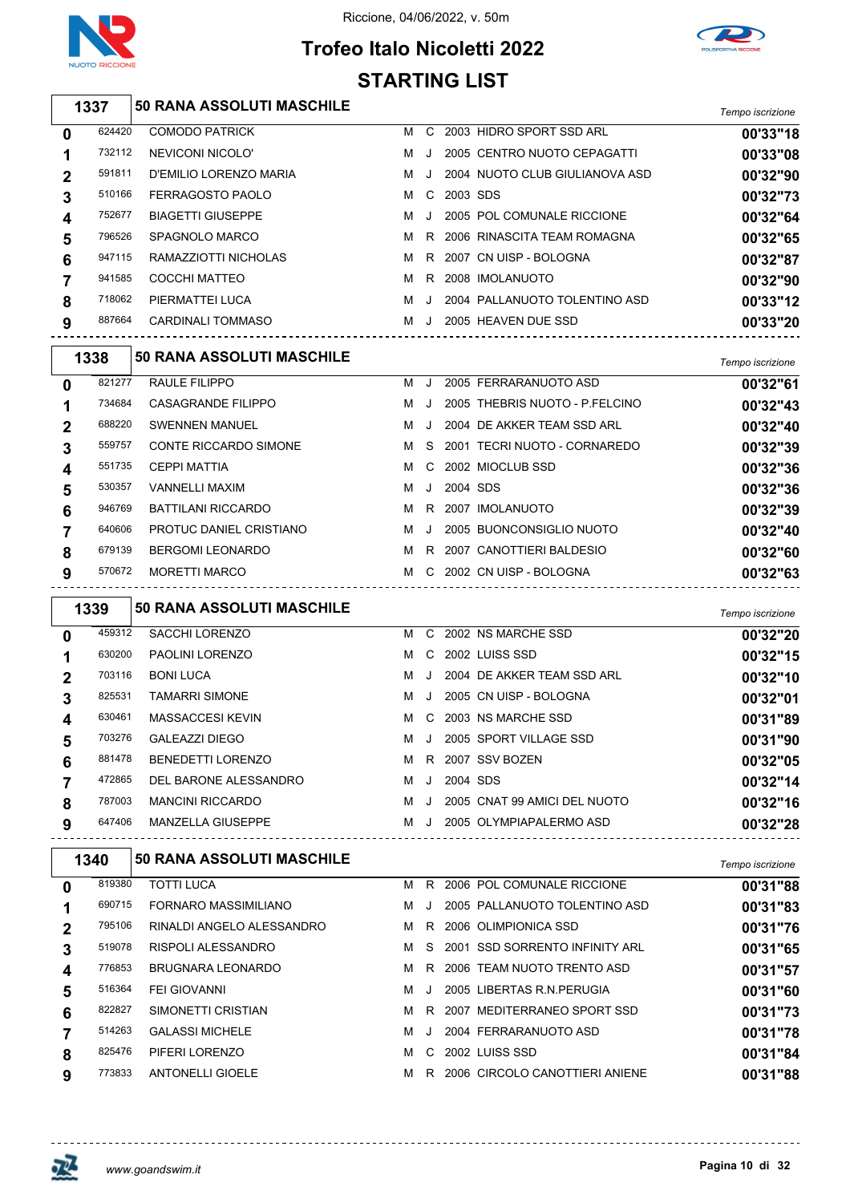



# **Trofeo Italo Nicoletti 2022 STARTING LIST**

*Tempo iscrizione* **50 RANA ASSOLUTI MASCHILE**

| 0           | 624420 | <b>COMODO PATRICK</b>    | м | C.      |          | 2003 HIDRO SPORT SSD ARL       | 00'33"18 |
|-------------|--------|--------------------------|---|---------|----------|--------------------------------|----------|
| 1           | 732112 | NEVICONI NICOLO'         | м | $\cdot$ |          | 2005 CENTRO NUOTO CEPAGATTI    | 00'33"08 |
| $\mathbf 2$ | 591811 | D'EMILIO LORENZO MARIA   | м | $\cdot$ |          | 2004 NUOTO CLUB GIULIANOVA ASD | 00'32"90 |
| 3           | 510166 | FERRAGOSTO PAOLO         | м | C       | 2003 SDS |                                | 00'32"73 |
| 4           | 752677 | <b>BIAGETTI GIUSEPPE</b> | м | $\cdot$ |          | 2005 POL COMUNALE RICCIONE     | 00'32"64 |
| 5           | 796526 | SPAGNOLO MARCO           | м |         |          | R 2006 RINASCITA TEAM ROMAGNA  | 00'32"65 |
| 6           | 947115 | RAMAZZIOTTI NICHOLAS     | м |         |          | R 2007 CN UISP - BOLOGNA       | 00'32"87 |
| 7           | 941585 | COCCHI MATTEO            | м | R       |          | 2008 IMOLANUOTO                | 00'32"90 |
| 8           | 718062 | PIERMATTEI LUCA          | м | $\cdot$ |          | 2004 PALLANUOTO TOLENTINO ASD  | 00'33"12 |
| 9           | 887664 | <b>CARDINALI TOMMASO</b> | м |         |          | 2005 HEAVEN DUE SSD            | 00'33"20 |
|             |        |                          |   |         |          |                                |          |

|   | 1338   | <b>50 RANA ASSOLUTI MASCHILE</b> |   |         |          |                                | Tempo iscrizione |
|---|--------|----------------------------------|---|---------|----------|--------------------------------|------------------|
| 0 | 821277 | RAULE FILIPPO                    | м | J       |          | 2005 FERRARANUOTO ASD          | 00'32"61         |
| 1 | 734684 | <b>CASAGRANDE FILIPPO</b>        | м | $\cdot$ |          | 2005 THEBRIS NUOTO - P.FELCINO | 00'32"43         |
| 2 | 688220 | <b>SWENNEN MANUEL</b>            | м | J.      |          | 2004 DE AKKER TEAM SSD ARL     | 00'32"40         |
| 3 | 559757 | <b>CONTE RICCARDO SIMONE</b>     | м | S.      | 2001     | TECRI NUOTO - CORNAREDO        | 00'32"39         |
| 4 | 551735 | <b>CEPPI MATTIA</b>              | м | C.      |          | 2002 MIOCLUB SSD               | 00'32"36         |
| 5 | 530357 | <b>VANNELLI MAXIM</b>            | м | J       | 2004 SDS |                                | 00'32"36         |
| 6 | 946769 | BATTILANI RICCARDO               | м | R.      |          | 2007 IMOLANUOTO                | 00'32"39         |
|   | 640606 | PROTUC DANIEL CRISTIANO          | м | $\cdot$ |          | 2005 BUONCONSIGLIO NUOTO       | 00'32"40         |
| 8 | 679139 | <b>BERGOMI LEONARDO</b>          | м | R       |          | 2007 CANOTTIERI BALDESIO       | 00'32"60         |
| 9 | 570672 | <b>MORETTI MARCO</b>             | м | C.      |          | 2002 CN UISP - BOLOGNA         | 00'32"63         |

|                | 1339   | <b>50 RANA ASSOLUTI MASCHILE</b> |   |              |          |                              | Tempo iscrizione |
|----------------|--------|----------------------------------|---|--------------|----------|------------------------------|------------------|
| $\bf{0}$       | 459312 | <b>SACCHI LORENZO</b>            | м |              |          | C 2002 NS MARCHE SSD         | 00'32"20         |
|                | 630200 | <b>PAOLINI LORENZO</b>           | м |              |          | C 2002 LUISS SSD             | 00'32"15         |
| $\overline{2}$ | 703116 | <b>BONI LUCA</b>                 | м | $\cdot$      |          | 2004 DE AKKER TEAM SSD ARL   | 00'32"10         |
|                | 825531 | <b>TAMARRI SIMONE</b>            | м | $\mathbf{I}$ |          | 2005 CN UISP - BOLOGNA       | 00'32"01         |
| 4              | 630461 | <b>MASSACCESI KEVIN</b>          | м |              |          | C 2003 NS MARCHE SSD         | 00'31"89         |
| 5              | 703276 | GALEAZZI DIEGO                   | м | $\cdot$      |          | 2005 SPORT VILLAGE SSD       | 00'31"90         |
| 6              | 881478 | <b>BENEDETTI LORENZO</b>         | м |              |          | R 2007 SSV BOZEN             | 00'32"05         |
|                | 472865 | DEL BARONE ALESSANDRO            | м | $\cdot$      | 2004 SDS |                              | 00'32"14         |
| 8              | 787003 | <b>MANCINI RICCARDO</b>          | м | $\cdot$      |          | 2005 CNAT 99 AMICI DEL NUOTO | 00'32"16         |
| 9              | 647406 | <b>MANZELLA GIUSEPPE</b>         | м | $\cdot$      |          | 2005 OLYMPIAPALERMO ASD      | 00'32"28         |

| Tempo iscrizione |
|------------------|
| 00'31"88         |
| 00'31"83         |
| 00'31"76         |
| 00'31"65         |
| 00'31"57         |
| 00'31"60         |
| 00'31"73         |
| 00'31"78         |
| 00'31"84         |
| 00'31"88         |
|                  |



-------------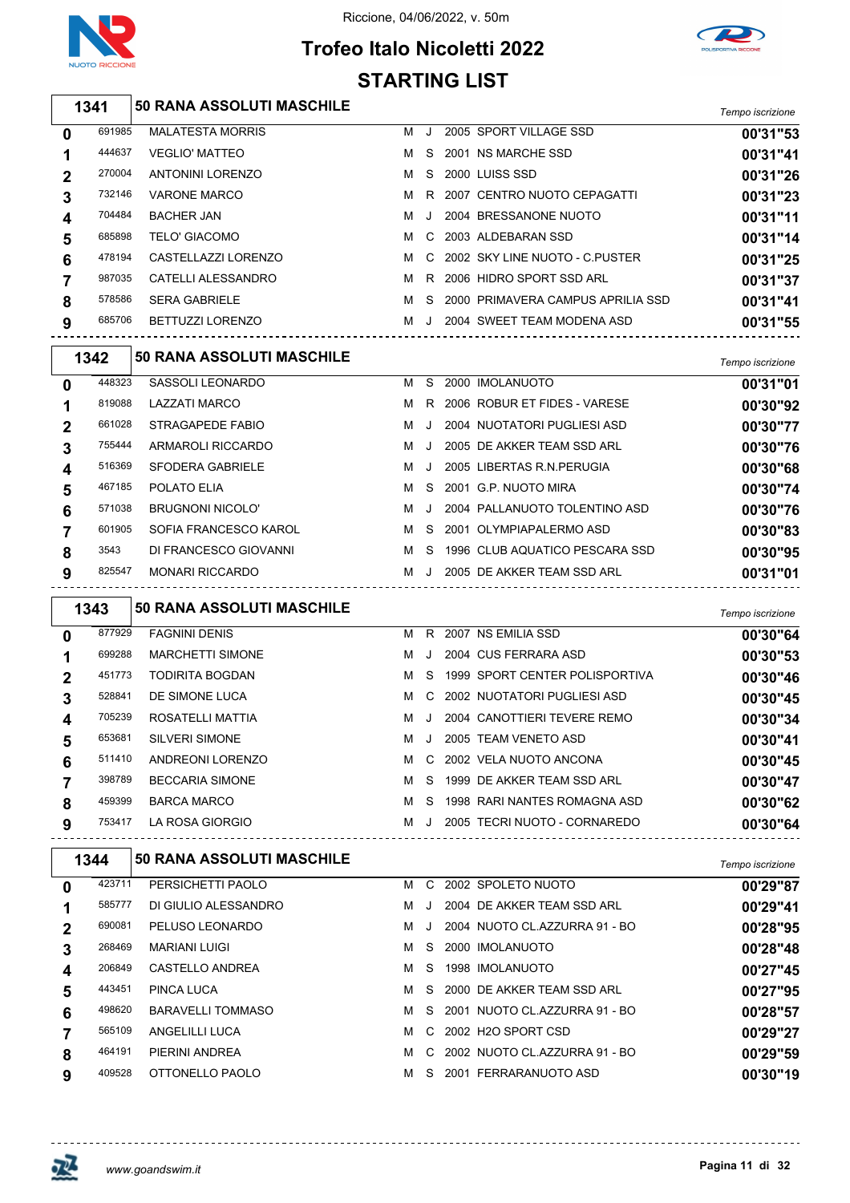

 $\overline{\phantom{0}}$ 

## Riccione, 04/06/2022, v. 50m

# **Trofeo Italo Nicoletti 2022 STARTING LIST**



|   | 1341   | <b>50 RANA ASSOLUTI MASCHILE</b> |   |         |                                   | Tempo iscrizione |
|---|--------|----------------------------------|---|---------|-----------------------------------|------------------|
| 0 | 691985 | <b>MALATESTA MORRIS</b>          | м |         | 2005 SPORT VILLAGE SSD            | 00'31"53         |
|   | 444637 | <b>VEGLIO' MATTEO</b>            | м | S.      | 2001 NS MARCHE SSD                | 00'31"41         |
| 2 | 270004 | <b>ANTONINI LORENZO</b>          | м | S.      | 2000 LUISS SSD                    | 00'31"26         |
| 3 | 732146 | <b>VARONE MARCO</b>              | м | R       | 2007 CENTRO NUOTO CEPAGATTI       | 00'31"23         |
| 4 | 704484 | <b>BACHER JAN</b>                | м | $\cdot$ | 2004 BRESSANONE NUOTO             | 00'31"11         |
| 5 | 685898 | <b>TELO' GIACOMO</b>             | м |         | C 2003 ALDEBARAN SSD              | 00'31"14         |
| 6 | 478194 | CASTELLAZZI LORENZO              | м |         | C 2002 SKY LINE NUOTO - C.PUSTER  | 00'31"25         |
|   | 987035 | CATELLI ALESSANDRO               | м | R       | 2006 HIDRO SPORT SSD ARL          | 00'31"37         |
| 8 | 578586 | <b>SERA GABRIELE</b>             | м | S.      | 2000 PRIMAVERA CAMPUS APRILIA SSD | 00'31"41         |
| 9 | 685706 | <b>BETTUZZI LORENZO</b>          | м | J.      | 2004 SWEET TEAM MODENA ASD        | 00'31"55         |

|   | 1342   | <b>50 RANA ASSOLUTI MASCHILE</b> |   |         |                                | Tempo iscrizione |
|---|--------|----------------------------------|---|---------|--------------------------------|------------------|
| 0 | 448323 | SASSOLI LEONARDO                 | м | S       | 2000 IMOLANUOTO                | 00'31"01         |
|   | 819088 | LAZZATI MARCO                    | м | R.      | 2006 ROBUR ET FIDES - VARESE   | 00'30"92         |
| 2 | 661028 | STRAGAPEDE FABIO                 | м | J.      | 2004 NUOTATORI PUGLIESI ASD    | 00'30"77         |
| 3 | 755444 | ARMAROLI RICCARDO                | M | J.      | 2005 DE AKKER TEAM SSD ARL     | 00'30"76         |
| 4 | 516369 | SFODERA GABRIELE                 | м | J.      | 2005 LIBERTAS R.N. PERUGIA     | 00'30"68         |
| 5 | 467185 | POLATO ELIA                      | м | S.      | 2001 G.P. NUOTO MIRA           | 00'30"74         |
| 6 | 571038 | <b>BRUGNONI NICOLO'</b>          | м | $\cdot$ | 2004 PALLANUOTO TOLENTINO ASD  | 00'30"76         |
|   | 601905 | SOFIA FRANCESCO KAROL            | м | S.      | 2001 OLYMPIAPALERMO ASD        | 00'30"83         |
| 8 | 3543   | DI FRANCESCO GIOVANNI            | м | S       | 1996 CLUB AQUATICO PESCARA SSD | 00'30"95         |
| 9 | 825547 | <b>MONARI RICCARDO</b>           | м | J.      | 2005 DE AKKER TEAM SSD ARL     | 00'31"01         |

|   | 1343   | <b>50 RANA ASSOLUTI MASCHILE</b> |   |         |                                | Tempo iscrizione |
|---|--------|----------------------------------|---|---------|--------------------------------|------------------|
| 0 | 877929 | <b>FAGNINI DENIS</b>             | м | R.      | 2007 NS EMILIA SSD             | 00'30"64         |
|   | 699288 | <b>MARCHETTI SIMONE</b>          | м | $\cdot$ | 2004 CUS FERRARA ASD           | 00'30"53         |
| 2 | 451773 | <b>TODIRITA BOGDAN</b>           | м | S.      | 1999 SPORT CENTER POLISPORTIVA | 00'30"46         |
| 3 | 528841 | DE SIMONE LUCA                   | M |         | C 2002 NUOTATORI PUGLIESI ASD  | 00'30"45         |
| 4 | 705239 | ROSATELLI MATTIA                 | м | $\cdot$ | 2004 CANOTTIERI TEVERE REMO    | 00'30"34         |
| 5 | 653681 | <b>SILVERI SIMONE</b>            | м | $\cdot$ | 2005 TEAM VENETO ASD           | 00'30"41         |
| 6 | 511410 | ANDREONI LORENZO                 | м | C.      | 2002 VELA NUOTO ANCONA         | 00'30"45         |
|   | 398789 | <b>BECCARIA SIMONE</b>           | м | S.      | 1999 DE AKKER TEAM SSD ARL     | 00'30"47         |
| 8 | 459399 | <b>BARCA MARCO</b>               | м | S.      | 1998 RARI NANTES ROMAGNA ASD   | 00'30"62         |
| 9 | 753417 | LA ROSA GIORGIO                  | м | J.      | 2005 TECRI NUOTO - CORNAREDO   | 00'30"64         |

|        |                                              |                                                                                    |    |      |          | Tempo iscrizione                                                                                                                                                                                                                                                         |
|--------|----------------------------------------------|------------------------------------------------------------------------------------|----|------|----------|--------------------------------------------------------------------------------------------------------------------------------------------------------------------------------------------------------------------------------------------------------------------------|
| 423711 | PERSICHETTI PAOLO                            | м                                                                                  | C. |      |          | 00'29"87                                                                                                                                                                                                                                                                 |
|        | DI GIULIO ALESSANDRO                         | м                                                                                  |    |      |          | 00'29"41                                                                                                                                                                                                                                                                 |
|        | PELUSO LEONARDO                              | м                                                                                  |    |      |          | 00'28"95                                                                                                                                                                                                                                                                 |
|        | <b>MARIANI LUIGI</b>                         | м                                                                                  | S. |      |          | 00'28"48                                                                                                                                                                                                                                                                 |
|        | CASTELLO ANDREA                              | м                                                                                  | S. |      |          | 00'27"45                                                                                                                                                                                                                                                                 |
|        | PINCA LUCA                                   | м                                                                                  | S. |      |          | 00'27"95                                                                                                                                                                                                                                                                 |
|        | <b>BARAVELLI TOMMASO</b>                     | м                                                                                  |    |      |          | 00'28"57                                                                                                                                                                                                                                                                 |
|        | ANGELILLI LUCA                               | м                                                                                  |    |      |          | 00'29"27                                                                                                                                                                                                                                                                 |
|        | PIERINI ANDREA                               | м                                                                                  |    |      |          | 00'29"59                                                                                                                                                                                                                                                                 |
|        | OTTONELLO PAOLO                              | м                                                                                  | S. |      |          | 00'30"19                                                                                                                                                                                                                                                                 |
|        | 1344<br>585777<br>690081<br>443451<br>464191 | <b>50 RANA ASSOLUTI MASCHILE</b><br>268469<br>206849<br>498620<br>565109<br>409528 |    | . J. | S.<br>C. | 2002 SPOLETO NUOTO<br>2004 DE AKKER TEAM SSD ARL<br>2004 NUOTO CL.AZZURRA 91 - BO<br>2000 IMOLANUOTO<br>1998 IMOLANUOTO<br>2000 DE AKKER TEAM SSD ARL<br>2001 NUOTO CL.AZZURRA 91 - BO<br>C 2002 H2O SPORT CSD<br>2002 NUOTO CL.AZZURRA 91 - BO<br>2001 FERRARANUOTO ASD |



<u>--------------</u>

 $- - - - - - - -$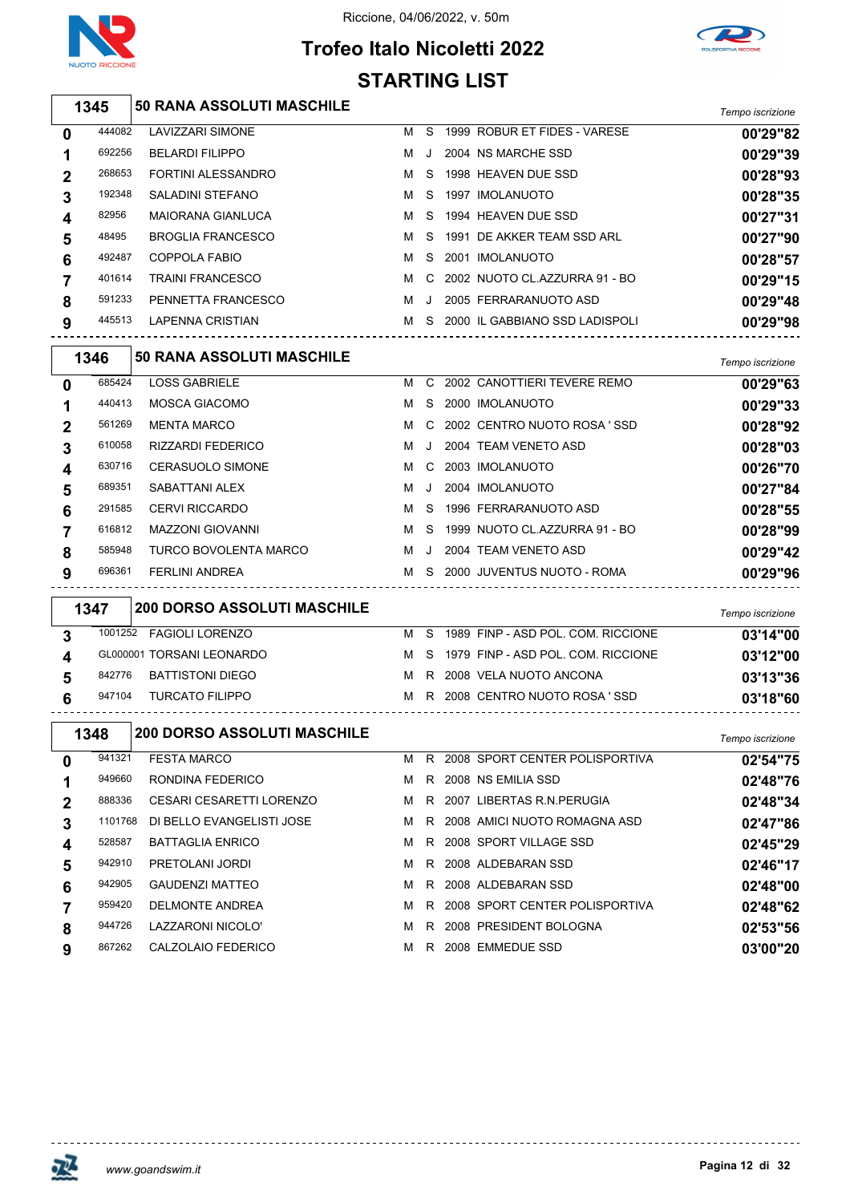

 $\sqrt{2}$ 

## Riccione, 04/06/2022, v. 50m





|                | 1345   | <b>50 RANA ASSOLUTI MASCHILE</b> |   |               |  |                                    | Tempo iscrizione |
|----------------|--------|----------------------------------|---|---------------|--|------------------------------------|------------------|
| $\bf{0}$       | 444082 | <b>LAVIZZARI SIMONE</b>          | м | S.            |  | 1999 ROBUR ET FIDES - VARESE       | 00'29"82         |
| 1              | 692256 | <b>BELARDI FILIPPO</b>           | м | $\cdot$       |  | 2004 NS MARCHE SSD                 | 00'29"39         |
| $\mathbf{2}$   | 268653 | <b>FORTINI ALESSANDRO</b>        | м | <sub>S</sub>  |  | 1998 HEAVEN DUE SSD                | 00'28"93         |
| 3              | 192348 | SALADINI STEFANO                 | м | S.            |  | 1997 IMOLANUOTO                    | 00'28"35         |
| 4              | 82956  | <b>MAIORANA GIANLUCA</b>         | м |               |  | S 1994 HEAVEN DUE SSD              | 00'27"31         |
| 5              | 48495  | <b>BROGLIA FRANCESCO</b>         | м | S.            |  | 1991 DE AKKER TEAM SSD ARL         | 00'27"90         |
| 6              | 492487 | COPPOLA FABIO                    | м | S.            |  | 2001 IMOLANUOTO                    | 00'28"57         |
| $\overline{7}$ | 401614 | <b>TRAINI FRANCESCO</b>          | м |               |  | C 2002 NUOTO CL.AZZURRA 91 - BO    | 00'29"15         |
| 8              | 591233 | PENNETTA FRANCESCO               | м | $\cdot$       |  | 2005 FERRARANUOTO ASD              | 00'29"48         |
| 9              | 445513 | LAPENNA CRISTIAN                 |   |               |  | M S 2000 IL GABBIANO SSD LADISPOLI | 00'29"98         |
|                | 1346   | <b>50 RANA ASSOLUTI MASCHILE</b> |   |               |  |                                    | Tempo iscrizione |
| $\mathbf 0$    | 685424 | <b>LOSS GABRIELE</b>             | м | $\mathcal{C}$ |  | 2002 CANOTTIERI TEVERE REMO        | 00'29"63         |
| 1              | 440413 | <b>MOSCA GIACOMO</b>             | м |               |  | S 2000 IMOLANUOTO                  | 00'29"33         |
| າ              | 561269 | <b>MENTA MARCO</b>               | м |               |  | C 2002 CENTRO NUOTO ROSA 'SSD      | 00'28"92         |

| $\mathbf 2$            | 561269 | <b>MENTA MARCO</b>       |   |     | M C 2002 CENTRO NUOTO ROSA 'SSD | 00'28"92 |
|------------------------|--------|--------------------------|---|-----|---------------------------------|----------|
| 3                      | 610058 | <b>RIZZARDI FEDERICO</b> | м |     | 2004 TEAM VENETO ASD            | 00'28"03 |
| $\boldsymbol{\Lambda}$ | 630716 | <b>CERASUOLO SIMONE</b>  |   |     | M C 2003 IMOLANUOTO             | 00'26"70 |
| 5                      | 689351 | SABATTANI ALEX           | м | - J | 2004 IMOLANUOTO                 | 00'27"84 |
| 6                      | 291585 | <b>CERVI RICCARDO</b>    | м | - S | 1996 FERRARANUOTO ASD           | 00'28"55 |
|                        | 616812 | <b>MAZZONI GIOVANNI</b>  | м |     | S 1999 NUOTO CL.AZZURRA 91 - BO | 00'28"99 |
| 8                      | 585948 | TURCO BOVOLENTA MARCO    | м |     | 2004 TEAM VENETO ASD            | 00'29"42 |
| 9                      | 696361 | <b>FERLINI ANDREA</b>    | м |     | S 2000 JUVENTUS NUOTO - ROMA    | 00'29"96 |

| 1347   | <b>200 DORSO ASSOLUTI MASCHILE</b> |     |                                        | Tempo iscrizione |
|--------|------------------------------------|-----|----------------------------------------|------------------|
|        | 1001252 FAGIOLI LORENZO            | M S | 1989 FINP - ASD POL. COM. RICCIONE     | 03'14"00         |
|        | GL000001 TORSANI LEONARDO          |     | M S 1979 FINP - ASD POL. COM. RICCIONE | 03'12"00         |
| 842776 | BATTISTONI DIEGO                   |     | M R 2008 VELA NUOTO ANCONA             | 03'13"36         |
| 947104 | TURCATO FILIPPO                    |     | M R 2008 CENTRO NUOTO ROSA 'SSD        | 03'18"60         |

|             | 1348    | <b>200 DORSO ASSOLUTI MASCHILE</b> |   |    |                                | Tempo iscrizione |
|-------------|---------|------------------------------------|---|----|--------------------------------|------------------|
| 0           | 941321  | <b>FESTA MARCO</b>                 | м | R. | 2008 SPORT CENTER POLISPORTIVA | 02'54"75         |
|             | 949660  | RONDINA FEDERICO                   | м | R. | 2008 NS EMILIA SSD             | 02'48"76         |
| $\mathbf 2$ | 888336  | <b>CESARI CESARETTI LORENZO</b>    | м | R. | 2007 LIBERTAS R.N.PERUGIA      | 02'48"34         |
| 3           | 1101768 | DI BELLO EVANGELISTI JOSE          | м |    | R 2008 AMICI NUOTO ROMAGNA ASD | 02'47"86         |
| 4           | 528587  | <b>BATTAGLIA ENRICO</b>            | м | R. | 2008 SPORT VILLAGE SSD         | 02'45"29         |
| 5           | 942910  | PRETOLANI JORDI                    | м | R  | 2008 ALDEBARAN SSD             | 02'46"17         |
| 6           | 942905  | <b>GAUDENZI MATTEO</b>             | м |    | R 2008 ALDEBARAN SSD           | 02'48"00         |
|             | 959420  | <b>DELMONTE ANDREA</b>             | м | R. | 2008 SPORT CENTER POLISPORTIVA | 02'48"62         |
| 8           | 944726  | LAZZARONI NICOLO'                  | м | R. | 2008 PRESIDENT BOLOGNA         | 02'53"56         |
| 9           | 867262  | CALZOLAIO FEDERICO                 | м | R. | 2008 EMMEDUE SSD               | 03'00"20         |
|             |         |                                    |   |    |                                |                  |

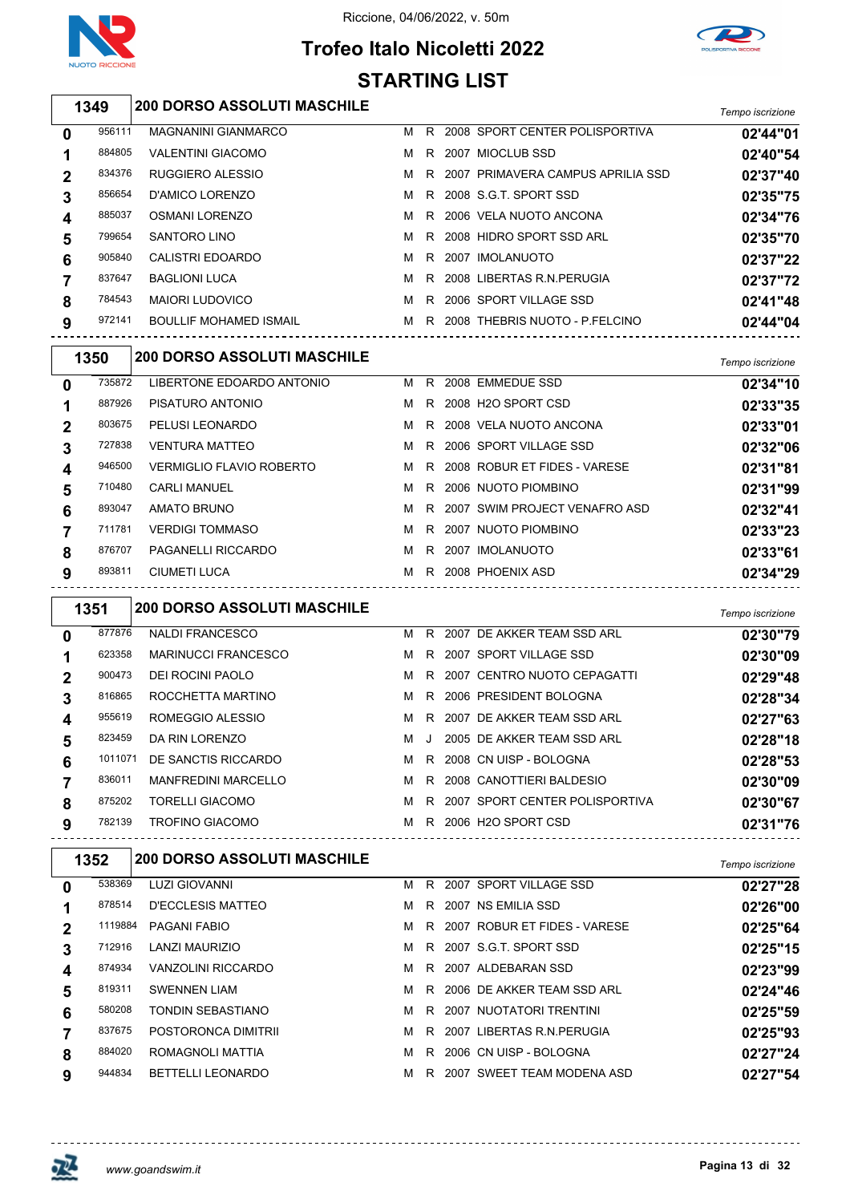

# **Trofeo Italo Nicoletti 2022 STARTING LIST**



# *Tempo iscrizione* **200 DORSO ASSOLUTI MASCHILE**

| 0 | 956111 | <b>MAGNANINI GIANMARCO</b>    | м | R  | 2008 SPORT CENTER POLISPORTIVA    | 02'44"01 |
|---|--------|-------------------------------|---|----|-----------------------------------|----------|
|   | 884805 | <b>VALENTINI GIACOMO</b>      | м | R. | 2007 MIOCLUB SSD                  | 02'40"54 |
| 2 | 834376 | RUGGIERO ALESSIO              | м | R. | 2007 PRIMAVERA CAMPUS APRILIA SSD | 02'37"40 |
| 3 | 856654 | D'AMICO LORENZO               | м |    | R 2008 S.G.T. SPORT SSD           | 02'35"75 |
| 4 | 885037 | <b>OSMANI LORENZO</b>         | м |    | R 2006 VELA NUOTO ANCONA          | 02'34"76 |
| 5 | 799654 | SANTORO LINO                  | м | R. | 2008 HIDRO SPORT SSD ARL          | 02'35"70 |
| 6 | 905840 | CALISTRI EDOARDO              | м | R  | 2007 IMOLANUOTO                   | 02'37"22 |
|   | 837647 | <b>BAGLIONI LUCA</b>          | м | R. | 2008 LIBERTAS R.N. PERUGIA        | 02'37"72 |
| 8 | 784543 | <b>MAIORI LUDOVICO</b>        | м | R  | 2006 SPORT VILLAGE SSD            | 02'41"48 |
| 9 | 972141 | <b>BOULLIF MOHAMED ISMAIL</b> | м | R  | 2008 THEBRIS NUOTO - P FELCINO    | 02'44"04 |
|   |        |                               |   |    |                                   |          |

|                | 1350   | <b>200 DORSO ASSOLUTI MASCHILE</b> |   |     |                               | Tempo iscrizione |
|----------------|--------|------------------------------------|---|-----|-------------------------------|------------------|
| $\mathbf{0}$   | 735872 | LIBERTONE EDOARDO ANTONIO          |   | M R | 2008 EMMEDUE SSD              | 02'34"10         |
|                | 887926 | PISATURO ANTONIO                   | M | R   | 2008 H2O SPORT CSD            | 02'33"35         |
| $\overline{2}$ | 803675 | PELUSI LEONARDO                    | м | R   | 2008 VELA NUOTO ANCONA        | 02'33"01         |
| 3              | 727838 | <b>VENTURA MATTEO</b>              | м | R.  | 2006 SPORT VILLAGE SSD        | 02'32"06         |
| 4              | 946500 | <b>VERMIGLIO FLAVIO ROBERTO</b>    | M | R.  | 2008 ROBUR ET FIDES - VARESE  | 02'31"81         |
| 5              | 710480 | <b>CARLI MANUEL</b>                | м | R   | 2006 NUOTO PIOMBINO           | 02'31"99         |
| 6              | 893047 | AMATO BRUNO                        | м | R   | 2007 SWIM PROJECT VENAFRO ASD | 02'32"41         |
|                | 711781 | <b>VERDIGI TOMMASO</b>             | м | R.  | 2007 NUOTO PIOMBINO           | 02'33"23         |
| 8              | 876707 | PAGANELLI RICCARDO                 | M | R.  | 2007 IMOLANUOTO               | 02'33"61         |
| 9              | 893811 | CIUMETI LUCA                       | м | R   | 2008 PHOENIX ASD              | 02'34"29         |

|              | 1351    | <b>200 DORSO ASSOLUTI MASCHILE</b> |   |              |                                  | Tempo iscrizione |
|--------------|---------|------------------------------------|---|--------------|----------------------------------|------------------|
| $\mathbf 0$  | 877876  | <b>NALDI FRANCESCO</b>             | M |              | R 2007 DE AKKER TEAM SSD ARL     | 02'30"79         |
|              | 623358  | <b>MARINUCCI FRANCESCO</b>         |   |              | M R 2007 SPORT VILLAGE SSD       | 02'30"09         |
| $\mathbf{2}$ | 900473  | DEI ROCINI PAOLO                   | M |              | R 2007 CENTRO NUOTO CEPAGATTI    | 02'29"48         |
| 3            | 816865  | ROCCHETTA MARTINO                  |   |              | M R 2006 PRESIDENT BOLOGNA       | 02'28"34         |
| 4            | 955619  | ROMEGGIO ALESSIO                   |   |              | M R 2007 DE AKKER TEAM SSD ARL   | 02'27"63         |
| 5            | 823459  | DA RIN LORENZO                     | M | $\mathbf{J}$ | 2005 DE AKKER TEAM SSD ARL       | 02'28"18         |
| 6            | 1011071 | DE SANCTIS RICCARDO                |   |              | M R 2008 CN UISP - BOLOGNA       | 02'28"53         |
|              | 836011  | <b>MANFREDINI MARCELLO</b>         | M |              | R 2008 CANOTTIERI BALDESIO       | 02'30"09         |
| 8            | 875202  | <b>TORELLI GIACOMO</b>             | M |              | R 2007 SPORT CENTER POLISPORTIVA | 02'30"67         |
| 9            | 782139  | <b>TROFINO GIACOMO</b>             | M |              | R 2006 H2O SPORT CSD             | 02'31"76         |

|   | 1352    | <b>200 DORSO ASSOLUTI MASCHILE</b> |   |    |                              | Tempo iscrizione |
|---|---------|------------------------------------|---|----|------------------------------|------------------|
| 0 | 538369  | <b>LUZI GIOVANNI</b>               | м | R. | 2007 SPORT VILLAGE SSD       | 02'27"28         |
|   | 878514  | D'ECCLESIS MATTEO                  | м | R. | 2007 NS EMILIA SSD           | 02'26"00         |
| 2 | 1119884 | PAGANI FABIO                       | м | R. | 2007 ROBUR ET FIDES - VARESE | 02'25"64         |
| 3 | 712916  | <b>LANZI MAURIZIO</b>              | м | R. | 2007 S.G.T. SPORT SSD        | 02'25"15         |
| 4 | 874934  | <b>VANZOLINI RICCARDO</b>          | м | R. | 2007 ALDEBARAN SSD           | 02'23"99         |
| 5 | 819311  | <b>SWENNEN LIAM</b>                | м | R. | 2006 DE AKKER TEAM SSD ARL   | 02'24"46         |
| 6 | 580208  | TONDIN SEBASTIANO                  | м | R. | 2007 NUOTATORI TRENTINI      | 02'25"59         |
|   | 837675  | POSTORONCA DIMITRII                | м | R. | 2007 LIBERTAS R.N. PERUGIA   | 02'25"93         |
| 8 | 884020  | ROMAGNOLI MATTIA                   | м | R. | 2006 CN UISP - BOLOGNA       | 02'27"24         |
| 9 | 944834  | <b>BETTELLI LEONARDO</b>           | м | R. | 2007 SWEET TEAM MODENA ASD   | 02'27"54         |

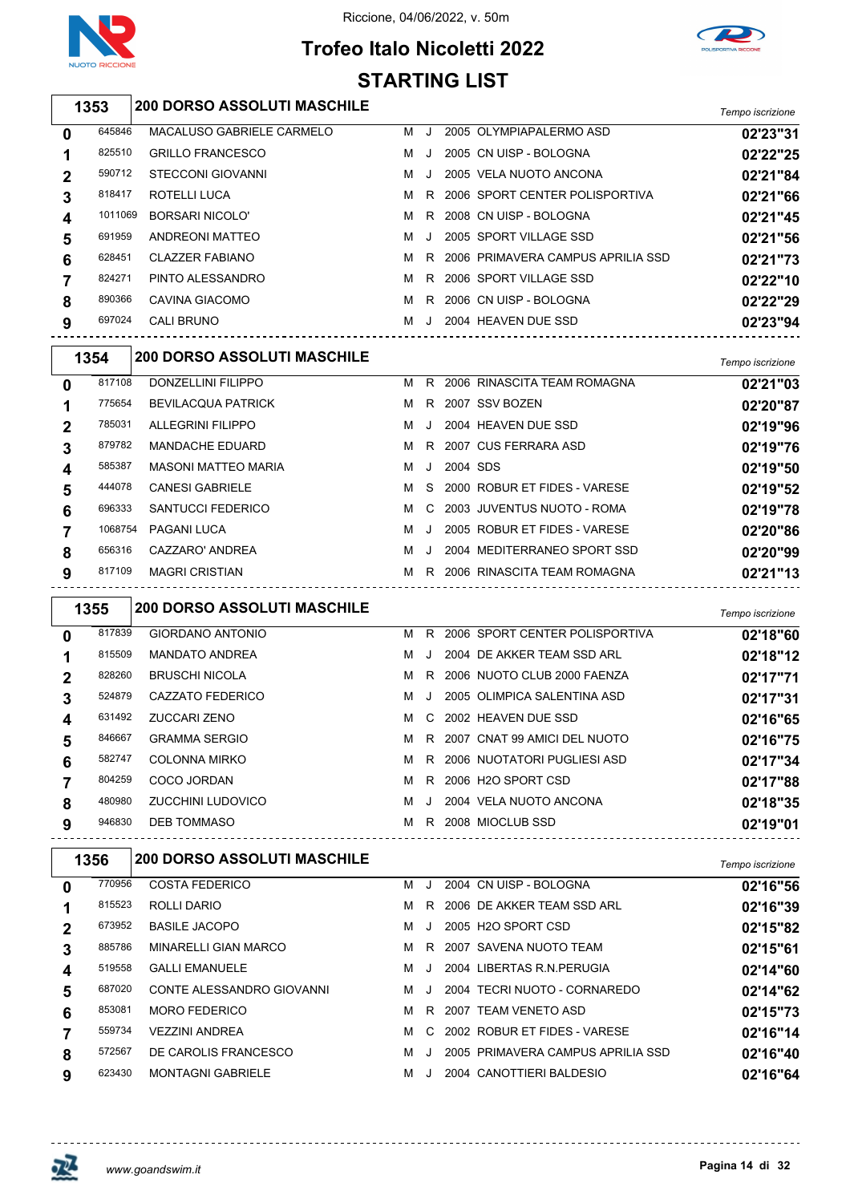

## **Trofeo Italo Nicoletti 2022 STARTING LIST**



|             | STARTING LIST |                                    |    |     |          |                                     |                  |
|-------------|---------------|------------------------------------|----|-----|----------|-------------------------------------|------------------|
|             | 1353          | 200 DORSO ASSOLUTI MASCHILE        |    |     |          |                                     | Tempo iscrizione |
| 0           | 645846        | MACALUSO GABRIELE CARMELO          |    | M J |          | 2005 OLYMPIAPALERMO ASD             | 02'23"31         |
| 1           | 825510        | <b>GRILLO FRANCESCO</b>            | M  | J   |          | 2005 CN UISP - BOLOGNA              | 02'22"25         |
| 2           | 590712        | <b>STECCONI GIOVANNI</b>           | M  | J   |          | 2005 VELA NUOTO ANCONA              | 02'21"84         |
| 3           | 818417        | ROTELLI LUCA                       | м  | R   |          | 2006 SPORT CENTER POLISPORTIVA      | 02'21"66         |
| 4           | 1011069       | <b>BORSARI NICOLO'</b>             | M  | R.  |          | 2008 CN UISP - BOLOGNA              | 02'21"45         |
| 5           | 691959        | <b>ANDREONI MATTEO</b>             | м  | J   |          | 2005 SPORT VILLAGE SSD              | 02'21"56         |
| 6           | 628451        | <b>CLAZZER FABIANO</b>             | м  |     |          | R 2006 PRIMAVERA CAMPUS APRILIA SSD | 02'21"73         |
| 7           | 824271        | PINTO ALESSANDRO                   | M  |     |          | R 2006 SPORT VILLAGE SSD            | 02'22"10         |
| 8           | 890366        | CAVINA GIACOMO                     | M  | R   |          | 2006 CN UISP - BOLOGNA              | 02'22"29         |
| 9           | 697024        | <b>CALI BRUNO</b>                  |    |     |          | M J 2004 HEAVEN DUE SSD             | 02'23"94         |
|             | 1354          | 200 DORSO ASSOLUTI MASCHILE        |    |     |          |                                     | Tempo iscrizione |
| 0           | 817108        | DONZELLINI FILIPPO                 |    |     |          | M R 2006 RINASCITA TEAM ROMAGNA     | 02'21"03         |
| 1           | 775654        | <b>BEVILACQUA PATRICK</b>          | M  |     |          | R 2007 SSV BOZEN                    | 02'20"87         |
| $\mathbf 2$ | 785031        | <b>ALLEGRINI FILIPPO</b>           | M  | J   |          | 2004 HEAVEN DUE SSD                 | 02'19"96         |
| 3           | 879782        | <b>MANDACHE EDUARD</b>             | M  | R   |          | 2007 CUS FERRARA ASD                | 02'19"76         |
| 4           | 585387        | <b>MASONI MATTEO MARIA</b>         | M  | J   | 2004 SDS |                                     | 02'19"50         |
| 5           | 444078        | <b>CANESI GABRIELE</b>             | м  | S   |          | 2000 ROBUR ET FIDES - VARESE        | 02'19"52         |
| 6           | 696333        | SANTUCCI FEDERICO                  | м  | C   |          | 2003 JUVENTUS NUOTO - ROMA          | 02'19"78         |
| 7           | 1068754       | PAGANI LUCA                        | M  | J   |          | 2005 ROBUR ET FIDES - VARESE        | 02'20"86         |
| 8           | 656316        | CAZZARO' ANDREA                    | M  | J   |          | 2004 MEDITERRANEO SPORT SSD         | 02'20"99         |
| 9           | 817109        | <b>MAGRI CRISTIAN</b>              |    |     |          | M R 2006 RINASCITA TEAM ROMAGNA     | 02'21"13         |
|             | 1355          | <b>200 DORSO ASSOLUTI MASCHILE</b> |    |     |          |                                     | Tempo iscrizione |
| 0           | 817839        | <b>GIORDANO ANTONIO</b>            |    |     |          | M R 2006 SPORT CENTER POLISPORTIVA  | 02'18"60         |
| 1           | 815509        | <b>MANDATO ANDREA</b>              | M  | J   |          | 2004 DE AKKER TEAM SSD ARL          | 02'18"12         |
| 2           | 828260        | <b>BRUSCHI NICOLA</b>              | M  | R.  |          | 2006 NUOTO CLUB 2000 FAENZA         | 02'17"71         |
| 3           | 524879        | CAZZATO FEDERICO                   | M  | J   |          | 2005 OLIMPICA SALENTINA ASD         | 02'17"31         |
|             | 631492        | ZUCCARI ZENO                       |    |     |          | M C 2002 HEAVEN DUE SSD             | 02'16"65         |
| 5           | 846667        | <b>GRAMMA SERGIO</b>               | M  |     |          | R 2007 CNAT 99 AMICI DEL NUOTO      | 02'16"75         |
| 6           | 582747        | <b>COLONNA MIRKO</b>               | M  |     |          | R 2006 NUOTATORI PUGLIESI ASD       | 02'17"34         |
| 7           | 804259        | COCO JORDAN                        | M  |     |          | R 2006 H2O SPORT CSD                | 02'17"88         |
| 8           | 480980        | ZUCCHINI LUDOVICO                  | M  |     |          | J 2004 VELA NUOTO ANCONA            | 02'18"35         |
| 9           | 946830        | <b>DEB TOMMASO</b>                 |    |     |          | M R 2008 MIOCLUB SSD                | 02'19"01         |
|             | 1356          | <b>200 DORSO ASSOLUTI MASCHILE</b> |    |     |          |                                     | Tempo iscrizione |
| 0           | 770956        | <b>COSTA FEDERICO</b>              |    |     |          | M J 2004 CN UISP - BOLOGNA          | 02'16"56         |
| 1           | 815523        | ROLLI DARIO                        |    |     |          | M R 2006 DE AKKER TEAM SSD ARL      | 02'16"39         |
| 2           | 673952        | <b>BASILE JACOPO</b>               | M  | J   |          | 2005 H2O SPORT CSD                  | 02'15"82         |
| 3           | 885786        | MINARELLI GIAN MARCO               |    |     |          | M R 2007 SAVENA NUOTO TEAM          | 02'15"61         |
| 4           | 519558        | <b>GALLI EMANUELE</b>              | MJ |     |          | 2004 LIBERTAS R.N.PERUGIA           | 02'14"60         |
| 5           | 687020        | CONTE ALESSANDRO GIOVANNI          |    | MJ. |          | 2004 TECRI NUOTO - CORNAREDO        | 02'14"62         |
| 6           | 853081        | <b>MORO FEDERICO</b>               |    |     |          | M R 2007 TEAM VENETO ASD            | 02'15"73         |

 VEZZINI ANDREA M C 2002 ROBUR ET FIDES - VARESE **02'16"14** DE CAROLIS FRANCESCO M J 2005 PRIMAVERA CAMPUS APRILIA SSD **02'16"40** MONTAGNI GABRIELE M J 2004 CANOTTIERI BALDESIO **02'16"64**



<u> - - - - - - - - - - - -</u>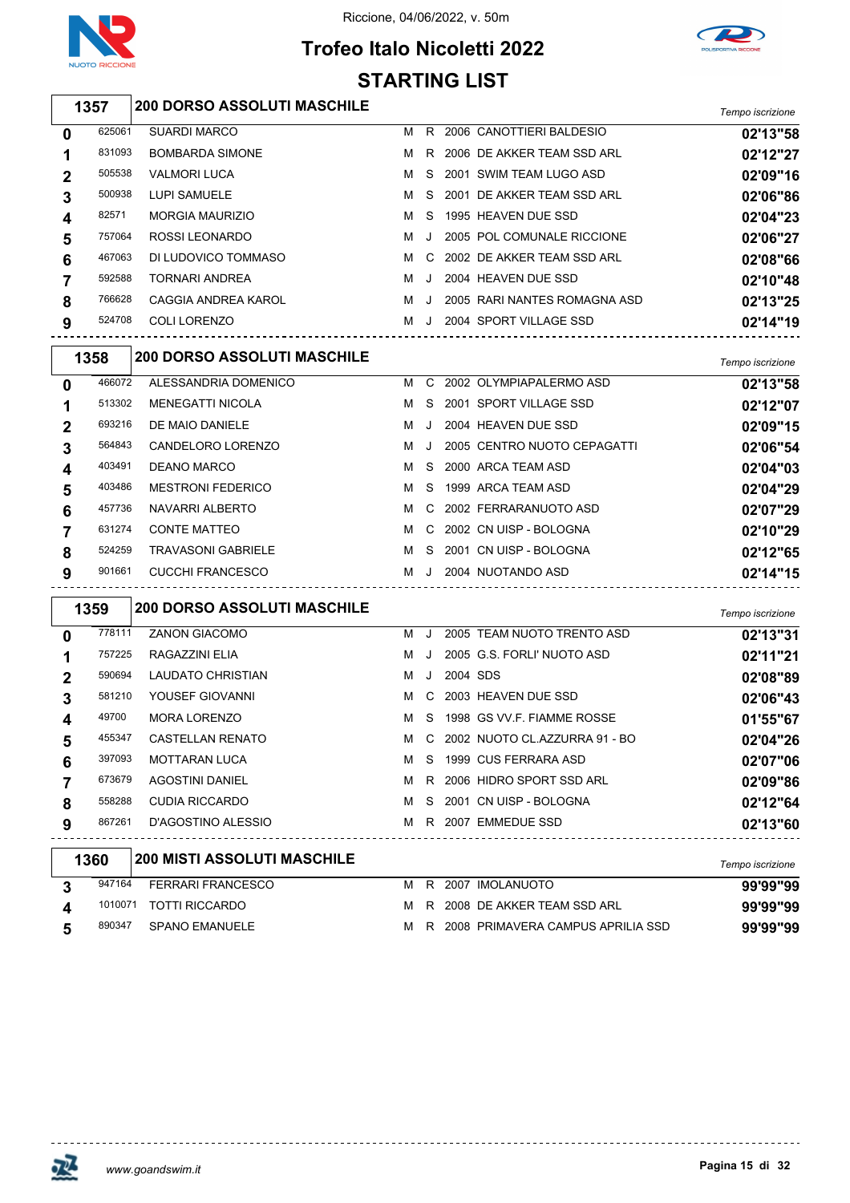



# **Trofeo Italo Nicoletti 2022 STARTING LIST**

| 1357 | <b>200 DORSO ASSOLUTI MASCHILE</b> | Tempo iscrizione |
|------|------------------------------------|------------------|
|      |                                    |                  |

| 02'13"58 |
|----------|
| 02'12"27 |
| 02'09"16 |
| 02'06"86 |
| 02'04"23 |
| 02'06"27 |
| 02'08"66 |
| 02'10"48 |
| 02'13"25 |
| 02'14"19 |
|          |

|             | 1358   | <b>200 DORSO ASSOLUTI MASCHILE</b> |   |         |                             | Tempo iscrizione |
|-------------|--------|------------------------------------|---|---------|-----------------------------|------------------|
| $\bf{0}$    | 466072 | ALESSANDRIA DOMENICO               | м |         | C 2002 OLYMPIAPALERMO ASD   | 02'13"58         |
|             | 513302 | <b>MENEGATTI NICOLA</b>            | м | S.      | 2001 SPORT VILLAGE SSD      | 02'12"07         |
| $\mathbf 2$ | 693216 | DE MAIO DANIELE                    | м |         | 2004 HEAVEN DUE SSD         | 02'09"15         |
| 3           | 564843 | CANDELORO LORENZO                  | м | $\cdot$ | 2005 CENTRO NUOTO CEPAGATTI | 02'06"54         |
| 4           | 403491 | <b>DEANO MARCO</b>                 | м | S.      | 2000 ARCA TEAM ASD          | 02'04"03         |
| 5           | 403486 | <b>MESTRONI FEDERICO</b>           | м | S.      | 1999 ARCA TEAM ASD          | 02'04"29         |
| 6           | 457736 | NAVARRI ALBERTO                    | м |         | C 2002 FERRARANUOTO ASD     | 02'07"29         |
|             | 631274 | CONTE MATTEO                       | м | C.      | 2002 CN UISP - BOLOGNA      | 02'10"29         |
| 8           | 524259 | <b>TRAVASONI GABRIELE</b>          | м | S.      | 2001 CN UISP - BOLOGNA      | 02'12"65         |
| 9           | 901661 | CUCCHI FRANCESCO                   | м | $\cdot$ | 2004 NUOTANDO ASD           | 02'14"15         |

|             | 1359   | <b>200 DORSO ASSOLUTI MASCHILE</b> |   |         |          |                                 | Tempo iscrizione |
|-------------|--------|------------------------------------|---|---------|----------|---------------------------------|------------------|
| 0           | 778111 | <b>ZANON GIACOMO</b>               | м |         |          | 2005 TEAM NUOTO TRENTO ASD      | 02'13"31         |
| 1           | 757225 | RAGAZZINI ELIA                     | м | $\cdot$ |          | 2005 G.S. FORLI' NUOTO ASD      | 02'11"21         |
| $\mathbf 2$ | 590694 | LAUDATO CHRISTIAN                  | м | J       | 2004 SDS |                                 | 02'08"89         |
| 3           | 581210 | YOUSEF GIOVANNI                    | м | C.      |          | 2003 HEAVEN DUE SSD             | 02'06"43         |
| 4           | 49700  | <b>MORA LORENZO</b>                | м | S.      |          | 1998 GS VV F. FIAMME ROSSE      | 01'55"67         |
| 5           | 455347 | <b>CASTELLAN RENATO</b>            | м |         |          | C 2002 NUOTO CL.AZZURRA 91 - BO | 02'04"26         |
| 6           | 397093 | <b>MOTTARAN LUCA</b>               | м | S.      |          | 1999 CUS FERRARA ASD            | 02'07"06         |
| 7           | 673679 | <b>AGOSTINI DANIEL</b>             | м | R.      |          | 2006 HIDRO SPORT SSD ARL        | 02'09"86         |
| 8           | 558288 | <b>CUDIA RICCARDO</b>              | м | S.      |          | 2001 CN UISP - BOLOGNA          | 02'12"64         |
| 9           | 867261 | D'AGOSTINO ALESSIO                 | м |         |          | R 2007 EMMEDUE SSD              | 02'13"60         |
|             | 1360   | 200 MISTI ASSOLUTI MASCHILE        |   |         |          |                                 | Tempo iscrizione |
| 3           | 947164 | <b>FERRARI FRANCESCO</b>           | м | R.      | 2007     | <b>IMOLANUOTO</b>               | 99'99"99         |

|                        |        |                          |  |                                       | 1911001001120110 |
|------------------------|--------|--------------------------|--|---------------------------------------|------------------|
| 3                      |        | 947164 FERRARI FRANCESCO |  | M R 2007 IMOLANUOTO                   | 99'99"99         |
| $\boldsymbol{\Lambda}$ |        | 1010071 TOTTI RICCARDO   |  | M R 2008 DE AKKER TEAM SSD ARL        | 99'99"99         |
| 5                      | 890347 | SPANO EMANUELE           |  | M R 2008 PRIMAVERA CAMPUS APRILIA SSD | 99'99"99         |



<u>\_\_\_\_\_\_\_\_\_\_\_\_\_</u>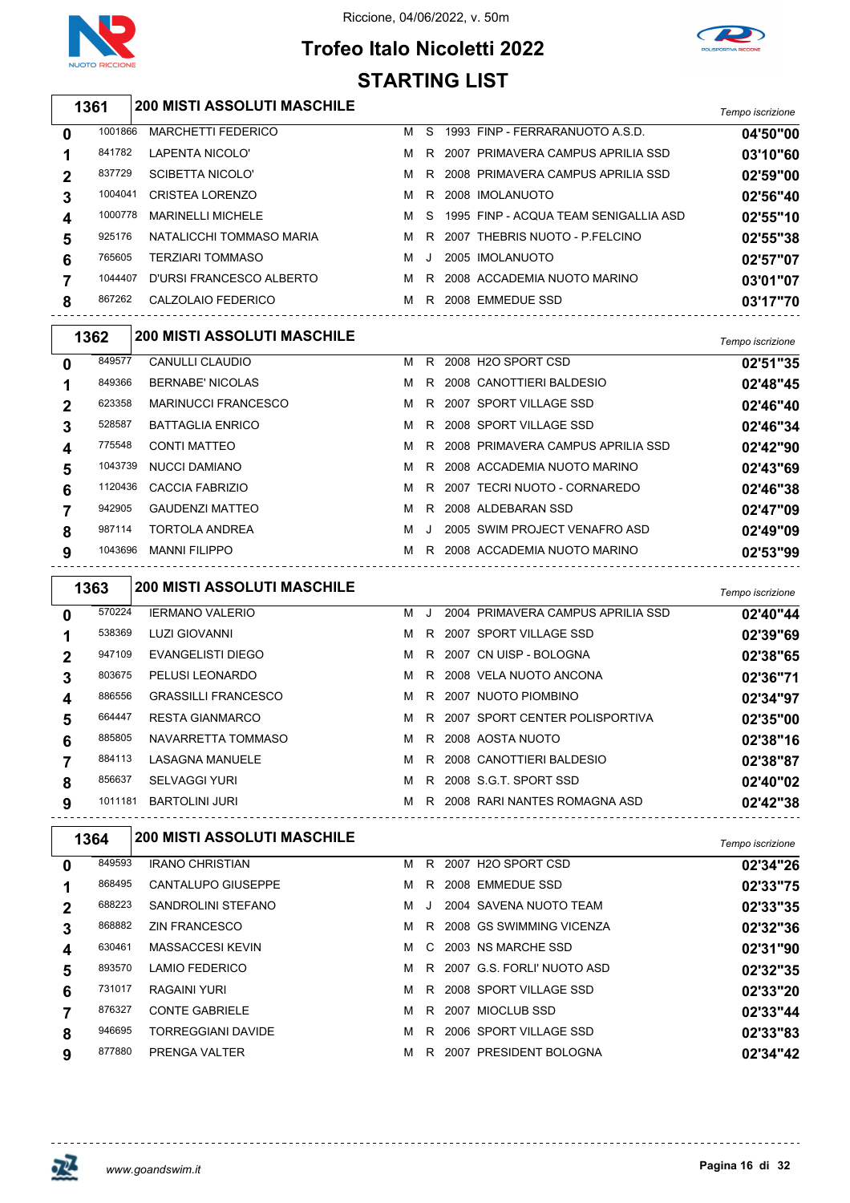

## **Trofeo Italo Nicoletti 2022 STARTING LIST**



|             | 1361    | <b>200 MISTI ASSOLUTI MASCHILE</b> |   |         |                                       | Tempo iscrizione |
|-------------|---------|------------------------------------|---|---------|---------------------------------------|------------------|
| 0           | 1001866 | <b>MARCHETTI FEDERICO</b>          |   | M S     | 1993 FINP - FERRARANUOTO A.S.D.       | 04'50"00         |
| 1           | 841782  | LAPENTA NICOLO'                    | м | R       | 2007 PRIMAVERA CAMPUS APRILIA SSD     | 03'10"60         |
| 2           | 837729  | <b>SCIBETTA NICOLO'</b>            | м | R       | 2008 PRIMAVERA CAMPUS APRILIA SSD     | 02'59"00         |
| 3           | 1004041 | <b>CRISTEA LORENZO</b>             | м | R.      | 2008 IMOLANUOTO                       | 02'56"40         |
| 4           | 1000778 | <b>MARINELLI MICHELE</b>           | м | S       | 1995 FINP - ACQUA TEAM SENIGALLIA ASD | 02'55"10         |
| 5           | 925176  | NATALICCHI TOMMASO MARIA           | M | R.      | 2007 THEBRIS NUOTO - P.FELCINO        | 02'55"38         |
| 6           | 765605  | <b>TERZIARI TOMMASO</b>            | M | J       | 2005 IMOLANUOTO                       | 02'57"07         |
| 7           | 1044407 | D'URSI FRANCESCO ALBERTO           | M | R.      | 2008 ACCADEMIA NUOTO MARINO           | 03'01"07         |
| 8           | 867262  | CALZOLAIO FEDERICO                 |   |         | M R 2008 EMMEDUE SSD                  | 03'17"70         |
|             | 1362    | <b>200 MISTI ASSOLUTI MASCHILE</b> |   |         |                                       | Tempo iscrizione |
| 0           | 849577  | CANULLI CLAUDIO                    | м |         | R 2008 H2O SPORT CSD                  | 02'51"35         |
| 1           | 849366  | <b>BERNABE' NICOLAS</b>            | M |         | R 2008 CANOTTIERI BALDESIO            | 02'48"45         |
| 2           | 623358  | <b>MARINUCCI FRANCESCO</b>         | M |         | R 2007 SPORT VILLAGE SSD              | 02'46"40         |
| 3           | 528587  | <b>BATTAGLIA ENRICO</b>            | м | R.      | 2008 SPORT VILLAGE SSD                | 02'46"34         |
| 4           | 775548  | <b>CONTI MATTEO</b>                | м | R       | 2008 PRIMAVERA CAMPUS APRILIA SSD     | 02'42"90         |
| 5           | 1043739 | <b>NUCCI DAMIANO</b>               | м |         | R 2008 ACCADEMIA NUOTO MARINO         | 02'43"69         |
| 6           | 1120436 | <b>CACCIA FABRIZIO</b>             | м |         | R 2007 TECRI NUOTO - CORNAREDO        | 02'46"38         |
| 7           | 942905  | <b>GAUDENZI MATTEO</b>             | м |         | R 2008 ALDEBARAN SSD                  | 02'47"09         |
| 8           | 987114  | <b>TORTOLA ANDREA</b>              | м | $\cdot$ | 2005 SWIM PROJECT VENAFRO ASD         | 02'49"09         |
| 9           | 1043696 | MANNI FILIPPO                      |   |         | M R 2008 ACCADEMIA NUOTO MARINO       | 02'53"99         |
|             | 1363    | <b>200 MISTI ASSOLUTI MASCHILE</b> |   |         |                                       | Tempo iscrizione |
| 0           | 570224  | <b>IERMANO VALERIO</b>             | м | J.      | 2004 PRIMAVERA CAMPUS APRILIA SSD     | 02'40"44         |
| 1           | 538369  | LUZI GIOVANNI                      | M |         | R 2007 SPORT VILLAGE SSD              | 02'39"69         |
| 2           | 947109  | EVANGELISTI DIEGO                  | M |         | R 2007 CN UISP - BOLOGNA              | 02'38"65         |
| 3           | 803675  | PELUSI LEONARDO                    | м | R.      | 2008 VELA NUOTO ANCONA                | 02'36"71         |
|             | 886556  | <b>GRASSILLI FRANCESCO</b>         | м | R       | 2007 NUOTO PIOMBINO                   | 02'34"97         |
| 5           | 664447  | <b>RESTA GIANMARCO</b>             | м |         | R 2007 SPORT CENTER POLISPORTIVA      | 02'35"00         |
| 6           | 885805  | NAVARRETTA TOMMASO                 |   |         | M R 2008 AOSTA NUOTO                  | 02'38"16         |
| 7           | 884113  | LASAGNA MANUELE                    |   |         | M R 2008 CANOTTIERI BALDESIO          | 02'38"87         |
| 8           | 856637  | <b>SELVAGGI YURI</b>               |   |         | M R 2008 S.G.T. SPORT SSD             | 02'40"02         |
| 9           |         | 1011181 BARTOLINI JURI             |   |         | M R 2008 RARI NANTES ROMAGNA ASD      | 02'42"38         |
|             | 1364    | <b>200 MISTI ASSOLUTI MASCHILE</b> |   |         |                                       | Tempo iscrizione |
| 0           | 849593  | <b>IRANO CHRISTIAN</b>             |   |         | M R 2007 H2O SPORT CSD                | 02'34"26         |
| 1           | 868495  | CANTALUPO GIUSEPPE                 |   |         | M R 2008 EMMEDUE SSD                  | 02'33"75         |
| $\mathbf 2$ | 688223  | SANDROLINI STEFANO                 |   |         | M J 2004 SAVENA NUOTO TEAM            | 02'33"35         |
| 3           | 868882  | <b>ZIN FRANCESCO</b>               |   |         | M R 2008 GS SWIMMING VICENZA          | 02'32"36         |
| 4           | 630461  | MASSACCESI KEVIN                   |   |         | M C 2003 NS MARCHE SSD                | 02'31"90         |
| 5           | 893570  | LAMIO FEDERICO                     |   |         | M R 2007 G.S. FORLI' NUOTO ASD        | 02'32"35         |
| 6           | 731017  | RAGAINI YURI                       |   |         | M R 2008 SPORT VILLAGE SSD            | 02'33"20         |
| 7           | 876327  | <b>CONTE GABRIELE</b>              | M |         | R 2007 MIOCLUB SSD                    | 02'33"44         |
| 8           | 946695  | <b>TORREGGIANI DAVIDE</b>          |   |         | M R 2006 SPORT VILLAGE SSD            | 02'33"83         |

877880 PRENGA VALTER **MR 2007 PRESIDENT BOLOGNA 02'34"42** 

邓

<u>--------------</u>

<u>----------------------</u>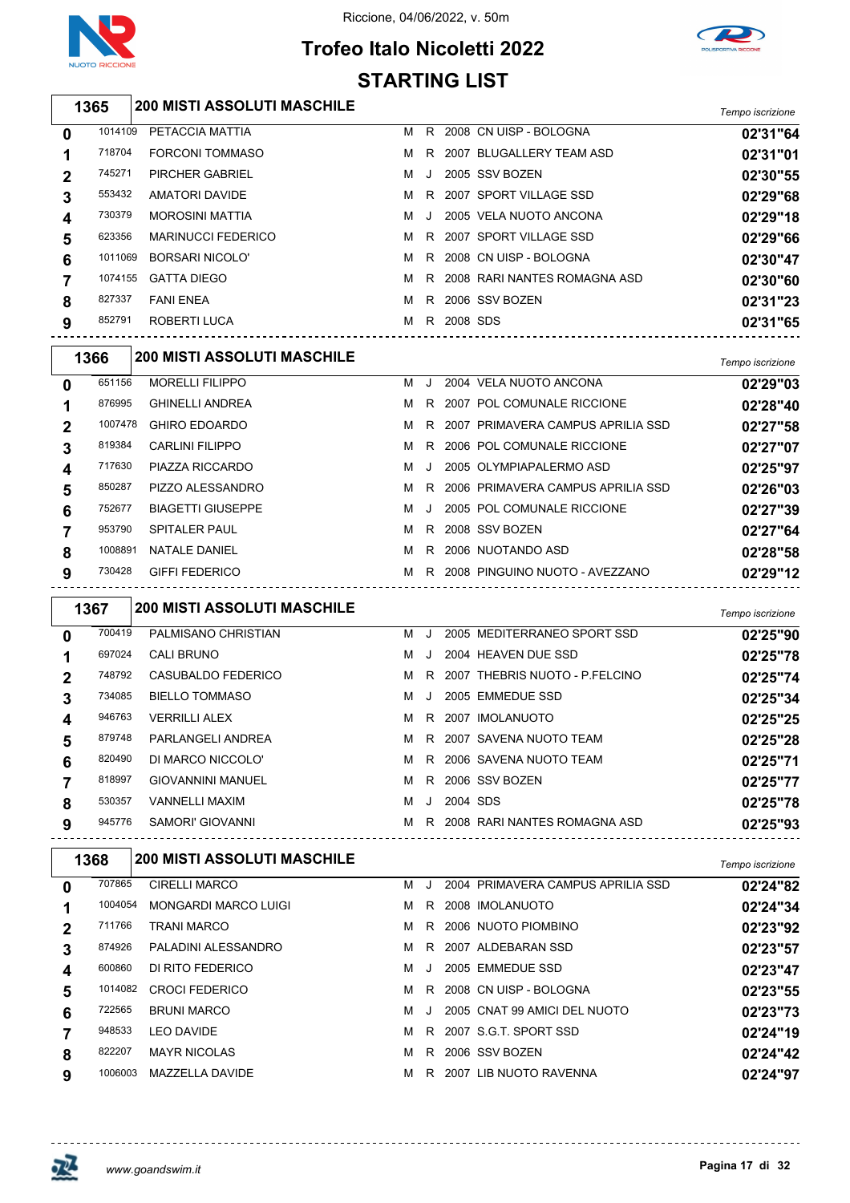

### Riccione, 04/06/2022, v. 50m

# **Trofeo Italo Nicoletti 2022 STARTING LIST**



|   | 1365    | <b>200 MISTI ASSOLUTI MASCHILE</b> |   |    |          |                              | Tempo iscrizione |
|---|---------|------------------------------------|---|----|----------|------------------------------|------------------|
| 0 | 1014109 | PETACCIA MATTIA                    | м | R. |          | 2008 CN UISP - BOLOGNA       | 02'31"64         |
|   | 718704  | <b>FORCONI TOMMASO</b>             | м | R. |          | 2007 BLUGALLERY TEAM ASD     | 02'31"01         |
| 2 | 745271  | <b>PIRCHER GABRIEL</b>             | м | -J |          | 2005 SSV BOZEN               | 02'30"55         |
| 3 | 553432  | AMATORI DAVIDE                     | м | R. |          | 2007 SPORT VILLAGE SSD       | 02'29"68         |
| 4 | 730379  | <b>MOROSINI MATTIA</b>             | м |    |          | 2005 VELA NUOTO ANCONA       | 02'29"18         |
| 5 | 623356  | <b>MARINUCCI FEDERICO</b>          | м | R  |          | 2007 SPORT VILLAGE SSD       | 02'29"66         |
| 6 | 1011069 | <b>BORSARI NICOLO'</b>             | м | R. |          | 2008 CN UISP - BOLOGNA       | 02'30"47         |
|   | 1074155 | <b>GATTA DIEGO</b>                 | м | R. |          | 2008 RARI NANTES ROMAGNA ASD | 02'30"60         |
| 8 | 827337  | <b>FANI ENEA</b>                   | м | R. |          | 2006 SSV BOZEN               | 02'31"23         |
| 9 | 852791  | <b>ROBERTI LUCA</b>                | м | R. | 2008 SDS |                              | 02'31"65         |

|             | 1366    | <b>200 MISTI ASSOLUTI MASCHILE</b> |   |         |                                   | Tempo iscrizione |
|-------------|---------|------------------------------------|---|---------|-----------------------------------|------------------|
| 0           | 651156  | <b>MORELLI FILIPPO</b>             | м |         | 2004 VELA NUOTO ANCONA            | 02'29"03         |
| 1           | 876995  | <b>GHINELLI ANDREA</b>             | м | R.      | 2007 POL COMUNALE RICCIONE        | 02'28"40         |
| $\mathbf 2$ | 1007478 | <b>GHIRO EDOARDO</b>               | м | R.      | 2007 PRIMAVERA CAMPUS APRILIA SSD | 02'27"58         |
| 3           | 819384  | <b>CARLINI FILIPPO</b>             | м | R.      | 2006 POL COMUNALE RICCIONE        | 02'27"07         |
| 4           | 717630  | PIAZZA RICCARDO                    | м | $\cdot$ | 2005 OLYMPIAPALERMO ASD           | 02'25"97         |
| 5           | 850287  | PIZZO ALESSANDRO                   | м | R.      | 2006 PRIMAVERA CAMPUS APRILIA SSD | 02'26"03         |
| 6           | 752677  | <b>BIAGETTI GIUSEPPE</b>           | м | J       | 2005 POL COMUNALE RICCIONE        | 02'27"39         |
| 7           | 953790  | <b>SPITALER PAUL</b>               | м | R.      | 2008 SSV BOZEN                    | 02'27"64         |
| 8           | 1008891 | NATAI F DANIFI                     | м | R.      | 2006 NUOTANDO ASD                 | 02'28"58         |
| 9           | 730428  | <b>GIFFI FEDERICO</b>              | м | R.      | 2008 PINGUINO NUOTO - AVEZZANO    | 02'29"12         |

|   | 1367   | <b>200 MISTI ASSOLUTI MASCHILE</b> |   |         |          |                                  | Tempo iscrizione |
|---|--------|------------------------------------|---|---------|----------|----------------------------------|------------------|
| 0 | 700419 | PALMISANO CHRISTIAN                | м | J.      |          | 2005 MEDITERRANEO SPORT SSD      | 02'25"90         |
|   | 697024 | CALI BRUNO                         | м | $\cdot$ |          | 2004 HEAVEN DUE SSD              | 02'25"78         |
| 2 | 748792 | CASUBALDO FEDERICO                 | м |         |          | R 2007 THEBRIS NUOTO - P.FELCINO | 02'25"74         |
| 3 | 734085 | <b>BIELLO TOMMASO</b>              | м | J.      |          | 2005 EMMEDUE SSD                 | 02'25"34         |
| 4 | 946763 | <b>VERRILLI ALEX</b>               | м | R.      |          | 2007 IMOLANUOTO                  | 02'25"25         |
| 5 | 879748 | PARLANGELI ANDREA                  | м | R.      |          | 2007 SAVENA NUOTO TEAM           | 02'25"28         |
| 6 | 820490 | DI MARCO NICCOLO'                  | м | R.      |          | 2006 SAVENA NUOTO TEAM           | 02'25"71         |
|   | 818997 | <b>GIOVANNINI MANUEL</b>           | м | R       |          | 2006 SSV BOZEN                   | 02'25"77         |
| 8 | 530357 | <b>VANNELLI MAXIM</b>              | м | $\cdot$ | 2004 SDS |                                  | 02'25"78         |
| 9 | 945776 | SAMORI' GIOVANNI                   | м | R.      |          | 2008 RARI NANTES ROMAGNA ASD     | 02'25"93         |

|                | 1368    | <b>200 MISTI ASSOLUTI MASCHILE</b> |   |         |                                   | Tempo iscrizione |
|----------------|---------|------------------------------------|---|---------|-----------------------------------|------------------|
| 0              | 707865  | <b>CIRELLI MARCO</b>               | м | - 11    | 2004 PRIMAVERA CAMPUS APRILIA SSD | 02'24"82         |
|                | 1004054 | <b>MONGARDI MARCO LUIGI</b>        | м | R.      | 2008 IMOLANUOTO                   | 02'24"34         |
| $\overline{2}$ | 711766  | TRANI MARCO                        | м | R.      | 2006 NUOTO PIOMBINO               | 02'23"92         |
| 3              | 874926  | PALADINI ALESSANDRO                | м | R.      | 2007 ALDEBARAN SSD                | 02'23"57         |
| 4              | 600860  | DI RITO FEDERICO                   | м | $\cdot$ | 2005 EMMEDUE SSD                  | 02'23"47         |
| 5              | 1014082 | <b>CROCI FEDERICO</b>              | м | R.      | 2008 CN UISP - BOLOGNA            | 02'23"55         |
| 6              | 722565  | <b>BRUNI MARCO</b>                 | м |         | 2005 CNAT 99 AMICI DEL NUOTO      | 02'23"73         |
|                | 948533  | <b>LEO DAVIDE</b>                  | м | R.      | 2007 S.G.T. SPORT SSD             | 02'24"19         |
| 8              | 822207  | <b>MAYR NICOLAS</b>                | м | R.      | 2006 SSV BOZEN                    | 02'24"42         |
| 9              | 1006003 | MAZZELLA DAVIDE                    | м | R.      | 2007 LIB NUOTO RAVENNA            | 02'24"97         |



-------------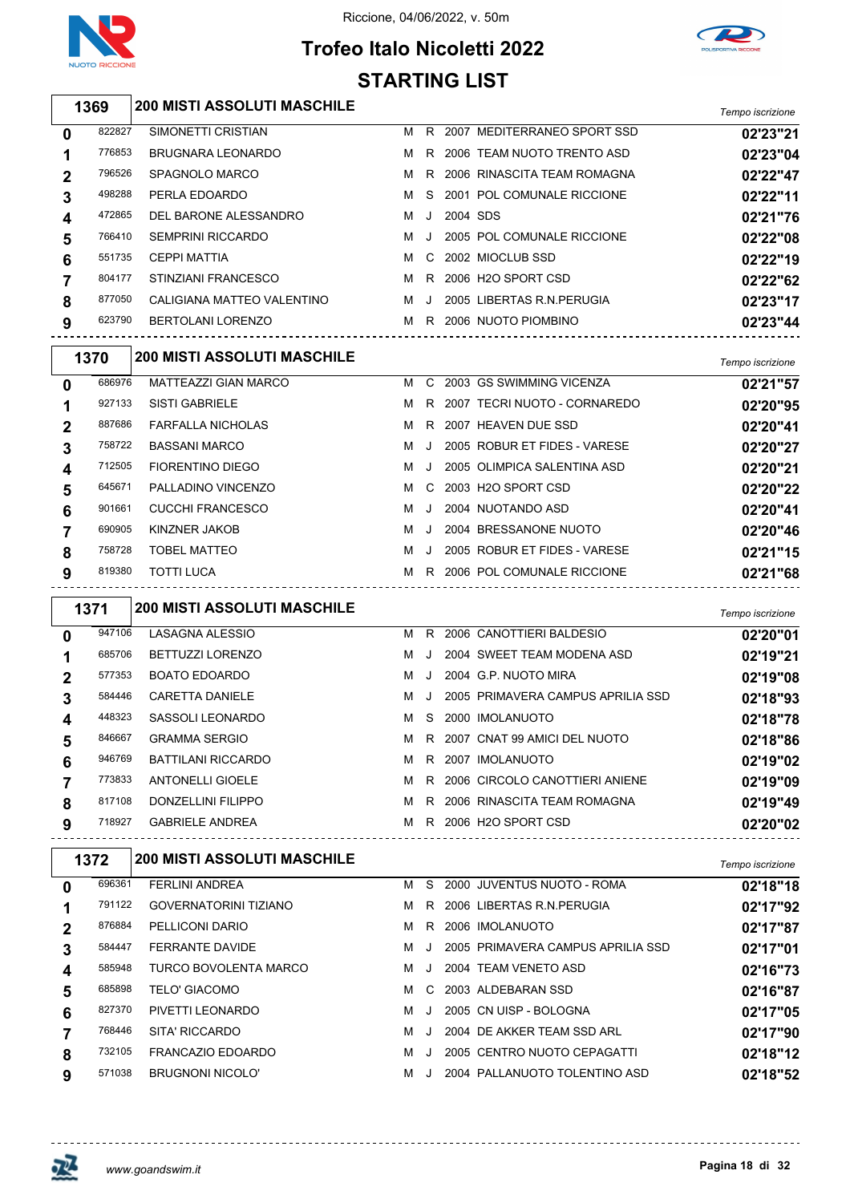





|                  |        |                                    | JIARIINU LIJI |     |          |                                       |                  |
|------------------|--------|------------------------------------|---------------|-----|----------|---------------------------------------|------------------|
|                  | 1369   | <b>200 MISTI ASSOLUTI MASCHILE</b> |               |     |          |                                       | Tempo iscrizione |
| 0                | 822827 | SIMONETTI CRISTIAN                 |               |     |          | M R 2007 MEDITERRANEO SPORT SSD       | 02'23"21         |
| 1                | 776853 | <b>BRUGNARA LEONARDO</b>           |               |     |          | M R 2006 TEAM NUOTO TRENTO ASD        | 02'23"04         |
| $\mathbf 2$      | 796526 | SPAGNOLO MARCO                     |               |     |          | M R 2006 RINASCITA TEAM ROMAGNA       | 02'22"47         |
| 3                | 498288 | PERLA EDOARDO                      | M S           |     |          | 2001 POL COMUNALE RICCIONE            | 02'22"11         |
| 4                | 472865 | DEL BARONE ALESSANDRO              |               | MJ. | 2004 SDS |                                       | 02'21"76         |
| 5                | 766410 | <b>SEMPRINI RICCARDO</b>           |               | M J |          | 2005 POL COMUNALE RICCIONE            | 02'22"08         |
| 6                | 551735 | <b>CEPPI MATTIA</b>                |               |     |          | M C 2002 MIOCLUB SSD                  | 02'22"19         |
| $\overline{7}$   | 804177 | STINZIANI FRANCESCO                |               |     |          | M R 2006 H2O SPORT CSD                | 02'22"62         |
| 8                | 877050 | CALIGIANA MATTEO VALENTINO         |               |     |          | M J 2005 LIBERTAS R.N.PERUGIA         | 02'23"17         |
| 9                | 623790 | BERTOLANI LORENZO                  |               |     |          | M R 2006 NUOTO PIOMBINO               | 02'23"44         |
|                  | 1370   | <b>200 MISTI ASSOLUTI MASCHILE</b> |               |     |          |                                       | Tempo iscrizione |
| $\mathbf 0$      | 686976 | MATTEAZZI GIAN MARCO               |               |     |          | M C 2003 GS SWIMMING VICENZA          | 02'21"57         |
| 1                | 927133 | <b>SISTI GABRIELE</b>              |               |     |          | M R 2007 TECRI NUOTO - CORNAREDO      | 02'20"95         |
| $\mathbf 2$      | 887686 | <b>FARFALLA NICHOLAS</b>           |               |     |          | M R 2007 HEAVEN DUE SSD               | 02'20"41         |
| 3                | 758722 | <b>BASSANI MARCO</b>               |               | M J |          | 2005 ROBUR ET FIDES - VARESE          | 02'20"27         |
| 4                | 712505 | FIORENTINO DIEGO                   |               | MJ. |          | 2005 OLIMPICA SALENTINA ASD           | 02'20"21         |
| 5                | 645671 | PALLADINO VINCENZO                 |               |     |          | M C 2003 H2O SPORT CSD                | 02'20"22         |
| 6                | 901661 | CUCCHI FRANCESCO                   | MJ.           |     |          | 2004 NUOTANDO ASD                     | 02'20"41         |
| $\overline{7}$   | 690905 | KINZNER JAKOB                      |               |     |          | M J 2004 BRESSANONE NUOTO             | 02'20"46         |
| 8                | 758728 | <b>TOBEL MATTEO</b>                |               |     |          | M J 2005 ROBUR ET FIDES - VARESE      | 02'21"15         |
| 9                | 819380 | <b>TOTTI LUCA</b>                  |               |     |          | M R 2006 POL COMUNALE RICCIONE        | 02'21"68         |
|                  | 1371   | <b>200 MISTI ASSOLUTI MASCHILE</b> |               |     |          |                                       | Tempo iscrizione |
| 0                | 947106 | <b>LASAGNA ALESSIO</b>             |               |     |          | M R 2006 CANOTTIERI BALDESIO          | 02'20"01         |
| 1                | 685706 | <b>BETTUZZI LORENZO</b>            |               |     |          | M J 2004 SWEET TEAM MODENA ASD        | 02'19"21         |
| $\mathbf 2$      | 577353 | <b>BOATO EDOARDO</b>               |               |     |          | M J 2004 G.P. NUOTO MIRA              | 02'19"08         |
| 3                | 584446 | CARETTA DANIELE                    |               |     |          | M J 2005 PRIMAVERA CAMPUS APRILIA SSD | 02'18"93         |
| 4                | 448323 | SASSOLI LEONARDO                   |               |     |          | M S 2000 IMOLANUOTO                   | 02'18"78         |
| 5                | 846667 | <b>GRAMMA SERGIO</b>               |               |     |          | M R 2007 CNAT 99 AMICI DEL NUOTO      | 02'18"86         |
| 6                | 946769 | BATTILANI RICCARDO                 |               |     |          | M R 2007 IMOLANUOTO                   | 02'19"02         |
| $\overline{7}$   | 773833 | <b>ANTONELLI GIOELE</b>            |               |     |          | M R 2006 CIRCOLO CANOTTIERI ANIENE    | 02'19"09         |
| 8                | 817108 | DONZELLINI FILIPPO                 |               |     |          | M R 2006 RINASCITA TEAM ROMAGNA       | 02'19"49         |
| 9                | 718927 | GABRIELE ANDREA                    |               |     |          | M R 2006 H2O SPORT CSD                | 02'20"02         |
|                  | 1372   | <b>200 MISTI ASSOLUTI MASCHILE</b> |               |     |          |                                       | Tempo iscrizione |
| 0                | 696361 | <b>FERLINI ANDREA</b>              |               |     |          | M S 2000 JUVENTUS NUOTO - ROMA        | 02'18"18         |
| 1                | 791122 | GOVERNATORINI TIZIANO              |               |     |          | M R 2006 LIBERTAS R.N. PERUGIA        | 02'17"92         |
| $\boldsymbol{2}$ | 876884 | PELLICONI DARIO                    |               |     |          | M R 2006 IMOLANUOTO                   | 02'17"87         |
| 3                | 584447 | <b>FERRANTE DAVIDE</b>             |               |     |          | M J 2005 PRIMAVERA CAMPUS APRILIA SSD | 02'17"01         |
| 4                | 585948 | TURCO BOVOLENTA MARCO              |               |     |          | M J 2004 TEAM VENETO ASD              | 02'16"73         |
| 5                | 685898 | <b>TELO' GIACOMO</b>               |               |     |          | M C 2003 ALDEBARAN SSD                | 02'16"87         |
| 6                | 827370 | PIVETTI LEONARDO                   |               |     |          | M J 2005 CN UISP - BOLOGNA            | 02'17"05         |

SITA' RICCARDO M J 2004 DE AKKER TEAM SSD ARL **02'17"90**

FRANCAZIO EDOARDO M J 2005 CENTRO NUOTO CEPAGATTI **02'18"12**

BRUGNONI NICOLO' M J 2004 PALLANUOTO TOLENTINO ASD **02'18"52**

--------------------------------------

<u> - - - - - - - - - - - -</u>

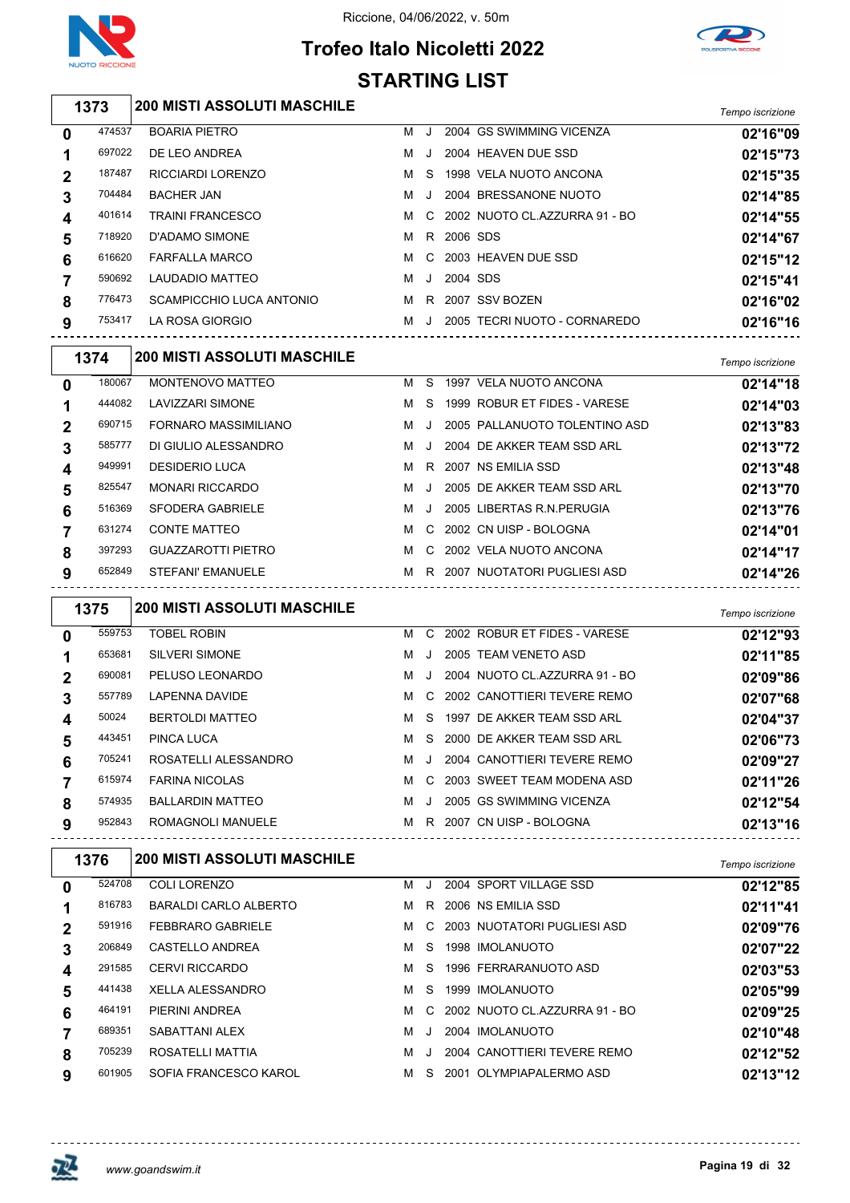





|                       |                                              | <b>STARTING LIST</b> |         |            |                                  |                  |
|-----------------------|----------------------------------------------|----------------------|---------|------------|----------------------------------|------------------|
| 1373                  | <b>200 MISTI ASSOLUTI MASCHILE</b>           |                      |         |            |                                  | Tempo iscrizione |
| 474537<br>0           | <b>BOARIA PIETRO</b>                         | М                    | J       |            | 2004 GS SWIMMING VICENZA         | 02'16"09         |
| 697022<br>1           | DE LEO ANDREA                                | м                    | $\cdot$ |            | 2004 HEAVEN DUE SSD              | 02'15"73         |
| 187487<br>2           | RICCIARDI LORENZO                            | м                    | S       |            | 1998 VELA NUOTO ANCONA           | 02'15"35         |
| 704484<br>3           | <b>BACHER JAN</b>                            | м                    | J       |            | 2004 BRESSANONE NUOTO            | 02'14"85         |
| 401614<br>4           | <b>TRAINI FRANCESCO</b>                      | м                    | C       |            | 2002 NUOTO CL.AZZURRA 91 - BO    | 02'14"55         |
| 718920<br>5           | D'ADAMO SIMONE                               | м                    |         | R 2006 SDS |                                  | 02'14"67         |
| 616620<br>6           | <b>FARFALLA MARCO</b>                        | м                    | C       |            | 2003 HEAVEN DUE SSD              | 02'15"12         |
| 590692<br>7           | LAUDADIO MATTEO                              | м                    | J       | 2004 SDS   |                                  | 02'15"41         |
| 776473<br>8           | SCAMPICCHIO LUCA ANTONIO                     | M                    |         |            | R 2007 SSV BOZEN                 | 02'16"02         |
| 753417<br>9           | LA ROSA GIORGIO                              |                      |         |            | M J 2005 TECRI NUOTO - CORNAREDO | 02'16"16         |
| 1374                  | <b>200 MISTI ASSOLUTI MASCHILE</b>           |                      |         |            |                                  | Tempo iscrizione |
| 180067<br>0           | MONTENOVO MATTEO                             |                      | M S     |            | 1997 VELA NUOTO ANCONA           | 02'14"18         |
| 444082<br>1           | <b>LAVIZZARI SIMONE</b>                      | M                    | -S      |            | 1999 ROBUR ET FIDES - VARESE     | 02'14"03         |
| 690715<br>2           | FORNARO MASSIMILIANO                         | м                    | J       |            | 2005 PALLANUOTO TOLENTINO ASD    | 02'13"83         |
| 585777<br>3           | DI GIULIO ALESSANDRO                         | м                    | $\cdot$ |            | 2004 DE AKKER TEAM SSD ARL       | 02'13"72         |
| 949991<br>4           | <b>DESIDERIO LUCA</b>                        | м                    | R.      |            | 2007 NS EMILIA SSD               | 02'13"48         |
| 825547<br>5           | <b>MONARI RICCARDO</b>                       | м                    | J       |            | 2005 DE AKKER TEAM SSD ARL       | 02'13"70         |
| 516369<br>6           | <b>SFODERA GABRIELE</b>                      | м                    | J       |            | 2005 LIBERTAS R.N. PERUGIA       | 02'13"76         |
| 631274<br>7           | <b>CONTE MATTEO</b>                          | м                    |         |            | C 2002 CN UISP - BOLOGNA         | 02'14"01         |
| 397293                | <b>GUAZZAROTTI PIETRO</b>                    | M                    |         |            | C 2002 VELA NUOTO ANCONA         | 02'14"17         |
| 8<br>9<br>652849      | STEFANI' EMANUELE                            | M                    |         |            | R 2007 NUOTATORI PUGLIESI ASD    | 02'14"26         |
|                       |                                              |                      |         |            |                                  |                  |
| 1375                  | <b>200 MISTI ASSOLUTI MASCHILE</b>           |                      |         |            |                                  | Tempo iscrizione |
| 559753<br>$\mathbf 0$ | <b>TOBEL ROBIN</b>                           |                      |         |            | M C 2002 ROBUR ET FIDES - VARESE | 02'12"93         |
| 653681<br>1           | <b>SILVERI SIMONE</b>                        | M                    | J       |            | 2005 TEAM VENETO ASD             | 02'11"85         |
| 690081<br>2           | PELUSO LEONARDO                              | м                    | J       |            | 2004 NUOTO CL.AZZURRA 91 - BO    | 02'09"86         |
| 557789<br>3           | <b>LAPENNA DAVIDE</b>                        | м                    |         |            | C 2002 CANOTTIERI TEVERE REMO    | 02'07"68         |
| 50024<br>4            | <b>BERTOLDI MATTEO</b>                       | M                    | S       |            | 1997 DE AKKER TEAM SSD ARL       | 02'04"37         |
| 443451<br>5           | PINCA LUCA                                   |                      |         |            | M S 2000 DE AKKER TEAM SSD ARL   | 02'06"73         |
| 705241<br>6           | ROSATELLI ALESSANDRO                         |                      | MJ.     |            | 2004 CANOTTIERI TEVERE REMO      | 02'09"27         |
| 615974<br>7           | <b>FARINA NICOLAS</b>                        |                      |         |            | M C 2003 SWEET TEAM MODENA ASD   | 02'11"26         |
| 574935<br>8           | BALLARDIN MATTEO                             |                      |         |            | M J 2005 GS SWIMMING VICENZA     | 02'12"54         |
| 952843<br>9           | ROMAGNOLI MANUELE M R 2007 CN UISP - BOLOGNA |                      |         |            |                                  | 02'13"16         |
| 1376                  | <b>200 MISTI ASSOLUTI MASCHILE</b>           |                      |         |            |                                  | Tempo iscrizione |
| 524708<br>0           | <b>COLI LORENZO</b>                          |                      |         |            | M J 2004 SPORT VILLAGE SSD       | 02'12"85         |
| 816783<br>1           | BARALDI CARLO ALBERTO                        |                      |         |            | M R 2006 NS EMILIA SSD           | 02'11"41         |
| 591916<br>2           | <b>FEBBRARO GABRIELE</b>                     |                      |         |            | M C 2003 NUOTATORI PUGLIESI ASD  | 02'09"76         |
| 206849<br>3           | CASTELLO ANDREA                              |                      |         |            | M S 1998 IMOLANUOTO              | 02'07"22         |
| 291585<br>4           | <b>CERVI RICCARDO</b>                        |                      |         |            | M S 1996 FERRARANUOTO ASD        | 02'03"53         |
| 441438<br>5           | XELLA ALESSANDRO                             | M                    |         |            | S 1999 IMOLANUOTO                | 02'05"99         |
| 464191<br>6           | PIERINI ANDREA                               | M                    |         |            | C 2002 NUOTO CL.AZZURRA 91 - BO  | 02'09"25         |
| 689351<br>7           | SABATTANI ALEX                               | M                    | J       |            | 2004 IMOLANUOTO                  | 02'10"48         |
| 705239<br>8           | ROSATELLI MATTIA                             |                      |         |            | M J 2004 CANOTTIERI TEVERE REMO  | 02'12"52         |
|                       |                                              |                      |         |            |                                  |                  |

SOFIA FRANCESCO KAROL M S 2001 OLYMPIAPALERMO ASD **02'13"12**

巫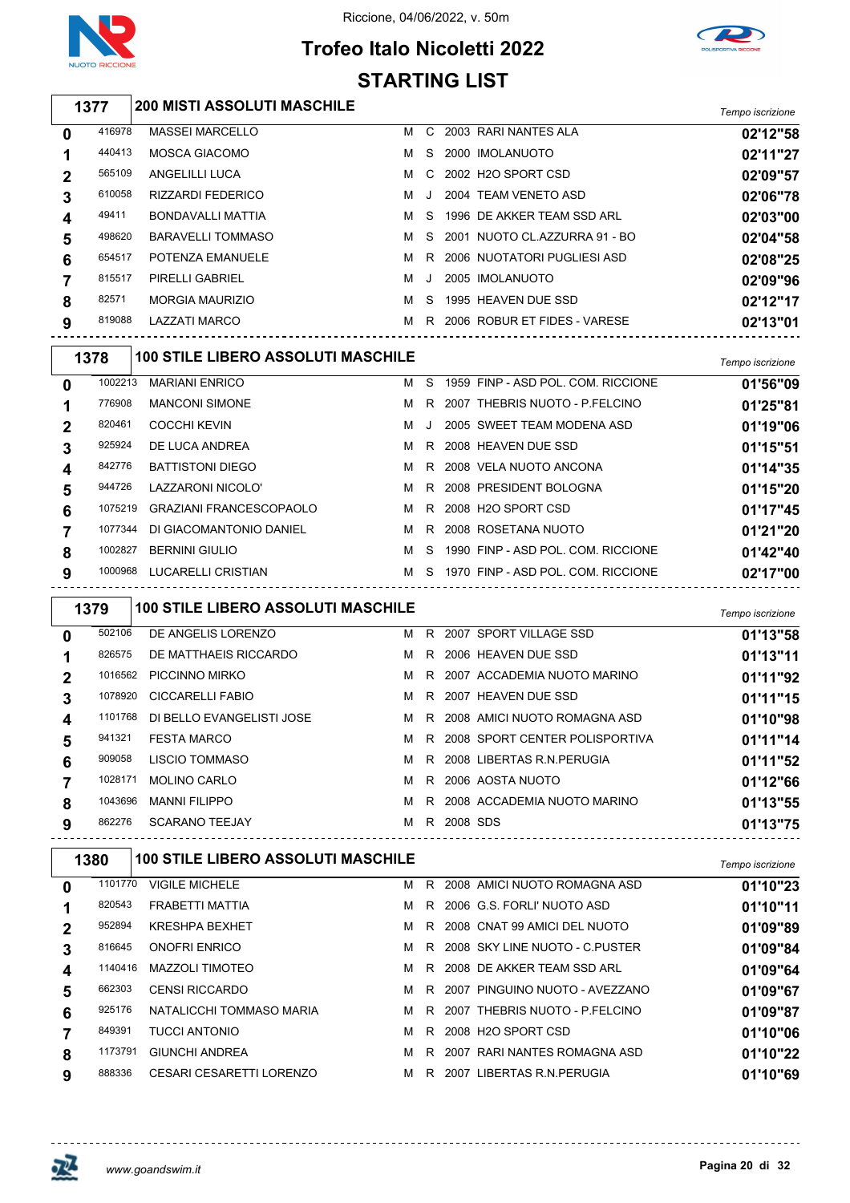

# Riccione, 04/06/2022, v. 50m



## **Trofeo Italo Nicoletti 2022 STARTING LIST**

| 1377         |        | <b>200 MISTI ASSOLUTI MASCHILE</b> |   |                |                               | Tempo iscrizione |
|--------------|--------|------------------------------------|---|----------------|-------------------------------|------------------|
| 0            | 416978 | <b>MASSEI MARCELLO</b>             | м | C.             | 2003 RARI NANTES ALA          | 02'12"58         |
|              | 440413 | MOSCA GIACOMO                      | м | S.             | 2000 IMOLANUOTO               | 02'11"27         |
| $\mathbf{2}$ | 565109 | ANGELILLI LUCA                     | м | $\overline{C}$ | 2002 H2O SPORT CSD            | 02'09"57         |
| 3            | 610058 | <b>RIZZARDI FEDERICO</b>           | м | $\cdot$        | 2004 TEAM VENETO ASD          | 02'06"78         |
| 4            | 49411  | <b>BONDAVALLI MATTIA</b>           | м | S.             | 1996 DE AKKER TEAM SSD ARL    | 02'03"00         |
| 5            | 498620 | <b>BARAVELLI TOMMASO</b>           | м | S.             | 2001 NUOTO CL.AZZURRA 91 - BO | 02'04"58         |
| 6            | 654517 | POTENZA EMANUELE                   | м | R.             | 2006 NUOTATORI PUGLIESI ASD   | 02'08"25         |
| 7            | 815517 | PIRELLI GABRIEL                    | м | $\cdot$        | 2005 IMOLANUOTO               | 02'09"96         |
| 8            | 82571  | <b>MORGIA MAURIZIO</b>             | м | <sub>S</sub>   | 1995 HEAVEN DUE SSD           | 02'12"17         |

| 819088  | <b>LAZZATI MARCO</b>                      | м | R. | 2006 ROBUR ET FIDES - VARESE       | 02'13"01         |
|---------|-------------------------------------------|---|----|------------------------------------|------------------|
| 1378    | <b>100 STILE LIBERO ASSOLUTI MASCHILE</b> |   |    |                                    | Tempo iscrizione |
| 1002213 | <b>MARIANI ENRICO</b>                     | м | S. | 1959 FINP - ASD POL. COM. RICCIONE | 01'56"09         |
| 776908  | <b>MANCONI SIMONE</b>                     | м | R  | 2007 THEBRIS NUOTO - P.FELCINO     | 01'25"81         |
| 820461  | <b>COCCHI KEVIN</b>                       | м |    | 2005 SWEET TEAM MODENA ASD         | 01'19"06         |
| 925924  | DE LUCA ANDREA                            | м | R  | 2008 HEAVEN DUE SSD                | 01'15"51         |
| 842776  | <b>BATTISTONI DIEGO</b>                   | м | R  | 2008 VELA NUOTO ANCONA             | 01'14"35         |
| 944726  | LAZZARONI NICOLO'                         | м | R  | 2008 PRESIDENT BOLOGNA             | 01'15"20         |

| 5  | 944726 LAZZARONI NICOLO'        |  | M R 2008 PRESIDENT BOLOGNA             | 01'15"20 |
|----|---------------------------------|--|----------------------------------------|----------|
| 6  | 1075219 GRAZIANI FRANCESCOPAOLO |  | M R 2008 H2O SPORT CSD                 | 01'17"45 |
|    | 1077344 DI GIACOMANTONIO DANIEL |  | M R 2008 ROSETANA NUOTO                | 01'21"20 |
| 8. | 1002827 BERNINI GIULIO          |  | M S 1990 FINP - ASD POL. COM. RICCIONE | 01'42"40 |
| 9  | 1000968 LUCARELLI CRISTIAN      |  | M S 1970 FINP - ASD POL. COM. RICCIONE | 02'17"00 |

|             | 1379    | <b>100 STILE LIBERO ASSOLUTI MASCHILE</b> |   |    |          |                                  | Tempo iscrizione |
|-------------|---------|-------------------------------------------|---|----|----------|----------------------------------|------------------|
| $\bf{0}$    | 502106  | DE ANGELIS LORENZO                        | м | R. |          | 2007 SPORT VILLAGE SSD           | 01'13"58         |
| 1           | 826575  | DE MATTHAEIS RICCARDO                     | м |    |          | R 2006 HEAVEN DUE SSD            | 01'13"11         |
| $\mathbf 2$ | 1016562 | PICCINNO MIRKO                            | м |    |          | R 2007 ACCADEMIA NUOTO MARINO    | 01'11"92         |
| 3           | 1078920 | <b>CICCARELLI FABIO</b>                   | м |    |          | R 2007 HEAVEN DUE SSD            | 01'11"15         |
| 4           | 1101768 | DI BELLO EVANGELISTI JOSE                 | м |    |          | R 2008 AMICI NUOTO ROMAGNA ASD   | 01'10"98         |
| 5           | 941321  | <b>FESTA MARCO</b>                        | м |    |          | R 2008 SPORT CENTER POLISPORTIVA | 01'11"14         |
| 6           | 909058  | LISCIO TOMMASO                            | м | R. |          | 2008 LIBERTAS R.N.PERUGIA        | 01'11"52         |
|             | 1028171 | <b>MOLINO CARLO</b>                       | м | R. |          | 2006 AOSTA NUOTO                 | 01'12"66         |
| 8           | 1043696 | <b>MANNI FILIPPO</b>                      | м | R. |          | 2008 ACCADEMIA NUOTO MARINO      | 01'13"55         |
| 9           | 862276  | <b>SCARANO TEEJAY</b>                     | м | R  | 2008 SDS |                                  | 01'13"75         |
|             |         |                                           |   |    |          |                                  |                  |

| Tempo iscrizione |
|------------------|
| 01'10"23         |
| 01'10"11         |
| 01'09"89         |
| 01'09"84         |
| 01'09"64         |
| 01'09"67         |
| 01'09"87         |
| 01'10"06         |
| 01'10"22         |
| 01'10"69         |
|                  |

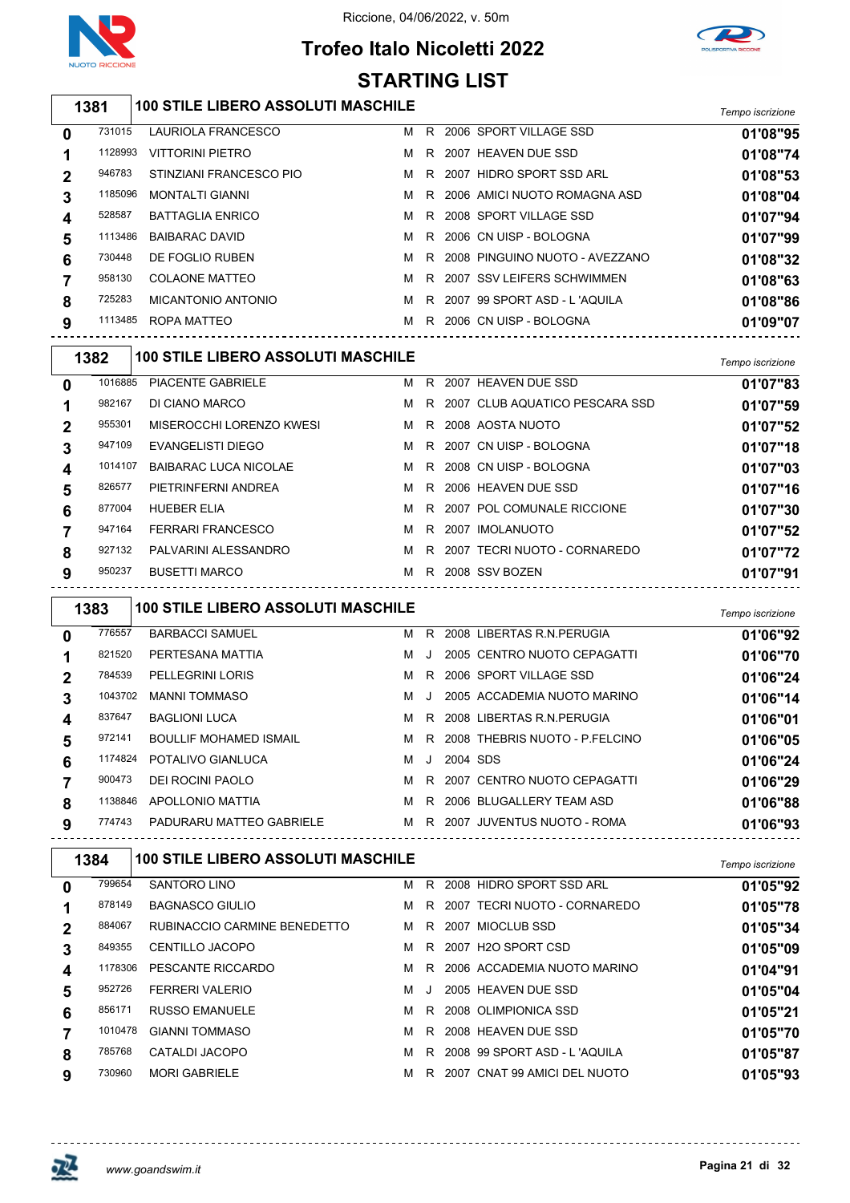

# **Trofeo Italo Nicoletti 2022**



|                  | <b>STARTING LIST</b> |                                                   |   |     |          |                                    |                  |  |  |  |  |
|------------------|----------------------|---------------------------------------------------|---|-----|----------|------------------------------------|------------------|--|--|--|--|
|                  | 1381                 | 100 STILE LIBERO ASSOLUTI MASCHILE                |   |     |          |                                    | Tempo iscrizione |  |  |  |  |
| 0                | 731015               | LAURIOLA FRANCESCO                                |   |     |          | M R 2006 SPORT VILLAGE SSD         | 01'08"95         |  |  |  |  |
| 1                | 1128993              | <b>VITTORINI PIETRO</b>                           | м |     |          | R 2007 HEAVEN DUE SSD              | 01'08"74         |  |  |  |  |
| 2                | 946783               | STINZIANI FRANCESCO PIO                           |   |     |          | M R 2007 HIDRO SPORT SSD ARL       | 01'08"53         |  |  |  |  |
| 3                | 1185096              | <b>MONTALTI GIANNI</b>                            | м |     |          | R 2006 AMICI NUOTO ROMAGNA ASD     | 01'08"04         |  |  |  |  |
| 4                | 528587               | <b>BATTAGLIA ENRICO</b>                           | м |     |          | R 2008 SPORT VILLAGE SSD           | 01'07"94         |  |  |  |  |
| 5                | 1113486              | <b>BAIBARAC DAVID</b>                             | м | R.  |          | 2006 CN UISP - BOLOGNA             | 01'07"99         |  |  |  |  |
| 6                | 730448               | DE FOGLIO RUBEN                                   | м |     |          | R 2008 PINGUINO NUOTO - AVEZZANO   | 01'08"32         |  |  |  |  |
| 7                | 958130               | <b>COLAONE MATTEO</b>                             |   |     |          | M R 2007 SSV LEIFERS SCHWIMMEN     | 01'08"63         |  |  |  |  |
| 8                | 725283               | MICANTONIO ANTONIO                                | M |     |          | R 2007 99 SPORT ASD - L'AQUILA     | 01'08"86         |  |  |  |  |
| 9                | 1113485              | ROPA MATTEO                                       |   |     |          | M R 2006 CN UISP - BOLOGNA         | 01'09"07         |  |  |  |  |
|                  | 1382                 | <b>100 STILE LIBERO ASSOLUTI MASCHILE</b>         |   |     |          |                                    | Tempo iscrizione |  |  |  |  |
| 0                | 1016885              | PIACENTE GABRIELE                                 |   |     |          | M R 2007 HEAVEN DUE SSD            | 01'07"83         |  |  |  |  |
| 1                | 982167               | DI CIANO MARCO                                    | M |     |          | R 2007 CLUB AQUATICO PESCARA SSD   | 01'07"59         |  |  |  |  |
| 2                | 955301               | MISEROCCHI LORENZO KWESI                          |   |     |          | M R 2008 AOSTA NUOTO               | 01'07"52         |  |  |  |  |
| 3                | 947109               | <b>EVANGELISTI DIEGO</b>                          |   |     |          | M R 2007 CN UISP - BOLOGNA         | 01'07"18         |  |  |  |  |
| 4                | 1014107              | <b>BAIBARAC LUCA NICOLAE</b>                      |   |     |          | M R 2008 CN UISP - BOLOGNA         | 01'07"03         |  |  |  |  |
| 5                | 826577               | PIETRINFERNI ANDREA                               | M |     |          | R 2006 HEAVEN DUE SSD              | 01'07"16         |  |  |  |  |
| 6                | 877004               | <b>HUEBER ELIA</b>                                | M | R.  |          | 2007 POL COMUNALE RICCIONE         | 01'07"30         |  |  |  |  |
| 7                | 947164               | <b>FERRARI FRANCESCO</b>                          | M |     |          | R 2007 IMOLANUOTO                  | 01'07"52         |  |  |  |  |
| 8                | 927132               | PALVARINI ALESSANDRO                              |   |     |          | M R 2007 TECRI NUOTO - CORNAREDO   | 01'07"72         |  |  |  |  |
| 9                | 950237               | <b>BUSETTI MARCO</b>                              |   |     |          | M R 2008 SSV BOZEN                 | 01'07"91         |  |  |  |  |
|                  | 1383                 | <b>100 STILE LIBERO ASSOLUTI MASCHILE</b>         |   |     |          |                                    | Tempo iscrizione |  |  |  |  |
| 0                | 776557               | <b>BARBACCI SAMUEL</b>                            |   |     |          | M R 2008 LIBERTAS R.N. PERUGIA     | 01'06"92         |  |  |  |  |
| 1                | 821520               | PERTESANA MATTIA                                  | м | J   |          | 2005 CENTRO NUOTO CEPAGATTI        | 01'06"70         |  |  |  |  |
| 2                | 784539               | <b>PELLEGRINI LORIS</b>                           | м |     |          | R 2006 SPORT VILLAGE SSD           | 01'06"24         |  |  |  |  |
| 3                | 1043702              | <b>MANNI TOMMASO</b>                              | м | J   |          | 2005 ACCADEMIA NUOTO MARINO        | 01'06"14         |  |  |  |  |
| 4                | 837647               | <b>BAGLIONI LUCA</b>                              |   |     |          | M R 2008 LIBERTAS R.N. PERUGIA     | 01'06"01         |  |  |  |  |
| 5                | 972141               | BOULLIF MOHAMED ISMAIL                            |   |     |          | M R 2008 THEBRIS NUOTO - P.FELCINO | 01'06"05         |  |  |  |  |
| 6                | 1174824              | POTALIVO GIANLUCA                                 |   | M J | 2004 SDS |                                    | 01'06"24         |  |  |  |  |
| 7                | 900473               | DEI ROCINI PAOLO                                  |   |     |          | M R 2007 CENTRO NUOTO CEPAGATTI    | 01'06"29         |  |  |  |  |
| 8                | 1138846              | APOLLONIO MATTIA                                  |   |     |          | M R 2006 BLUGALLERY TEAM ASD       | 01'06"88         |  |  |  |  |
| 9                | 774743               | PADURARU MATTEO GABRIELE<br>--------------------- |   |     |          | M R 2007 JUVENTUS NUOTO - ROMA     | 01'06"93         |  |  |  |  |
|                  | 1384                 | <b>100 STILE LIBERO ASSOLUTI MASCHILE</b>         |   |     |          |                                    | Tempo iscrizione |  |  |  |  |
| 0                | 799654               | SANTORO LINO                                      |   |     |          | M R 2008 HIDRO SPORT SSD ARL       | 01'05"92         |  |  |  |  |
| 1                | 878149               | <b>BAGNASCO GIULIO</b>                            |   |     |          | M R 2007 TECRI NUOTO - CORNAREDO   | 01'05"78         |  |  |  |  |
| $\boldsymbol{2}$ | 884067               | RUBINACCIO CARMINE BENEDETTO                      |   |     |          | M R 2007 MIOCLUB SSD               | 01'05"34         |  |  |  |  |
| $\mathbf 3$      | 849355               | CENTILLO JACOPO                                   |   |     |          | M R 2007 H2O SPORT CSD             | 01'05"09         |  |  |  |  |
| 4                | 1178306              | PESCANTE RICCARDO                                 |   |     |          | M R 2006 ACCADEMIA NUOTO MARINO    | 01'04"91         |  |  |  |  |
| 5                | 952726               | <b>FERRERI VALERIO</b>                            | M | J   |          | 2005 HEAVEN DUE SSD                | 01'05"04         |  |  |  |  |
| 6                | 856171               | RUSSO EMANUELE                                    |   |     |          | M R 2008 OLIMPIONICA SSD           | 01'05"21         |  |  |  |  |



<u>-------------</u>

 $- - - - - - -$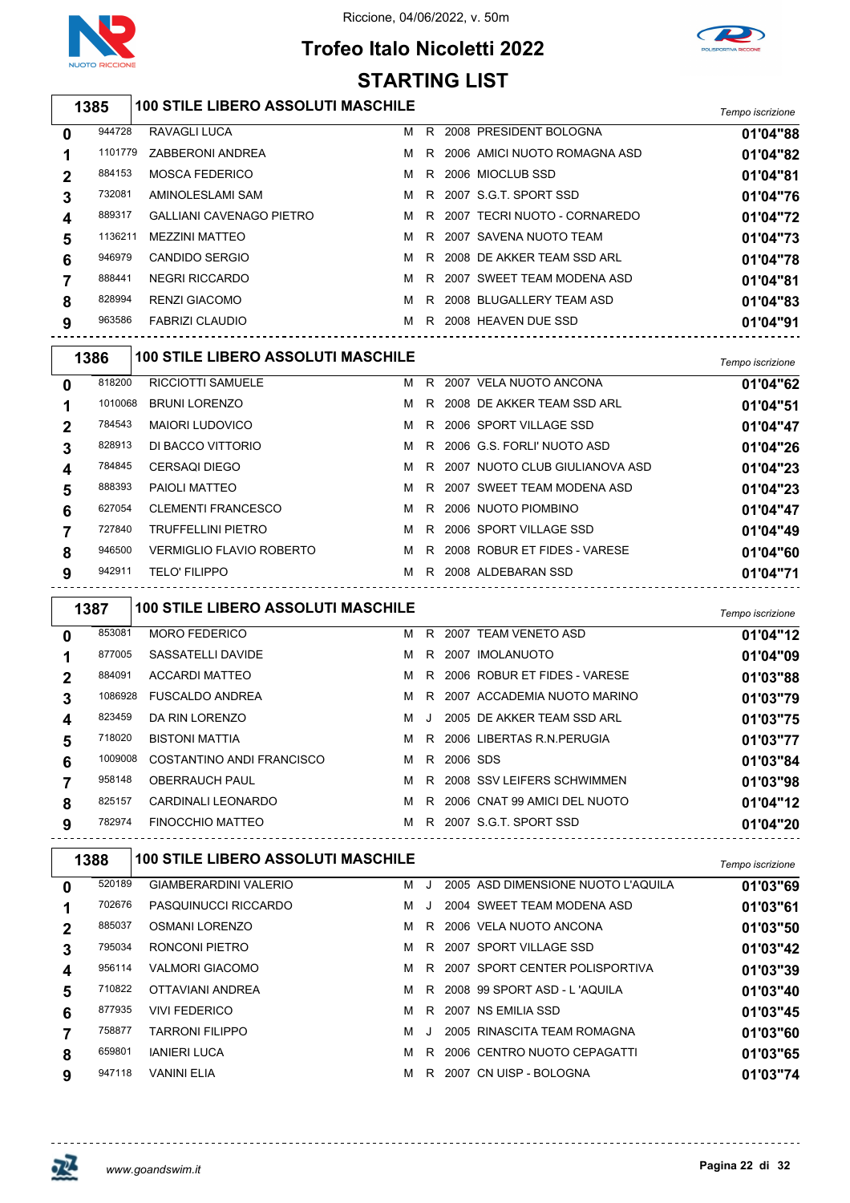

# **Trofeo Italo Nicoletti 2022**



#### *Tempo iscrizione* **100 STILE LIBERO ASSOLUTI MASCHILE** RAVAGLI LUCA M R 2008 PRESIDENT BOLOGNA **01'04"88** ZABBERONI ANDREA M R 2006 AMICI NUOTO ROMAGNA ASD **01'04"82** MOSCA FEDERICO M R 2006 MIOCLUB SSD **01'04"81** AMINOLESLAMI SAM M R 2007 S.G.T. SPORT SSD **01'04"76** GALLIANI CAVENAGO PIETRO M R 2007 TECRI NUOTO - CORNAREDO **01'04"72** MEZZINI MATTEO M R 2007 SAVENA NUOTO TEAM **01'04"73** CANDIDO SERGIO M R 2008 DE AKKER TEAM SSD ARL **01'04"78** NEGRI RICCARDO M R 2007 SWEET TEAM MODENA ASD **01'04"81** RENZI GIACOMO M R 2008 BLUGALLERY TEAM ASD **01'04"83** FABRIZI CLAUDIO M R 2008 HEAVEN DUE SSD **01'04"91** *Tempo iscrizione* **100 STILE LIBERO ASSOLUTI MASCHILE** RICCIOTTI SAMUELE M R 2007 VELA NUOTO ANCONA **01'04"62** BRUNI LORENZO M R 2008 DE AKKER TEAM SSD ARL **01'04"51** MAIORI LUDOVICO M R 2006 SPORT VILLAGE SSD **01'04"47** DI BACCO VITTORIO M R 2006 G.S. FORLI' NUOTO ASD **01'04"26** CERSAQI DIEGO M R 2007 NUOTO CLUB GIULIANOVA ASD **01'04"23** PAIOLI MATTEO M R 2007 SWEET TEAM MODENA ASD **01'04"23** CLEMENTI FRANCESCO M R 2006 NUOTO PIOMBINO **01'04"47** TRUFFELLINI PIETRO M R 2006 SPORT VILLAGE SSD **01'04"49** VERMIGLIO FLAVIO ROBERTO M R 2008 ROBUR ET FIDES - VARESE **01'04"60** TELO' FILIPPO M R 2008 ALDEBARAN SSD **01'04"71** *Tempo iscrizione* **100 STILE LIBERO ASSOLUTI MASCHILE** MORO FEDERICO M R 2007 TEAM VENETO ASD **01'04"12** 877005 SASSATELLI DAVIDE **MR** 2007 IMOLANUOTO **01'04"09**  ACCARDI MATTEO M R 2006 ROBUR ET FIDES - VARESE **01'03"88** FUSCALDO ANDREA M R 2007 ACCADEMIA NUOTO MARINO **01'03"79** DA RIN LORENZO M J 2005 DE AKKER TEAM SSD ARL **01'03"75** BISTONI MATTIA M R 2006 LIBERTAS R.N.PERUGIA **01'03"77** COSTANTINO ANDI FRANCISCO M R 2006 SDS **01'03"84** OBERRAUCH PAUL M R 2008 SSV LEIFERS SCHWIMMEN **01'03"98** CARDINALI LEONARDO M R 2006 CNAT 99 AMICI DEL NUOTO **01'04"12** FINOCCHIO MATTEO M R 2007 S.G.T. SPORT SSD **01'04"20** *Tempo iscrizione* **100 STILE LIBERO ASSOLUTI MASCHILE** GIAMBERARDINI VALERIO M J 2005 ASD DIMENSIONE NUOTO L'AQUILA **01'03"69** PASQUINUCCI RICCARDO M J 2004 SWEET TEAM MODENA ASD **01'03"61** OSMANI LORENZO M R 2006 VELA NUOTO ANCONA **01'03"50** RONCONI PIETRO M R 2007 SPORT VILLAGE SSD **01'03"42** VALMORI GIACOMO M R 2007 SPORT CENTER POLISPORTIVA **01'03"39** OTTAVIANI ANDREA M R 2008 99 SPORT ASD - L 'AQUILA **01'03"40 STARTING LIST**

 VIVI FEDERICO M R 2007 NS EMILIA SSD **01'03"45** TARRONI FILIPPO M J 2005 RINASCITA TEAM ROMAGNA **01'03"60** IANIERI LUCA M R 2006 CENTRO NUOTO CEPAGATTI **01'03"65** VANINI ELIA M R 2007 CN UISP - BOLOGNA **01'03"74**

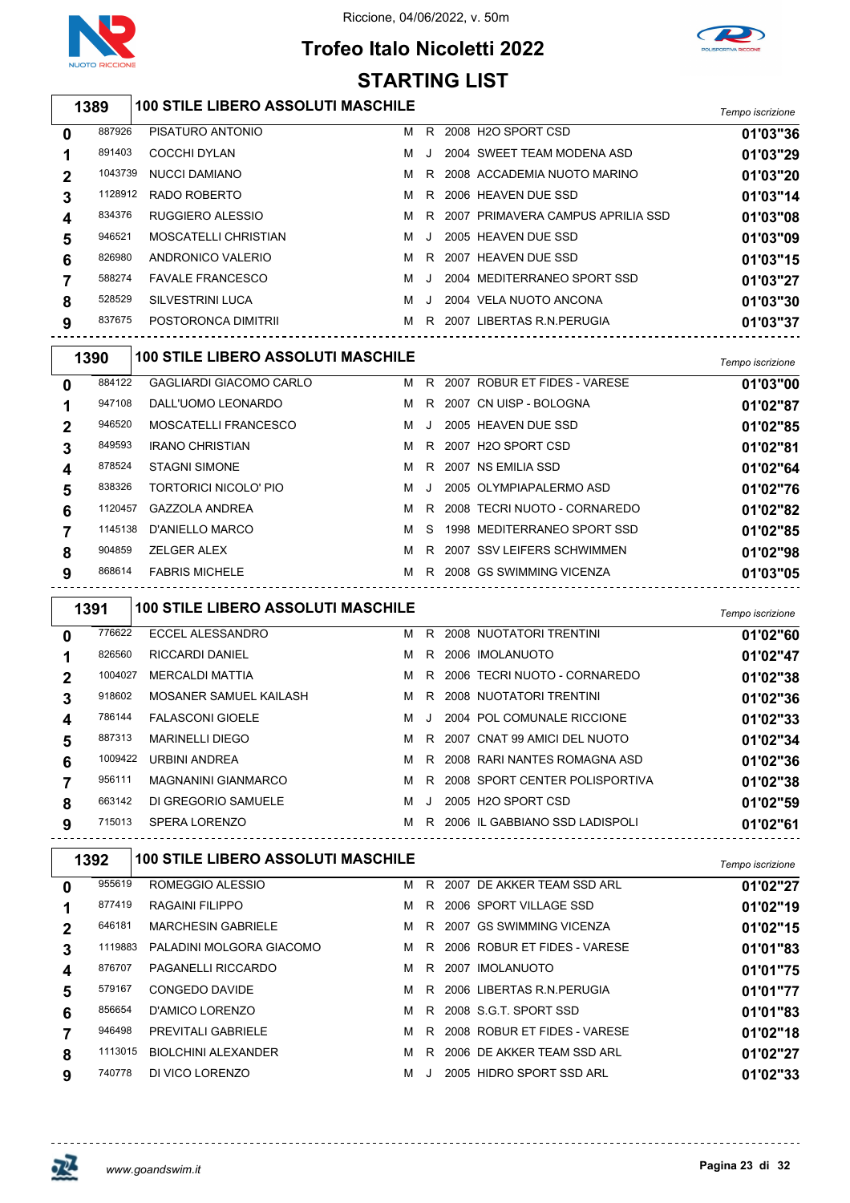

# **Trofeo Italo Nicoletti 2022 STARTING LIST**



## *Tempo iscrizione* **100 STILE LIBERO ASSOLUTI MASCHILE**

| 0           | 887926  | PISATURO ANTONIO        | м | R.      | 2008 H2O SPORT CSD                | 01'03"36 |
|-------------|---------|-------------------------|---|---------|-----------------------------------|----------|
|             | 891403  | COCCHI DYLAN            | м | $\cdot$ | 2004 SWEET TEAM MODENA ASD        | 01'03"29 |
| $\mathbf 2$ | 1043739 | NUCCI DAMIANO           | м |         | R 2008 ACCADEMIA NUOTO MARINO     | 01'03"20 |
|             | 1128912 | RADO ROBERTO            | м | R       | 2006 HEAVEN DUE SSD               | 01'03"14 |
| 4           | 834376  | RUGGIERO ALESSIO        | м | R.      | 2007 PRIMAVERA CAMPUS APRILIA SSD | 01'03"08 |
| 5           | 946521  | MOSCATELLI CHRISTIAN    | м | $\cdot$ | 2005 HEAVEN DUE SSD               | 01'03"09 |
| 6           | 826980  | ANDRONICO VALERIO       | м | R.      | 2007 HEAVEN DUE SSD               | 01'03"15 |
|             | 588274  | <b>FAVALE FRANCESCO</b> | м | $\cdot$ | 2004 MEDITERRANEO SPORT SSD       | 01'03"27 |
| 8           | 528529  | SILVESTRINI LUCA        | м | $\cdot$ | 2004 VELA NUOTO ANCONA            | 01'03"30 |
| 9           | 837675  | POSTORONCA DIMITRII     | м | R       | 2007 LIBERTAS R.N. PERUGIA        | 01'03"37 |
|             |         |                         |   |         |                                   |          |

|   | 1390    | <b>100 STILE LIBERO ASSOLUTI MASCHILE</b> |   |         |      |                              | Tempo iscrizione |
|---|---------|-------------------------------------------|---|---------|------|------------------------------|------------------|
| 0 | 884122  | <b>GAGLIARDI GIACOMO CARLO</b>            | м | R.      | 2007 | ROBUR ET FIDES - VARESE      | 01'03"00         |
|   | 947108  | DALL'UOMO LEONARDO                        | м | R.      |      | 2007 CN UISP - BOLOGNA       | 01'02"87         |
|   | 946520  | MOSCATELLI FRANCESCO                      | м | $\cdot$ |      | 2005 HEAVEN DUE SSD          | 01'02"85         |
| 3 | 849593  | <b>IRANO CHRISTIAN</b>                    | м | R.      |      | 2007 H2O SPORT CSD           | 01'02"81         |
| 4 | 878524  | <b>STAGNI SIMONE</b>                      | м | R.      |      | 2007 NS EMILIA SSD           | 01'02"64         |
| 5 | 838326  | TORTORICI NICOLO' PIO                     | м |         |      | 2005 OLYMPIAPALERMO ASD      | 01'02"76         |
| 6 | 1120457 | <b>GAZZOLA ANDREA</b>                     | м | R.      |      | 2008 TECRI NUOTO - CORNAREDO | 01'02"82         |
|   | 1145138 | <b>D'ANIELLO MARCO</b>                    | м | S.      |      | 1998 MEDITERRANEO SPORT SSD  | 01'02"85         |
| 8 | 904859  | <b>ZELGER ALEX</b>                        | м | R.      |      | 2007 SSV LEIFERS SCHWIMMEN   | 01'02"98         |
| 9 | 868614  | <b>FABRIS MICHELE</b>                     | м | R.      |      | 2008 GS SWIMMING VICENZA     | 01'03"05         |
|   |         |                                           |   |         |      |                              |                  |

|             | 1391    | <b>100 STILE LIBERO ASSOLUTI MASCHILE</b> |   |    |                                | Tempo iscrizione |
|-------------|---------|-------------------------------------------|---|----|--------------------------------|------------------|
| $\bf{0}$    | 776622  | ECCEL ALESSANDRO                          | м | R. | 2008 NUOTATORI TRENTINI        | 01'02"60         |
|             | 826560  | <b>RICCARDI DANIEL</b>                    | м | R. | 2006 IMOLANUOTO                | 01'02"47         |
| $\mathbf 2$ | 1004027 | MERCALDI MATTIA                           | м | R. | 2006 TECRI NUOTO - CORNAREDO   | 01'02"38         |
| 3           | 918602  | MOSANER SAMUEL KAILASH                    | м | R. | 2008 NUOTATORI TRENTINI        | 01'02"36         |
| 4           | 786144  | <b>FALASCONI GIOELE</b>                   | м |    | 2004 POL COMUNALE RICCIONE     | 01'02"33         |
| 5           | 887313  | <b>MARINELLI DIEGO</b>                    | м |    | R 2007 CNAT 99 AMICI DEL NUOTO | 01'02"34         |
| 6           | 1009422 | <b>URBINI ANDREA</b>                      | м | R. | 2008 RARI NANTES ROMAGNA ASD   | 01'02"36         |
|             | 956111  | <b>MAGNANINI GIANMARCO</b>                | м | R  | 2008 SPORT CENTER POLISPORTIVA | 01'02"38         |
| 8           | 663142  | DI GREGORIO SAMUELE                       | м | J. | 2005 H2O SPORT CSD             | 01'02"59         |
| 9           | 715013  | SPERA LORENZO                             | м | R. | 2006 IL GABBIANO SSD LADISPOLI | 01'02"61         |

|                | 1392    | <b>100 STILE LIBERO ASSOLUTI MASCHILE</b> |   |    |      |                                | Tempo iscrizione |
|----------------|---------|-------------------------------------------|---|----|------|--------------------------------|------------------|
| 0              | 955619  | ROMEGGIO ALESSIO                          | м | R. | 2007 | DE AKKER TEAM SSD ARL          | 01'02"27         |
|                | 877419  | RAGAINI FILIPPO                           | м |    |      | R 2006 SPORT VILLAGE SSD       | 01'02"19         |
| $\overline{2}$ | 646181  | <b>MARCHESIN GABRIELE</b>                 | м | R. |      | 2007 GS SWIMMING VICENZA       | 01'02"15         |
|                | 1119883 | PALADINI MOLGORA GIACOMO                  | м |    |      | R 2006 ROBUR ET FIDES - VARESE | 01'01"83         |
| 4              | 876707  | <b>PAGANELLI RICCARDO</b>                 | м | R. | 2007 | <b>IMOLANUOTO</b>              | 01'01"75         |
| 5              | 579167  | CONGEDO DAVIDE                            | м | R. |      | 2006 LIBERTAS R.N.PERUGIA      | 01'01"77         |
| 6              | 856654  | <b>D'AMICO LORENZO</b>                    | м | R. |      | 2008 S.G.T. SPORT SSD          | 01'01"83         |
|                | 946498  | <b>PREVITALI GABRIELE</b>                 | м | R  |      | 2008 ROBUR ET FIDES - VARESE   | 01'02"18         |
| 8              | 1113015 | <b>BIOLCHINI ALEXANDER</b>                | м | R. |      | 2006 DE AKKER TEAM SSD ARL     | 01'02"27         |
| 9              | 740778  | DI VICO LORENZO                           | м |    |      | 2005 HIDRO SPORT SSD ARL       | 01'02"33         |

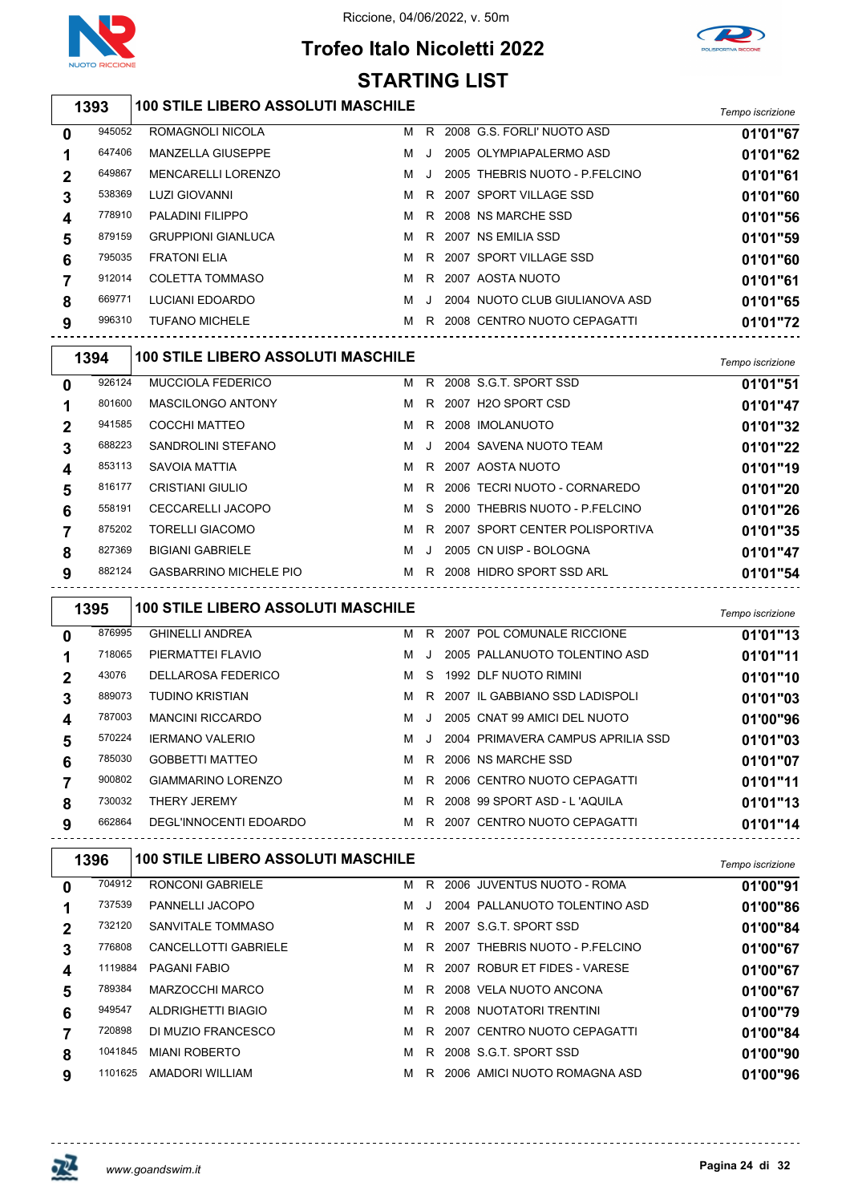





#### *Tempo iscrizione* **100 STILE LIBERO ASSOLUTI MASCHILE** ROMAGNOLI NICOLA M R 2008 G.S. FORLI' NUOTO ASD **01'01"67** MANZELLA GIUSEPPE M J 2005 OLYMPIAPALERMO ASD **01'01"62** MENCARELLI LORENZO M J 2005 THEBRIS NUOTO - P.FELCINO **01'01"61** LUZI GIOVANNI M R 2007 SPORT VILLAGE SSD **01'01"60** PALADINI FILIPPO M R 2008 NS MARCHE SSD **01'01"56** GRUPPIONI GIANLUCA M R 2007 NS EMILIA SSD **01'01"59** FRATONI ELIA M R 2007 SPORT VILLAGE SSD **01'01"60** COLETTA TOMMASO M R 2007 AOSTA NUOTO **01'01"61** LUCIANI EDOARDO M J 2004 NUOTO CLUB GIULIANOVA ASD **01'01"65** TUFANO MICHELE M R 2008 CENTRO NUOTO CEPAGATTI **01'01"72** *Tempo iscrizione* **100 STILE LIBERO ASSOLUTI MASCHILE**

|                | 1 J J 4 | TOO OTILL LIDLING AGGOLOTI MAGOTHLE |   |    |                                  | Tempo iscrizione |
|----------------|---------|-------------------------------------|---|----|----------------------------------|------------------|
| 0              | 926124  | <b>MUCCIOLA FEDERICO</b>            | м |    | R 2008 S.G.T. SPORT SSD          | 01'01"51         |
|                | 801600  | <b>MASCILONGO ANTONY</b>            | м |    | R 2007 H2O SPORT CSD             | 01'01"47         |
| $\overline{2}$ | 941585  | COCCHI MATTEO                       | м | R. | 2008 IMOLANUOTO                  | 01'01"32         |
|                | 688223  | SANDROLINI STEFANO                  | м |    | 2004 SAVENA NUOTO TEAM           | 01'01"22         |
| 4              | 853113  | SAVOIA MATTIA                       | м |    | R 2007 AOSTA NUOTO               | 01'01"19         |
| 5              | 816177  | <b>CRISTIANI GIULIO</b>             | м |    | R 2006 TECRI NUOTO - CORNAREDO   | 01'01"20         |
| 6              | 558191  | <b>CECCARELLI JACOPO</b>            | м |    | S 2000 THEBRIS NUOTO - P.FELCINO | 01'01"26         |
|                | 875202  | <b>TORELLI GIACOMO</b>              | м | R. | 2007 SPORT CENTER POLISPORTIVA   | 01'01"35         |
| 8              | 827369  | <b>BIGIANI GABRIELE</b>             | м |    | 2005 CN UISP - BOLOGNA           | 01'01"47         |
| 9              | 882124  | <b>GASBARRINO MICHELE PIO</b>       | м | R. | 2008 HIDRO SPORT SSD ARL         | 01'01"54         |
|                |         |                                     |   |    |                                  |                  |

|             | 1395   | <b>100 STILE LIBERO ASSOLUTI MASCHILE</b> |   |         |                                   | Tempo iscrizione |
|-------------|--------|-------------------------------------------|---|---------|-----------------------------------|------------------|
| 0           | 876995 | <b>GHINELLI ANDREA</b>                    | м | R.      | 2007 POL COMUNALE RICCIONE        | 01'01"13         |
|             | 718065 | PIERMATTEI FLAVIO                         | м | $\cdot$ | 2005 PALLANUOTO TOLENTINO ASD     | 01'01"11         |
| $\mathbf 2$ | 43076  | <b>DELLAROSA FEDERICO</b>                 | м | S.      | 1992 DLF NUOTO RIMINI             | 01'01"10         |
| 3           | 889073 | <b>TUDINO KRISTIAN</b>                    | м |         | R 2007 IL GABBIANO SSD LADISPOLI  | 01'01"03         |
| 4           | 787003 | <b>MANCINI RICCARDO</b>                   | м | $\cdot$ | 2005 CNAT 99 AMICI DEL NUOTO      | 01'00"96         |
| 5           | 570224 | <b>IERMANO VALERIO</b>                    | м | $\cdot$ | 2004 PRIMAVERA CAMPUS APRILIA SSD | 01'01"03         |
| 6           | 785030 | <b>GOBBETTI MATTEO</b>                    | м | R.      | 2006 NS MARCHE SSD                | 01'01"07         |
|             | 900802 | GIAMMARINO LORENZO                        | м | R I     | 2006 CENTRO NUOTO CEPAGATTI       | 01'01"11         |
| 8           | 730032 | <b>THERY JEREMY</b>                       | м | R.      | 2008 99 SPORT ASD - L'AQUILA      | 01'01"13         |
| 9           | 662864 | DEGL'INNOCENTI EDOARDO                    | м |         | R 2007 CENTRO NUOTO CEPAGATTI     | 01'01"14         |

|             | 1396    | <b>100 STILE LIBERO ASSOLUTI MASCHILE</b> |   |         |                                | Tempo iscrizione |
|-------------|---------|-------------------------------------------|---|---------|--------------------------------|------------------|
| 0           | 704912  | RONCONI GABRIELE                          | м | R.      | 2006 JUVENTUS NUOTO - ROMA     | 01'00"91         |
|             | 737539  | PANNELLI JACOPO                           | м | $\cdot$ | 2004 PALLANUOTO TOLENTINO ASD  | 01'00"86         |
| $\mathbf 2$ | 732120  | SANVITALE TOMMASO                         | м |         | R 2007 S.G.T. SPORT SSD        | 01'00"84         |
| 3           | 776808  | CANCELLOTTI GABRIELE                      | м | R.      | 2007 THEBRIS NUOTO - P.FELCINO | 01'00"67         |
| 4           | 1119884 | PAGANI FABIO                              | м | R.      | 2007 ROBUR ET FIDES - VARESE   | 01'00"67         |
| 5           | 789384  | MARZOCCHI MARCO                           | м | R.      | 2008 VELA NUOTO ANCONA         | 01'00"67         |
| 6           | 949547  | ALDRIGHETTI BIAGIO                        | м | R       | 2008 NUOTATORI TRENTINI        | 01'00"79         |
|             | 720898  | DI MUZIO FRANCESCO                        | м | R.      | 2007 CENTRO NUOTO CEPAGATTI    | 01'00"84         |
| 8           | 1041845 | <b>MIANI ROBERTO</b>                      | м | R.      | 2008 S.G.T. SPORT SSD          | 01'00"90         |
| 9           | 1101625 | AMADORI WILLIAM                           | м | R.      | 2006 AMICI NUOTO ROMAGNA ASD   | 01'00"96         |

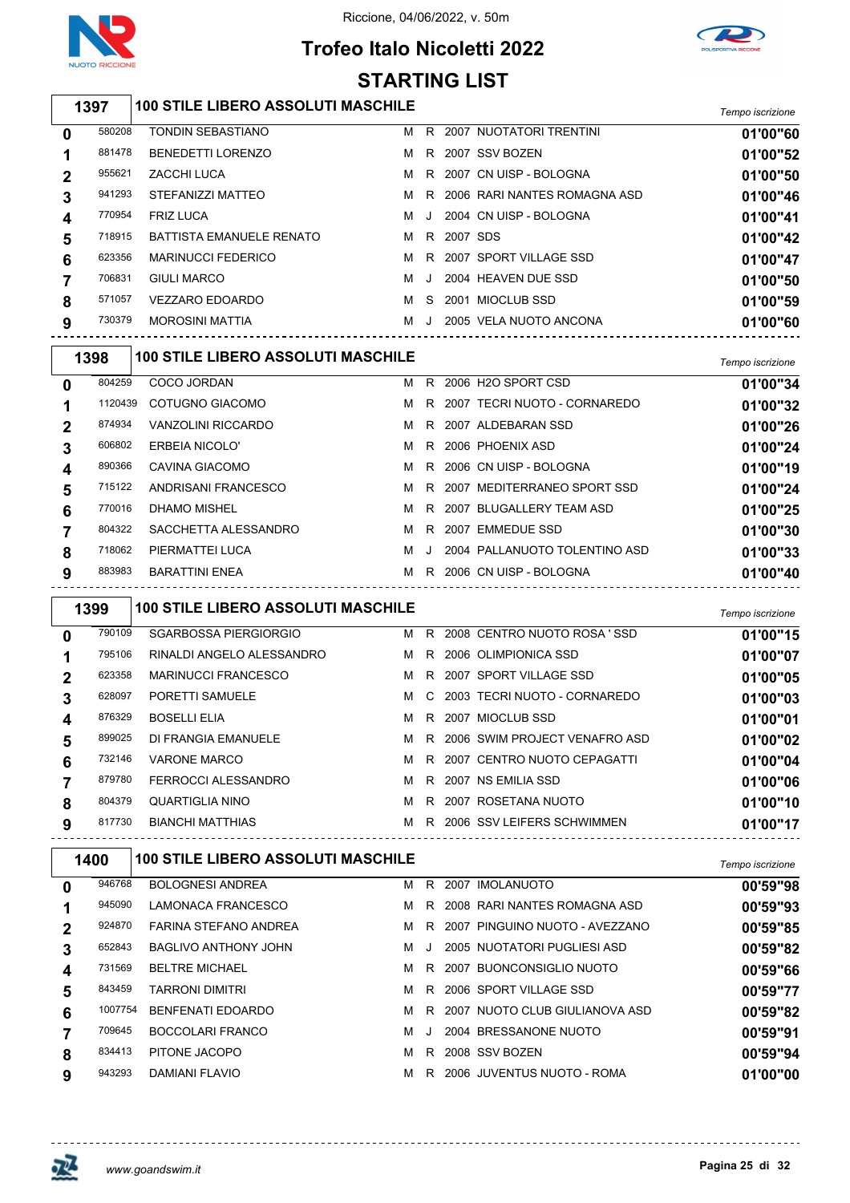

# **Trofeo Italo Nicoletti 2022**



*Tempo iscrizione* **100 STILE LIBERO ASSOLUTI MASCHILE** TONDIN SEBASTIANO M R 2007 NUOTATORI TRENTINI **01'00"60** BENEDETTI LORENZO M R 2007 SSV BOZEN **01'00"52** ZACCHI LUCA M R 2007 CN UISP - BOLOGNA **01'00"50** STEFANIZZI MATTEO M R 2006 RARI NANTES ROMAGNA ASD **01'00"46** FRIZ LUCA M J 2004 CN UISP - BOLOGNA **01'00"41** BATTISTA EMANUELE RENATO M R 2007 SDS **01'00"42** MARINUCCI FEDERICO M R 2007 SPORT VILLAGE SSD **01'00"47** GIULI MARCO M J 2004 HEAVEN DUE SSD **01'00"50** VEZZARO EDOARDO M S 2001 MIOCLUB SSD **01'00"59** MOROSINI MATTIA M J 2005 VELA NUOTO ANCONA **01'00"60** *Tempo iscrizione* **100 STILE LIBERO ASSOLUTI MASCHILE** COCO JORDAN M R 2006 H2O SPORT CSD **01'00"34** COTUGNO GIACOMO M R 2007 TECRI NUOTO - CORNAREDO **01'00"32** VANZOLINI RICCARDO M R 2007 ALDEBARAN SSD **01'00"26** ERBEIA NICOLO' M R 2006 PHOENIX ASD **01'00"24** CAVINA GIACOMO M R 2006 CN UISP - BOLOGNA **01'00"19 STARTING LIST**

| 890366 | CAVINA GIACOMO       |     | M R 2006 CN UISP - BOLOGNA      | 01'00"19 |
|--------|----------------------|-----|---------------------------------|----------|
| 715122 | ANDRISANI FRANCESCO  |     | M R 2007 MEDITERRANEO SPORT SSD | 01'00"24 |
| 770016 | DHAMO MISHEL         |     | M R 2007 BLUGALLERY TEAM ASD    | 01'00"25 |
| 804322 | SACCHETTA ALESSANDRO |     | M R 2007 EMMEDUE SSD            | 01'00"30 |
| 718062 | PIERMATTEI LUCA      | MJ. | 2004 PALLANUOTO TOLENTINO ASD   | 01'00"33 |
| 883983 | BARATTINI ENEA       |     | M R 2006 CN UISP - BOLOGNA      | 01'00"40 |

|          | 1399   | <b>100 STILE LIBERO ASSOLUTI MASCHILE</b> |   |    |                               | Tempo iscrizione |
|----------|--------|-------------------------------------------|---|----|-------------------------------|------------------|
| $\bf{0}$ | 790109 | SGARBOSSA PIERGIORGIO                     | м | R. | 2008 CENTRO NUOTO ROSA 'SSD   | 01'00"15         |
|          | 795106 | RINALDI ANGELO ALESSANDRO                 | м | R. | 2006 OLIMPIONICA SSD          | 01'00"07         |
| 2        | 623358 | <b>MARINUCCI FRANCESCO</b>                | м | R  | 2007 SPORT VILLAGE SSD        | 01'00"05         |
| 3        | 628097 | PORETTI SAMUELE                           | м | C. | 2003 TECRI NUOTO - CORNAREDO  | 01'00"03         |
| 4        | 876329 | <b>BOSELLI ELIA</b>                       | м | R. | 2007 MIOCLUB SSD              | 01'00"01         |
| 5        | 899025 | DI FRANGIA EMANUELE                       | м | R. | 2006 SWIM PROJECT VENAFRO ASD | 01'00"02         |
| 6        | 732146 | VARONE MARCO                              | м | R. | 2007 CENTRO NUOTO CEPAGATTI   | 01'00"04         |
|          | 879780 | FERROCCI ALESSANDRO                       | м | R. | 2007 NS EMILIA SSD            | 01'00"06         |
| 8        | 804379 | QUARTIGLIA NINO                           | м | R. | 2007 ROSETANA NUOTO           | 01'00"10         |
| 9        | 817730 | <b>BIANCHI MATTHIAS</b>                   | м |    | R 2006 SSV LEIFERS SCHWIMMEN  | 01'00"17         |

| 1400        |         | <b>100 STILE LIBERO ASSOLUTI MASCHILE</b> |   |       |      |                                | Tempo iscrizione |
|-------------|---------|-------------------------------------------|---|-------|------|--------------------------------|------------------|
| $\mathbf 0$ | 946768  | <b>BOLOGNESI ANDREA</b>                   | м | R.    |      | 2007 IMOLANUOTO                | 00'59"98         |
|             | 945090  | LAMONACA FRANCESCO                        | м | R.    |      | 2008 RARI NANTES ROMAGNA ASD   | 00'59"93         |
| $\mathbf 2$ | 924870  | FARINA STEFANO ANDREA                     | м | R     |      | 2007 PINGUINO NUOTO - AVEZZANO | 00'59"85         |
| 3           | 652843  | BAGLIVO ANTHONY JOHN                      | м | . . 1 |      | 2005 NUOTATORI PUGLIESI ASD    | 00'59"82         |
| 4           | 731569  | <b>BELTRE MICHAEL</b>                     | м | R.    | 2007 | BUONCONSIGLIO NUOTO            | 00'59"66         |
| 5           | 843459  | <b>TARRONI DIMITRI</b>                    | м | R.    |      | 2006 SPORT VILLAGE SSD         | 00'59"77         |
| 6           | 1007754 | <b>BENFENATI EDOARDO</b>                  | м | R.    |      | 2007 NUOTO CLUB GIULIANOVA ASD | 00'59"82         |
|             | 709645  | <b>BOCCOLARI FRANCO</b>                   | м | -J    |      | 2004 BRESSANONE NUOTO          | 00'59"91         |
| 8           | 834413  | PITONE JACOPO                             | м | R.    |      | 2008 SSV BOZEN                 | 00'59"94         |
| 9           | 943293  | DAMIANI FLAVIO                            | м | R.    |      | 2006 JUVENTUS NUOTO - ROMA     | 01'00"00         |

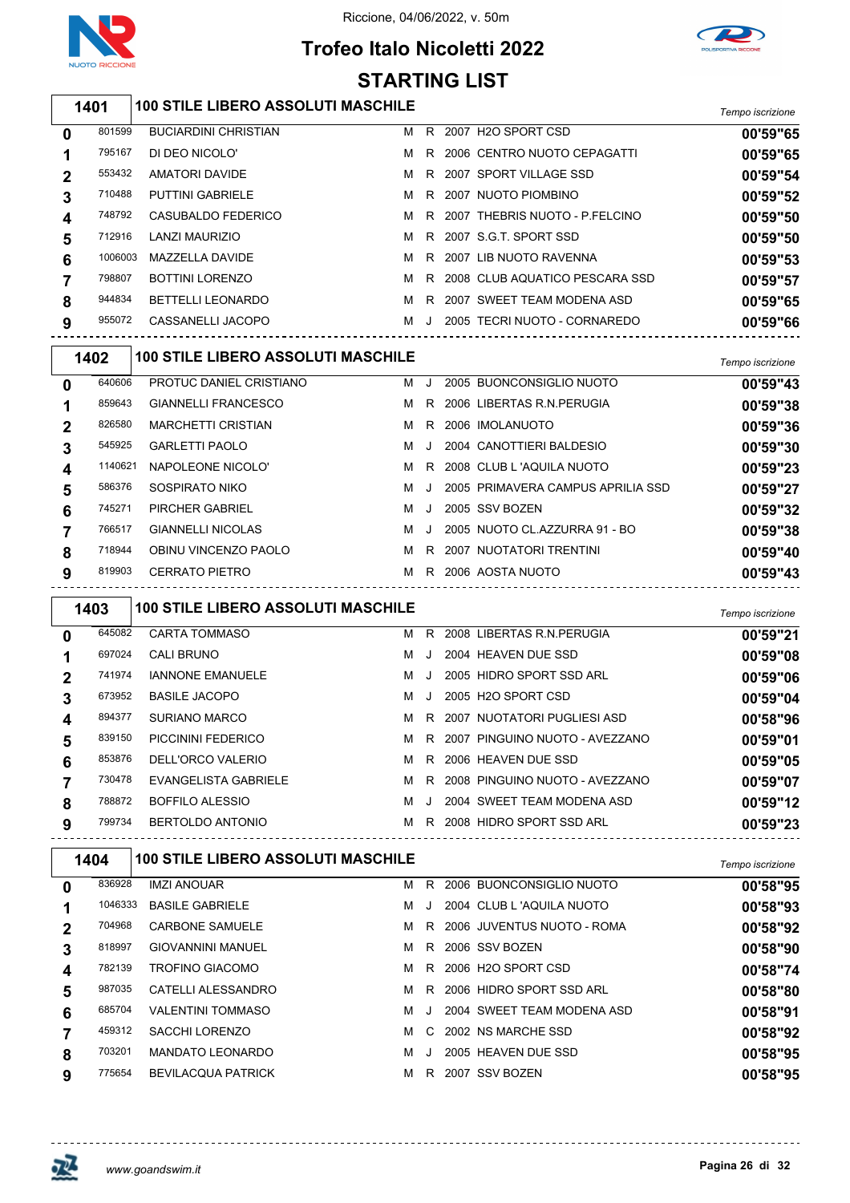

# **Trofeo Italo Nicoletti 2022**



#### *Tempo iscrizione* **100 STILE LIBERO ASSOLUTI MASCHILE** BUCIARDINI CHRISTIAN M R 2007 H2O SPORT CSD **00'59"65** DI DEO NICOLO' M R 2006 CENTRO NUOTO CEPAGATTI **00'59"65** AMATORI DAVIDE M R 2007 SPORT VILLAGE SSD **00'59"54** PUTTINI GABRIELE M R 2007 NUOTO PIOMBINO **00'59"52** CASUBALDO FEDERICO M R 2007 THEBRIS NUOTO - P.FELCINO **00'59"50** LANZI MAURIZIO M R 2007 S.G.T. SPORT SSD **00'59"50** MAZZELLA DAVIDE M R 2007 LIB NUOTO RAVENNA **00'59"53** BOTTINI LORENZO M R 2008 CLUB AQUATICO PESCARA SSD **00'59"57** BETTELLI LEONARDO M R 2007 SWEET TEAM MODENA ASD **00'59"65** CASSANELLI JACOPO M J 2005 TECRI NUOTO - CORNAREDO **00'59"66** *Tempo iscrizione* **100 STILE LIBERO ASSOLUTI MASCHILE** PROTUC DANIEL CRISTIANO M J 2005 BUONCONSIGLIO NUOTO **00'59"43** GIANNELLI FRANCESCO M R 2006 LIBERTAS R.N.PERUGIA **00'59"38** MARCHETTI CRISTIAN M R 2006 IMOLANUOTO **00'59"36** GARLETTI PAOLO M J 2004 CANOTTIERI BALDESIO **00'59"30** NAPOLEONE NICOLO' M R 2008 CLUB L 'AQUILA NUOTO **00'59"23** SOSPIRATO NIKO M J 2005 PRIMAVERA CAMPUS APRILIA SSD **00'59"27** PIRCHER GABRIEL M J 2005 SSV BOZEN **00'59"32** GIANNELLI NICOLAS M J 2005 NUOTO CL.AZZURRA 91 - BO **00'59"38** OBINU VINCENZO PAOLO M R 2007 NUOTATORI TRENTINI **00'59"40** CERRATO PIETRO M R 2006 AOSTA NUOTO **00'59"43** *Tempo iscrizione* **100 STILE LIBERO ASSOLUTI MASCHILE** CARTA TOMMASO M R 2008 LIBERTAS R.N.PERUGIA **00'59"21** CALI BRUNO M J 2004 HEAVEN DUE SSD **00'59"08** IANNONE EMANUELE M J 2005 HIDRO SPORT SSD ARL **00'59"06** BASILE JACOPO M J 2005 H2O SPORT CSD **00'59"04** SURIANO MARCO M R 2007 NUOTATORI PUGLIESI ASD **00'58"96** PICCININI FEDERICO M R 2007 PINGUINO NUOTO - AVEZZANO **00'59"01** DELL'ORCO VALERIO M R 2006 HEAVEN DUE SSD **00'59"05** EVANGELISTA GABRIELE M R 2008 PINGUINO NUOTO - AVEZZANO **00'59"07** BOFFILO ALESSIO M J 2004 SWEET TEAM MODENA ASD **00'59"12** BERTOLDO ANTONIO M R 2008 HIDRO SPORT SSD ARL **00'59"23** *Tempo iscrizione* **100 STILE LIBERO ASSOLUTI MASCHILE** IMZI ANOUAR M R 2006 BUONCONSIGLIO NUOTO **00'58"95** BASILE GABRIELE M J 2004 CLUB L 'AQUILA NUOTO **00'58"93** CARBONE SAMUELE M R 2006 JUVENTUS NUOTO - ROMA **00'58"92** GIOVANNINI MANUEL M R 2006 SSV BOZEN **00'58"90** TROFINO GIACOMO M R 2006 H2O SPORT CSD **00'58"74** CATELLI ALESSANDRO M R 2006 HIDRO SPORT SSD ARL **00'58"80 STARTING LIST**

 VALENTINI TOMMASO M J 2004 SWEET TEAM MODENA ASD **00'58"91** SACCHI LORENZO M C 2002 NS MARCHE SSD **00'58"92** MANDATO LEONARDO M J 2005 HEAVEN DUE SSD **00'58"95** BEVILACQUA PATRICK M R 2007 SSV BOZEN **00'58"95**

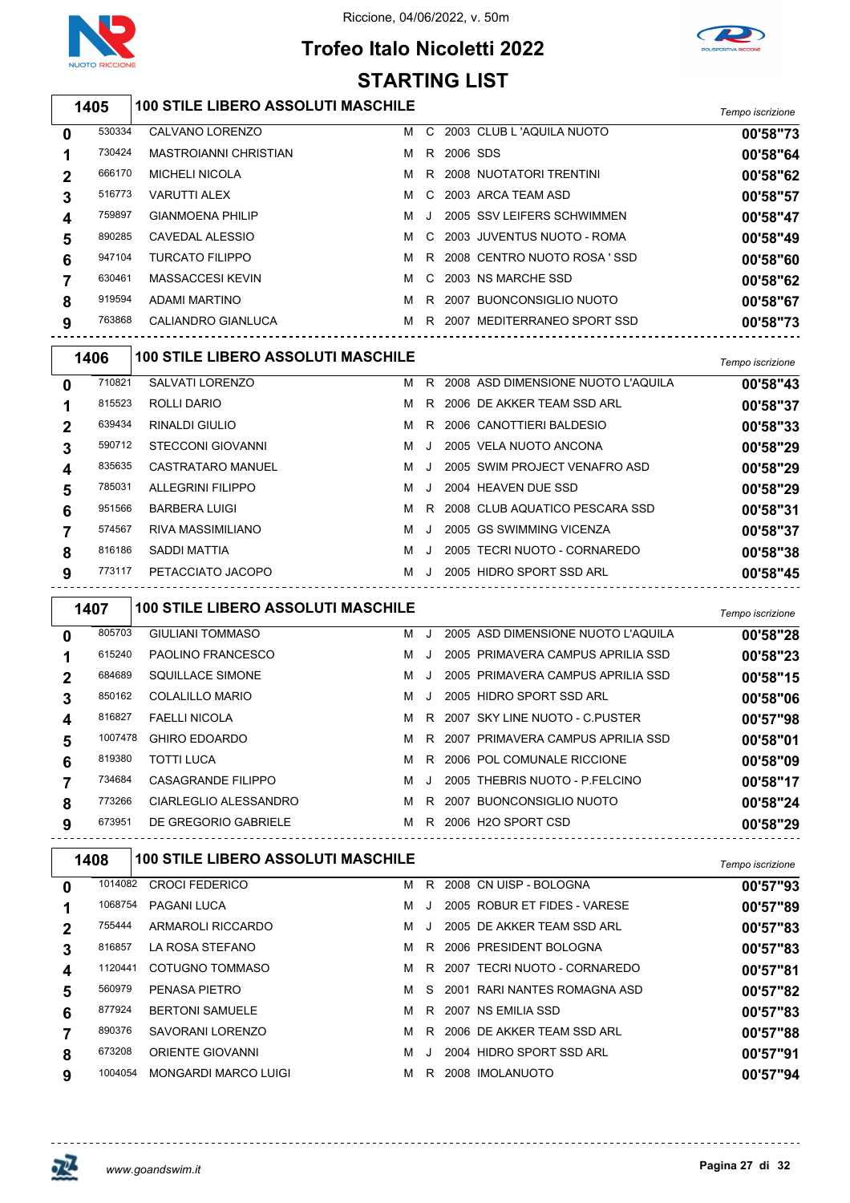

# **Trofeo Italo Nicoletti 2022 STARTING LIST**



## *Tempo iscrizione* **100 STILE LIBERO ASSOLUTI MASCHILE**

| 0 | 530334 | CALVANO LORENZO              | м | C.      |          | 2003 CLUB L 'AQUILA NUOTO    | 00'58"73 |
|---|--------|------------------------------|---|---------|----------|------------------------------|----------|
|   | 730424 | <b>MASTROIANNI CHRISTIAN</b> | м | R.      | 2006 SDS |                              | 00'58"64 |
| 2 | 666170 | <b>MICHELI NICOLA</b>        | м |         |          | R 2008 NUOTATORI TRENTINI    | 00'58"62 |
| 3 | 516773 | <b>VARUTTI ALEX</b>          | м | C.      |          | 2003 ARCA TEAM ASD           | 00'58"57 |
| 4 | 759897 | <b>GIANMOENA PHILIP</b>      | м | $\cdot$ |          | 2005 SSV LEIFERS SCHWIMMEN   | 00'58"47 |
| 5 | 890285 | CAVEDAL ALESSIO              | м |         |          | C 2003 JUVENTUS NUOTO - ROMA | 00'58"49 |
| 6 | 947104 | <b>TURCATO FILIPPO</b>       | м | R       |          | 2008 CENTRO NUOTO ROSA 'SSD  | 00'58"60 |
|   | 630461 | <b>MASSACCESI KEVIN</b>      | м | C.      |          | 2003 NS MARCHE SSD           | 00'58"62 |
| 8 | 919594 | ADAMI MARTINO                | м | R.      |          | 2007 BUONCONSIGLIO NUOTO     | 00'58"67 |
| 9 | 763868 | CALIANDRO GIANLUCA           | м | R       | 2007     | MEDITERRANEO SPORT SSD       | 00'58"73 |
|   |        |                              |   |         |          |                              |          |

| 1406         |        | <b>100 STILE LIBERO ASSOLUTI MASCHILE</b> |   |           |                                    | Tempo iscrizione |
|--------------|--------|-------------------------------------------|---|-----------|------------------------------------|------------------|
| $\mathbf 0$  | 710821 | SALVATI LORENZO                           | м | R.        | 2008 ASD DIMENSIONE NUOTO L'AQUILA | 00'58"43         |
|              | 815523 | ROLLI DARIO                               | м | R         | 2006 DE AKKER TEAM SSD ARL         | 00'58"37         |
| $\mathbf{2}$ | 639434 | <b>RINALDI GIULIO</b>                     | м | R         | 2006 CANOTTIERI BALDESIO           | 00'58"33         |
| 3            | 590712 | STECCONI GIOVANNI                         | м |           | 2005 VELA NUOTO ANCONA             | 00'58"29         |
| 4            | 835635 | CASTRATARO MANUEL                         | м |           | 2005 SWIM PROJECT VENAFRO ASD      | 00'58"29         |
| 5            | 785031 | ALLEGRINI FILIPPO                         | м | J.        | 2004 HEAVEN DUE SSD                | 00'58"29         |
| 6            | 951566 | <b>BARBERA LUIGI</b>                      | м | R.        | 2008 CLUB AQUATICO PESCARA SSD     | 00'58"31         |
|              | 574567 | RIVA MASSIMILIANO                         | м | $\cdot$ . | 2005 GS SWIMMING VICENZA           | 00'58"37         |
| 8            | 816186 | SADDI MATTIA                              | M |           | 2005 TECRI NUOTO - CORNAREDO       | 00'58"38         |
| 9            | 773117 | PETACCIATO JACOPO                         | м | $\cdot$   | 2005 HIDRO SPORT SSD ARL           | 00'58"45         |

| 1407        |         |                         | <b>100 STILE LIBERO ASSOLUTI MASCHILE</b> |    |                                    |          |  |  |  |  |  |
|-------------|---------|-------------------------|-------------------------------------------|----|------------------------------------|----------|--|--|--|--|--|
| 0           | 805703  | <b>GIULIANI TOMMASO</b> | м                                         | J. | 2005 ASD DIMENSIONE NUOTO L'AQUILA | 00'58"28 |  |  |  |  |  |
|             | 615240  | PAOLINO FRANCESCO       | м                                         |    | 2005 PRIMAVERA CAMPUS APRILIA SSD  | 00'58"23 |  |  |  |  |  |
| $\mathbf 2$ | 684689  | SQUILLACE SIMONE        | м                                         |    | 2005 PRIMAVERA CAMPUS APRILIA SSD  | 00'58"15 |  |  |  |  |  |
| 3           | 850162  | COLALILLO MARIO         | м                                         |    | 2005 HIDRO SPORT SSD ARL           | 00'58"06 |  |  |  |  |  |
| 4           | 816827  | <b>FAELLI NICOLA</b>    | м                                         | R. | 2007 SKY LINE NUOTO - C PUSTER     | 00'57"98 |  |  |  |  |  |
| 5           | 1007478 | <b>GHIRO EDOARDO</b>    | м                                         | R. | 2007 PRIMAVERA CAMPUS APRILIA SSD  | 00'58"01 |  |  |  |  |  |
| 6           | 819380  | <b>TOTTI LUCA</b>       | м                                         | R. | 2006 POL COMUNALE RICCIONE         | 00'58"09 |  |  |  |  |  |
|             | 734684  | CASAGRANDE FILIPPO      | м                                         |    | 2005 THEBRIS NUOTO - P.FELCINO     | 00'58"17 |  |  |  |  |  |
| 8           | 773266  | CIARLEGLIO ALESSANDRO   | м                                         | R  | 2007 BUONCONSIGLIO NUOTO           | 00'58"24 |  |  |  |  |  |
| 9           | 673951  | DE GREGORIO GABRIELE    | м                                         | R. | 2006 H <sub>2</sub> O SPORT CSD    | 00'58"29 |  |  |  |  |  |

|             | 1408    | <b>100 STILE LIBERO ASSOLUTI MASCHILE</b> |   |    |                              | Tempo iscrizione |
|-------------|---------|-------------------------------------------|---|----|------------------------------|------------------|
| 0           | 1014082 | <b>CROCI FEDERICO</b>                     | м | R. | 2008 CN UISP - BOLOGNA       | 00'57"93         |
|             | 1068754 | <b>PAGANI LUCA</b>                        | м |    | 2005 ROBUR ET FIDES - VARESE | 00'57"89         |
| $\mathbf 2$ | 755444  | ARMAROLI RICCARDO                         | м |    | 2005 DE AKKER TEAM SSD ARL   | 00'57"83         |
| 3           | 816857  | LA ROSA STEFANO                           | м | R. | 2006 PRESIDENT BOLOGNA       | 00'57"83         |
| 4           | 1120441 | COTUGNO TOMMASO                           | м | R. | 2007 TECRI NUOTO - CORNAREDO | 00'57"81         |
| 5           | 560979  | PENASA PIETRO                             | м | S. | 2001 RARI NANTES ROMAGNA ASD | 00'57"82         |
| 6           | 877924  | <b>BERTONI SAMUELE</b>                    | м | R  | 2007 NS EMILIA SSD           | 00'57"83         |
|             | 890376  | SAVORANI LORENZO                          | м | R. | 2006 DE AKKER TEAM SSD ARL   | 00'57"88         |
| 8           | 673208  | ORIENTE GIOVANNI                          | м |    | 2004 HIDRO SPORT SSD ARL     | 00'57"91         |
| 9           | 1004054 | MONGARDI MARCO LUIGI                      | м | R. | 2008 IMOLANUOTO              | 00'57"94         |
|             |         |                                           |   |    |                              |                  |

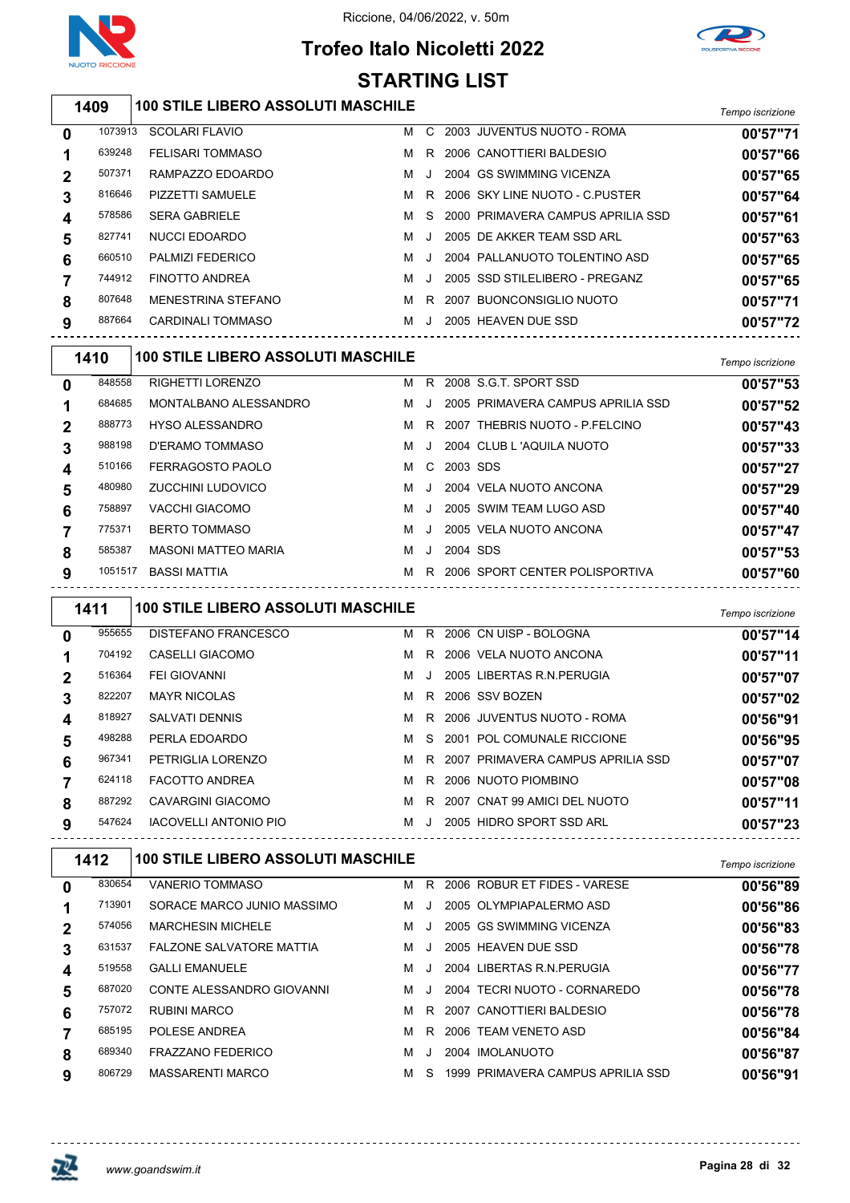

# **Trofeo Italo Nicoletti 2022 STARTING LIST**



## *Tempo iscrizione* **100 STILE LIBERO ASSOLUTI MASCHILE**

| 0           | 1073913 | <b>SCOLARI FLAVIO</b>   | м | C.      | 2003 JUVENTUS NUOTO - ROMA        | 00'57"71 |
|-------------|---------|-------------------------|---|---------|-----------------------------------|----------|
|             | 639248  | <b>FELISARI TOMMASO</b> | м | R       | 2006 CANOTTIERI BALDESIO          | 00'57"66 |
| $\mathbf 2$ | 507371  | RAMPAZZO EDOARDO        | M | $\cdot$ | 2004 GS SWIMMING VICENZA          | 00'57"65 |
| 3           | 816646  | PIZZETTI SAMUELE        | м | R       | 2006 SKY LINE NUOTO - C PUSTER    | 00'57"64 |
| 4           | 578586  | <b>SERA GABRIELE</b>    | м | S.      | 2000 PRIMAVERA CAMPUS APRILIA SSD | 00'57"61 |
| 5           | 827741  | NUCCI EDOARDO           | м | $\cdot$ | 2005 DE AKKER TEAM SSD ARL        | 00'57"63 |
| 6           | 660510  | <b>PALMIZI FEDERICO</b> | м |         | 2004 PALLANUOTO TOLENTINO ASD     | 00'57"65 |
|             | 744912  | <b>FINOTTO ANDREA</b>   | м |         | 2005 SSD STILELIBERO - PREGANZ    | 00'57"65 |
| 8           | 807648  | MENESTRINA STEFANO      | м | R       | 2007 BUONCONSIGLIO NUOTO          | 00'57"71 |
| 9           | 887664  | CARDINALI TOMMASO       | м |         | 2005 HEAVEN DUE SSD               | 00'57"72 |
|             |         |                         |   |         |                                   |          |

| 1410           |         | <b>100 STILE LIBERO ASSOLUTI MASCHILE</b> | Tempo iscrizione |           |          |                                   |          |
|----------------|---------|-------------------------------------------|------------------|-----------|----------|-----------------------------------|----------|
| $\mathbf 0$    | 848558  | <b>RIGHETTI LORENZO</b>                   | м                | R.        |          | 2008 S.G.T. SPORT SSD             | 00'57"53 |
|                | 684685  | MONTALBANO ALESSANDRO                     | м                | $\cdot$ . |          | 2005 PRIMAVERA CAMPUS APRILIA SSD | 00'57"52 |
| $\mathbf 2$    | 888773  | <b>HYSO ALESSANDRO</b>                    | м                | R.        |          | 2007 THEBRIS NUOTO - P.FELCINO    | 00'57"43 |
| 3              | 988198  | D'ERAMO TOMMASO                           | м                | J         |          | 2004 CLUB L 'AQUILA NUOTO         | 00'57"33 |
| $\overline{4}$ | 510166  | FERRAGOSTO PAOLO                          | м                | C.        | 2003 SDS |                                   | 00'57"27 |
| 5              | 480980  | <b>ZUCCHINI LUDOVICO</b>                  | м                | J.        |          | 2004 VELA NUOTO ANCONA            | 00'57"29 |
| 6              | 758897  | VACCHI GIACOMO                            | м                |           |          | 2005 SWIM TEAM LUGO ASD           | 00'57"40 |
|                | 775371  | <b>BERTO TOMMASO</b>                      | м                |           |          | 2005 VELA NUOTO ANCONA            | 00'57"47 |
| 8              | 585387  | <b>MASONI MATTEO MARIA</b>                | м                |           | 2004 SDS |                                   | 00'57"53 |
| 9              | 1051517 | <b>BASSI MATTIA</b>                       | м                | R.        |          | 2006 SPORT CENTER POLISPORTIVA    | 00'57"60 |

|              | 1411   | <b>100 STILE LIBERO ASSOLUTI MASCHILE</b> |   |       |                                   | Tempo iscrizione |
|--------------|--------|-------------------------------------------|---|-------|-----------------------------------|------------------|
| 0            | 955655 | DISTEFANO FRANCESCO                       | м | R     | 2006 CN UISP - BOLOGNA            | 00'57"14         |
| 1            | 704192 | CASELLI GIACOMO                           | м | R.    | 2006 VELA NUOTO ANCONA            | 00'57"11         |
| $\mathbf{2}$ | 516364 | <b>FEI GIOVANNI</b>                       | м | J.    | 2005 LIBERTAS R.N. PERUGIA        | 00'57"07         |
| 3            | 822207 | <b>MAYR NICOLAS</b>                       | м | R.    | 2006 SSV BOZEN                    | 00'57"02         |
| 4            | 818927 | <b>SALVATI DENNIS</b>                     | м | R.    | 2006 JUVENTUS NUOTO - ROMA        | 00'56"91         |
| 5            | 498288 | PERLA EDOARDO                             | м | S.    | 2001 POL COMUNALE RICCIONE        | 00'56"95         |
| 6            | 967341 | PETRIGLIA LORENZO                         | м | R.    | 2007 PRIMAVERA CAMPUS APRILIA SSD | 00'57"07         |
|              | 624118 | <b>FACOTTO ANDREA</b>                     | м | R.    | 2006 NUOTO PIOMBINO               | 00'57"08         |
| 8            | 887292 | <b>CAVARGINI GIACOMO</b>                  | м | R     | 2007 CNAT 99 AMICI DEL NUOTO      | 00'57"11         |
| 9            | 547624 | <b>IACOVELLI ANTONIO PIO</b>              | м | . . 1 | 2005 HIDRO SPORT SSD ARL          | 00'57"23         |

|   | 1412        |  | <b>100 STILE LIBERO ASSOLUTI MASCHILE</b> |   | Tempo iscrizione |  |                                   |          |
|---|-------------|--|-------------------------------------------|---|------------------|--|-----------------------------------|----------|
| 0 | 830654      |  | VANERIO TOMMASO                           | м | R.               |  | 2006 ROBUR ET FIDES - VARESE      | 00'56"89 |
|   | 713901      |  | SORACE MARCO JUNIO MASSIMO                | м | - J              |  | 2005 OLYMPIAPALERMO ASD           | 00'56"86 |
|   | 574056      |  | <b>MARCHESIN MICHELE</b>                  | м | . . 1            |  | 2005 GS SWIMMING VICENZA          | 00'56"83 |
| 3 | 631537      |  | <b>FALZONE SALVATORE MATTIA</b>           | м | - 1              |  | 2005 HEAVEN DUE SSD               | 00'56"78 |
| 4 | 519558      |  | <b>GALLI EMANUELE</b>                     | м | $\cdot$ .        |  | 2004 LIBERTAS R.N. PERUGIA        | 00'56"77 |
|   | 687020<br>5 |  | CONTE ALESSANDRO GIOVANNI                 | м | $\Box$           |  | 2004 TECRI NUOTO - CORNAREDO      | 00'56"78 |
| 6 | 757072      |  | <b>RUBINI MARCO</b>                       | м | R                |  | 2007 CANOTTIERI BALDESIO          | 00'56"78 |
|   | 685195      |  | POLESE ANDREA                             | м | R.               |  | 2006 TEAM VENETO ASD              | 00'56"84 |
| 8 | 689340      |  | <b>FRAZZANO FEDERICO</b>                  | м | -J               |  | 2004 IMOLANUOTO                   | 00'56"87 |
| 9 | 806729      |  | <b>MASSARENTI MARCO</b>                   | м | -S               |  | 1999 PRIMAVERA CAMPUS APRILIA SSD | 00'56"91 |
|   |             |  |                                           |   |                  |  |                                   |          |

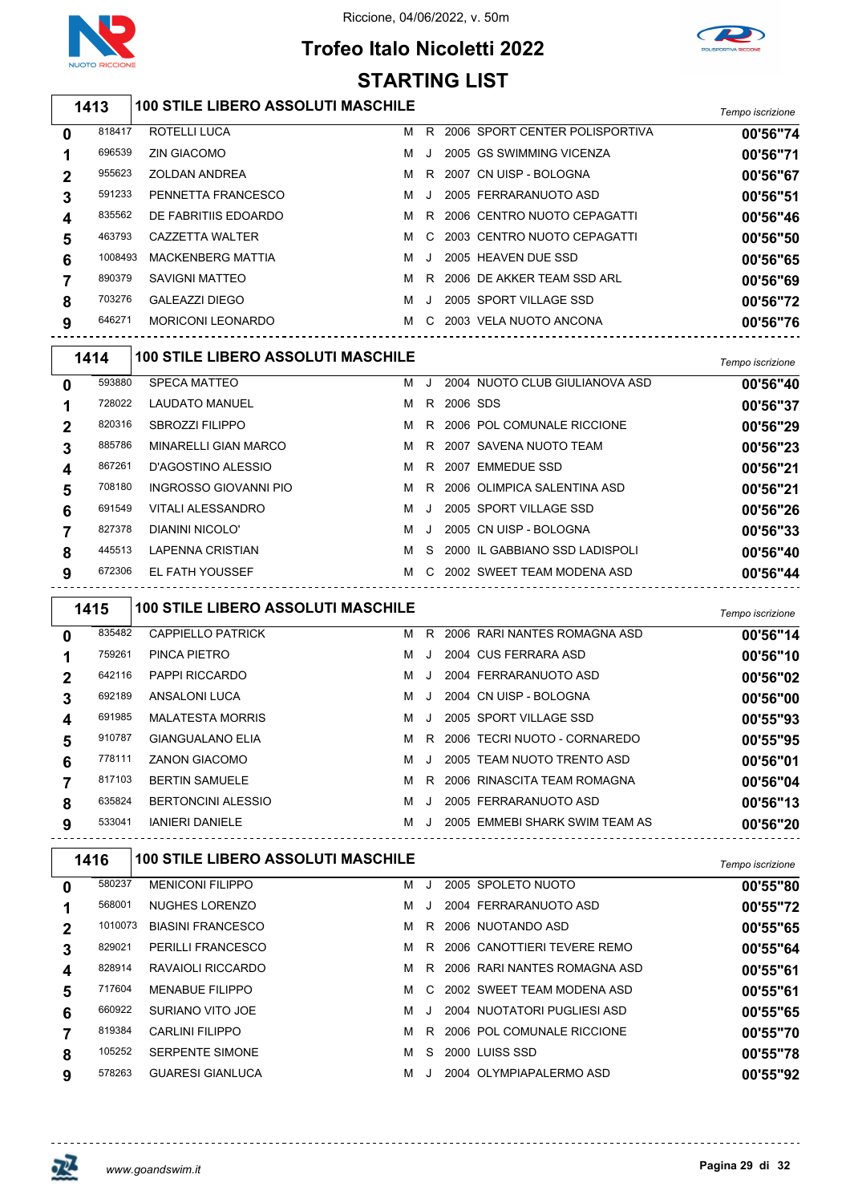

# **Trofeo Italo Nicoletti 2022**



#### *Tempo iscrizione* **100 STILE LIBERO ASSOLUTI MASCHILE** ROTELLI LUCA M R 2006 SPORT CENTER POLISPORTIVA **00'56"74** ZIN GIACOMO M J 2005 GS SWIMMING VICENZA **00'56"71** ZOLDAN ANDREA M R 2007 CN UISP - BOLOGNA **00'56"67** PENNETTA FRANCESCO M J 2005 FERRARANUOTO ASD **00'56"51** 835562 DE FABRITIIS EDOARDO M R 2006 CENTRO NUOTO CEPAGATTI **00'56"46**  CAZZETTA WALTER M C 2003 CENTRO NUOTO CEPAGATTI **00'56"50** MACKENBERG MATTIA M J 2005 HEAVEN DUE SSD **00'56"65** 890379 SAVIGNI MATTEO **MR** 2006 DE AKKER TEAM SSD ARL **00'56"69**  GALEAZZI DIEGO M J 2005 SPORT VILLAGE SSD **00'56"72** MORICONI LEONARDO M C 2003 VELA NUOTO ANCONA **00'56"76** *Tempo iscrizione* **100 STILE LIBERO ASSOLUTI MASCHILE** SPECA MATTEO M J 2004 NUOTO CLUB GIULIANOVA ASD **00'56"40** LAUDATO MANUEL M R 2006 SDS **00'56"37** SBROZZI FILIPPO M R 2006 POL COMUNALE RICCIONE **00'56"29** MINARELLI GIAN MARCO M R 2007 SAVENA NUOTO TEAM **00'56"23** D'AGOSTINO ALESSIO M R 2007 EMMEDUE SSD **00'56"21** INGROSSO GIOVANNI PIO M R 2006 OLIMPICA SALENTINA ASD **00'56"21** VITALI ALESSANDRO M J 2005 SPORT VILLAGE SSD **00'56"26** DIANINI NICOLO' M J 2005 CN UISP - BOLOGNA **00'56"33** LAPENNA CRISTIAN M S 2000 IL GABBIANO SSD LADISPOLI **00'56"40** EL FATH YOUSSEF M C 2002 SWEET TEAM MODENA ASD **00'56"44** *Tempo iscrizione* **100 STILE LIBERO ASSOLUTI MASCHILE** CAPPIELLO PATRICK M R 2006 RARI NANTES ROMAGNA ASD **00'56"14** PINCA PIETRO M J 2004 CUS FERRARA ASD **00'56"10** PAPPI RICCARDO M J 2004 FERRARANUOTO ASD **00'56"02** ANSALONI LUCA M J 2004 CN UISP - BOLOGNA **00'56"00** MALATESTA MORRIS M J 2005 SPORT VILLAGE SSD **00'55"93** GIANGUALANO ELIA M R 2006 TECRI NUOTO - CORNAREDO **00'55"95** ZANON GIACOMO M J 2005 TEAM NUOTO TRENTO ASD **00'56"01** BERTIN SAMUELE M R 2006 RINASCITA TEAM ROMAGNA **00'56"04** BERTONCINI ALESSIO M J 2005 FERRARANUOTO ASD **00'56"13** IANIERI DANIELE M J 2005 EMMEBI SHARK SWIM TEAM AS **00'56"20** *Tempo iscrizione* **100 STILE LIBERO ASSOLUTI MASCHILE** MENICONI FILIPPO M J 2005 SPOLETO NUOTO **00'55"80** NUGHES LORENZO M J 2004 FERRARANUOTO ASD **00'55"72** BIASINI FRANCESCO M R 2006 NUOTANDO ASD **00'55"65** 829021 PERILLI FRANCESCO **MR** 2006 CANOTTIERI TEVERE REMO RAVAIOLI RICCARDO M R 2006 RARI NANTES ROMAGNA ASD **00'55"61** MENABUE FILIPPO M C 2002 SWEET TEAM MODENA ASD **00'55"61** SURIANO VITO JOE M J 2004 NUOTATORI PUGLIESI ASD **00'55"65** CARLINI FILIPPO M R 2006 POL COMUNALE RICCIONE **00'55"70 STARTING LIST**

 SERPENTE SIMONE M S 2000 LUISS SSD **00'55"78** GUARESI GIANLUCA M J 2004 OLYMPIAPALERMO ASD **00'55"92**

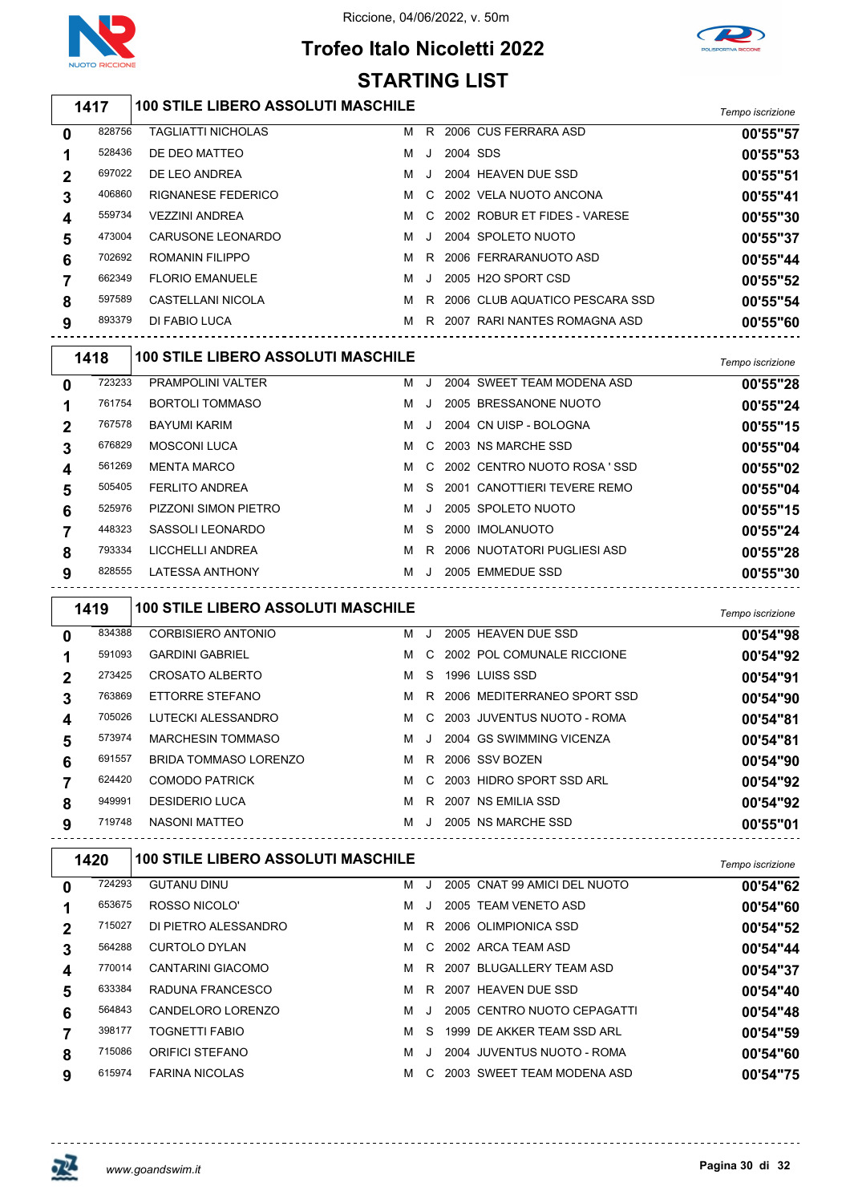

# **Trofeo Italo Nicoletti 2022**



#### *Tempo iscrizione* **100 STILE LIBERO ASSOLUTI MASCHILE** 828756 TAGLIATTI NICHOLAS MR 2006 CUS FERRARA ASD **00'55"57**  DE DEO MATTEO M J 2004 SDS **00'55"53** DE LEO ANDREA M J 2004 HEAVEN DUE SSD **00'55"51** RIGNANESE FEDERICO M C 2002 VELA NUOTO ANCONA **00'55"41** VEZZINI ANDREA M C 2002 ROBUR ET FIDES - VARESE **00'55"30** CARUSONE LEONARDO M J 2004 SPOLETO NUOTO **00'55"37** ROMANIN FILIPPO M R 2006 FERRARANUOTO ASD **00'55"44** FLORIO EMANUELE M J 2005 H2O SPORT CSD **00'55"52** CASTELLANI NICOLA M R 2006 CLUB AQUATICO PESCARA SSD **00'55"54** DI FABIO LUCA M R 2007 RARI NANTES ROMAGNA ASD **00'55"60** *Tempo iscrizione* **100 STILE LIBERO ASSOLUTI MASCHILE** PRAMPOLINI VALTER M J 2004 SWEET TEAM MODENA ASD **00'55"28** BORTOLI TOMMASO M J 2005 BRESSANONE NUOTO **00'55"24** BAYUMI KARIM M J 2004 CN UISP - BOLOGNA **00'55"15** MOSCONI LUCA M C 2003 NS MARCHE SSD **00'55"04** MENTA MARCO M C 2002 CENTRO NUOTO ROSA ' SSD **00'55"02** FERLITO ANDREA M S 2001 CANOTTIERI TEVERE REMO **00'55"04** PIZZONI SIMON PIETRO M J 2005 SPOLETO NUOTO **00'55"15** SASSOLI LEONARDO M S 2000 IMOLANUOTO **00'55"24** LICCHELLI ANDREA M R 2006 NUOTATORI PUGLIESI ASD **00'55"28** LATESSA ANTHONY M J 2005 EMMEDUE SSD **00'55"30** *Tempo iscrizione* **100 STILE LIBERO ASSOLUTI MASCHILE** CORBISIERO ANTONIO M J 2005 HEAVEN DUE SSD **00'54"98** GARDINI GABRIEL M C 2002 POL COMUNALE RICCIONE **00'54"92** CROSATO ALBERTO M S 1996 LUISS SSD **00'54"91** ETTORRE STEFANO M R 2006 MEDITERRANEO SPORT SSD **00'54"90** LUTECKI ALESSANDRO M C 2003 JUVENTUS NUOTO - ROMA **00'54"81** MARCHESIN TOMMASO M J 2004 GS SWIMMING VICENZA **00'54"81** BRIDA TOMMASO LORENZO M R 2006 SSV BOZEN **00'54"90** COMODO PATRICK M C 2003 HIDRO SPORT SSD ARL **00'54"92** DESIDERIO LUCA M R 2007 NS EMILIA SSD **00'54"92** NASONI MATTEO M J 2005 NS MARCHE SSD **00'55"01** *Tempo iscrizione* **100 STILE LIBERO ASSOLUTI MASCHILE** GUTANU DINU M J 2005 CNAT 99 AMICI DEL NUOTO **00'54"62 STARTING LIST**

| 0                       | 724293 | <b>GUTANU DINU</b>       | м |           | 2005 CNAT 99 AMICI DEL NUOTO | 00'54"62 |
|-------------------------|--------|--------------------------|---|-----------|------------------------------|----------|
| 1                       | 653675 | ROSSO NICOLO'            | м |           | 2005 TEAM VENETO ASD         | 00'54"60 |
| $\mathbf{2}$            | 715027 | DI PIETRO ALESSANDRO     | M |           | R 2006 OLIMPIONICA SSD       | 00'54"52 |
| 3                       | 564288 | CURTOLO DYLAN            | M |           | C 2002 ARCA TEAM ASD         | 00'54"44 |
| $\overline{\mathbf{4}}$ | 770014 | <b>CANTARINI GIACOMO</b> |   |           | M R 2007 BLUGALLERY TEAM ASD | 00'54"37 |
| 5                       | 633384 | RADUNA FRANCESCO         | M |           | R 2007 HEAVEN DUE SSD        | 00'54"40 |
| 6                       | 564843 | CANDELORO LORENZO        | м | -J        | 2005 CENTRO NUOTO CEPAGATTI  | 00'54"48 |
|                         | 398177 | <b>TOGNETTI FABIO</b>    | м | S.        | 1999 DE AKKER TEAM SSD ARL   | 00'54"59 |
| 8                       | 715086 | <b>ORIFICI STEFANO</b>   | м | $\cdot$ . | 2004 JUVENTUS NUOTO - ROMA   | 00'54"60 |
| 9                       | 615974 | <b>FARINA NICOLAS</b>    | м | C.        | 2003 SWEET TEAM MODENA ASD   | 00'54"75 |
|                         |        |                          |   |           |                              |          |

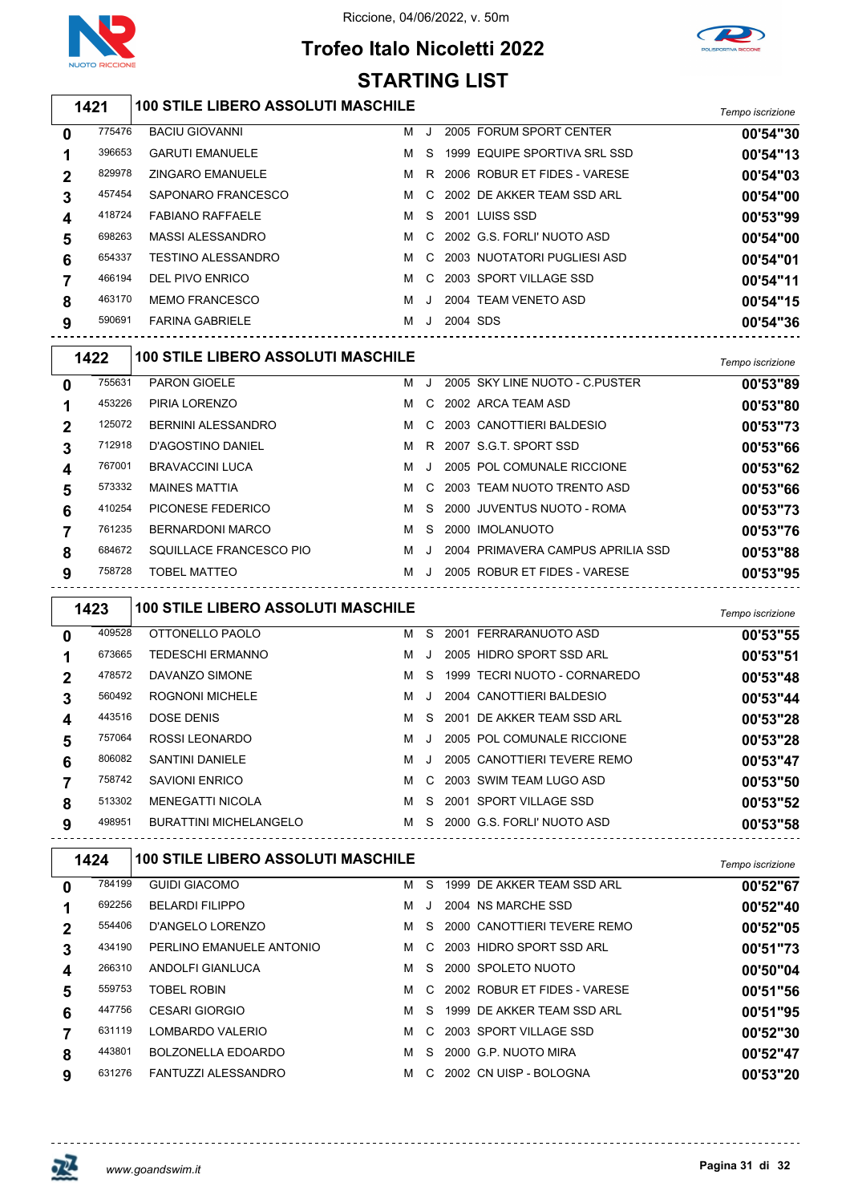



## **Trofeo Italo Nicoletti 2022 STARTING LIST**

|                         |        |                                           | ו טום טאוו ואו ט |              |              |                                    |                  |
|-------------------------|--------|-------------------------------------------|------------------|--------------|--------------|------------------------------------|------------------|
|                         | 1421   | <b>100 STILE LIBERO ASSOLUTI MASCHILE</b> |                  |              |              |                                    | Tempo iscrizione |
| 0                       | 775476 | <b>BACIU GIOVANNI</b>                     | м                | J            |              | 2005 FORUM SPORT CENTER            | 00'54"30         |
| 1                       | 396653 | <b>GARUTI EMANUELE</b>                    | M                | - S          |              | 1999 EQUIPE SPORTIVA SRL SSD       | 00'54"13         |
| $\boldsymbol{2}$        | 829978 | <b>ZINGARO EMANUELE</b>                   |                  |              |              | M R 2006 ROBUR ET FIDES - VARESE   | 00'54"03         |
| 3                       | 457454 | SAPONARO FRANCESCO                        | M                |              |              | C 2002 DE AKKER TEAM SSD ARL       | 00'54"00         |
| 4                       | 418724 | <b>FABIANO RAFFAELE</b>                   | M                | <sub>S</sub> |              | 2001 LUISS SSD                     | 00'53"99         |
| 5                       | 698263 | <b>MASSI ALESSANDRO</b>                   | M                | C            |              | 2002 G.S. FORLI' NUOTO ASD         | 00'54"00         |
| 6                       | 654337 | <b>TESTINO ALESSANDRO</b>                 | M                | - C          |              | 2003 NUOTATORI PUGLIESI ASD        | 00'54"01         |
| 7                       | 466194 | DEL PIVO ENRICO                           |                  |              |              | M C 2003 SPORT VILLAGE SSD         | 00'54"11         |
| 8                       | 463170 | <b>MEMO FRANCESCO</b>                     | M                | J            |              | 2004 TEAM VENETO ASD               | 00'54"15         |
| 9                       | 590691 | <b>FARINA GABRIELE</b>                    |                  |              | M J 2004 SDS |                                    | 00'54"36         |
|                         | 1422   | <b>100 STILE LIBERO ASSOLUTI MASCHILE</b> |                  |              |              |                                    | Tempo iscrizione |
| 0                       | 755631 | <b>PARON GIOELE</b>                       |                  |              |              | M J 2005 SKY LINE NUOTO - C.PUSTER | 00'53"89         |
| 1                       | 453226 | PIRIA LORENZO                             |                  |              |              | M C 2002 ARCA TEAM ASD             | 00'53"80         |
| $\boldsymbol{2}$        | 125072 | BERNINI ALESSANDRO                        | M                |              |              | C 2003 CANOTTIERI BALDESIO         | 00'53"73         |
| 3                       | 712918 | D'AGOSTINO DANIEL                         |                  |              |              | M R 2007 S.G.T. SPORT SSD          | 00'53"66         |
| $\overline{\mathbf{4}}$ | 767001 | <b>BRAVACCINI LUCA</b>                    | M                | J            |              | 2005 POL COMUNALE RICCIONE         | 00'53"62         |
| 5                       | 573332 | <b>MAINES MATTIA</b>                      | M                | C.           |              | 2003 TEAM NUOTO TRENTO ASD         | 00'53"66         |
| 6                       | 410254 | PICONESE FEDERICO                         | M                | -S           |              | 2000 JUVENTUS NUOTO - ROMA         | 00'53"73         |
| 7                       | 761235 | <b>BERNARDONI MARCO</b>                   | M                | - S          |              | 2000 IMOLANUOTO                    | 00'53"76         |
| 8                       | 684672 | SQUILLACE FRANCESCO PIO                   |                  | MJ           |              | 2004 PRIMAVERA CAMPUS APRILIA SSD  | 00'53"88         |
| 9                       | 758728 | <b>TOBEL MATTEO</b>                       |                  |              |              | M J 2005 ROBUR ET FIDES - VARESE   | 00'53"95         |
|                         | 1423   | <b>100 STILE LIBERO ASSOLUTI MASCHILE</b> |                  |              |              |                                    | Tempo iscrizione |
| 0                       | 409528 | OTTONELLO PAOLO                           |                  |              |              | M S 2001 FERRARANUOTO ASD          | 00'53"55         |
| 1                       | 673665 | <b>TEDESCHI ERMANNO</b>                   |                  | MJ           |              | 2005 HIDRO SPORT SSD ARL           | 00'53"51         |
| $\boldsymbol{2}$        | 478572 | DAVANZO SIMONE                            |                  | M S          |              | 1999 TECRI NUOTO - CORNAREDO       | 00'53"48         |
| 3                       | 560492 | <b>ROGNONI MICHELE</b>                    | м                | $\cdot$      |              | 2004 CANOTTIERI BALDESIO           | 00'53"44         |
| 4                       | 443516 | DOSE DENIS                                | M                |              |              | S 2001 DE AKKER TEAM SSD ARL       | 00'53"28         |
| 5                       | 757064 | ROSSI LEONARDO                            |                  | MJ.          |              | 2005 POL COMUNALE RICCIONE         | 00'53"28         |
| 6                       | 806082 | SANTINI DANIELE                           | M                | J            |              | 2005 CANOTTIERI TEVERE REMO        | 00'53"47         |
| 7                       | 758742 | <b>SAVIONI ENRICO</b>                     |                  |              |              | M C 2003 SWIM TEAM LUGO ASD        | 00'53"50         |
| 8                       | 513302 | <b>MENEGATTI NICOLA</b>                   |                  |              |              | M S 2001 SPORT VILLAGE SSD         | 00'53"52         |
| 9                       | 498951 | <b>BURATTINI MICHELANGELO</b>             |                  |              |              | M S 2000 G.S. FORLI' NUOTO ASD     | 00'53"58         |
|                         | 1424   | <b>100 STILE LIBERO ASSOLUTI MASCHILE</b> |                  |              |              |                                    | Tempo iscrizione |
| 0                       | 784199 | <b>GUIDI GIACOMO</b>                      |                  |              |              | M S 1999 DE AKKER TEAM SSD ARL     | 00'52"67         |
| 1                       | 692256 | <b>BELARDI FILIPPO</b>                    |                  |              |              | M J 2004 NS MARCHE SSD             | 00'52"40         |
| $\boldsymbol{2}$        | 554406 | D'ANGELO LORENZO                          |                  |              |              | M S 2000 CANOTTIERI TEVERE REMO    | 00'52"05         |
| 3                       | 434190 | PERLINO EMANUELE ANTONIO                  | M                |              |              | C 2003 HIDRO SPORT SSD ARL         | 00'51"73         |
| 4                       | 266310 | ANDOLFI GIANLUCA                          |                  |              |              | M S 2000 SPOLETO NUOTO             | 00'50"04         |
| 5                       | 559753 | <b>TOBEL ROBIN</b>                        |                  |              |              | M C 2002 ROBUR ET FIDES - VARESE   | 00'51"56         |
| 6                       | 447756 | <b>CESARI GIORGIO</b>                     |                  |              |              | M S 1999 DE AKKER TEAM SSD ARL     | 00'51"95         |
| $\overline{\mathbf{7}}$ | 631119 | LOMBARDO VALERIO                          | M                |              |              | C 2003 SPORT VILLAGE SSD           | 00'52"30         |
| 8                       | 443801 | BOLZONELLA EDOARDO                        |                  |              |              | M S 2000 G.P. NUOTO MIRA           | 00'52"47         |

FANTUZZI ALESSANDRO M C 2002 CN UISP - BOLOGNA **00'53"20**

<u>--------------------------------</u>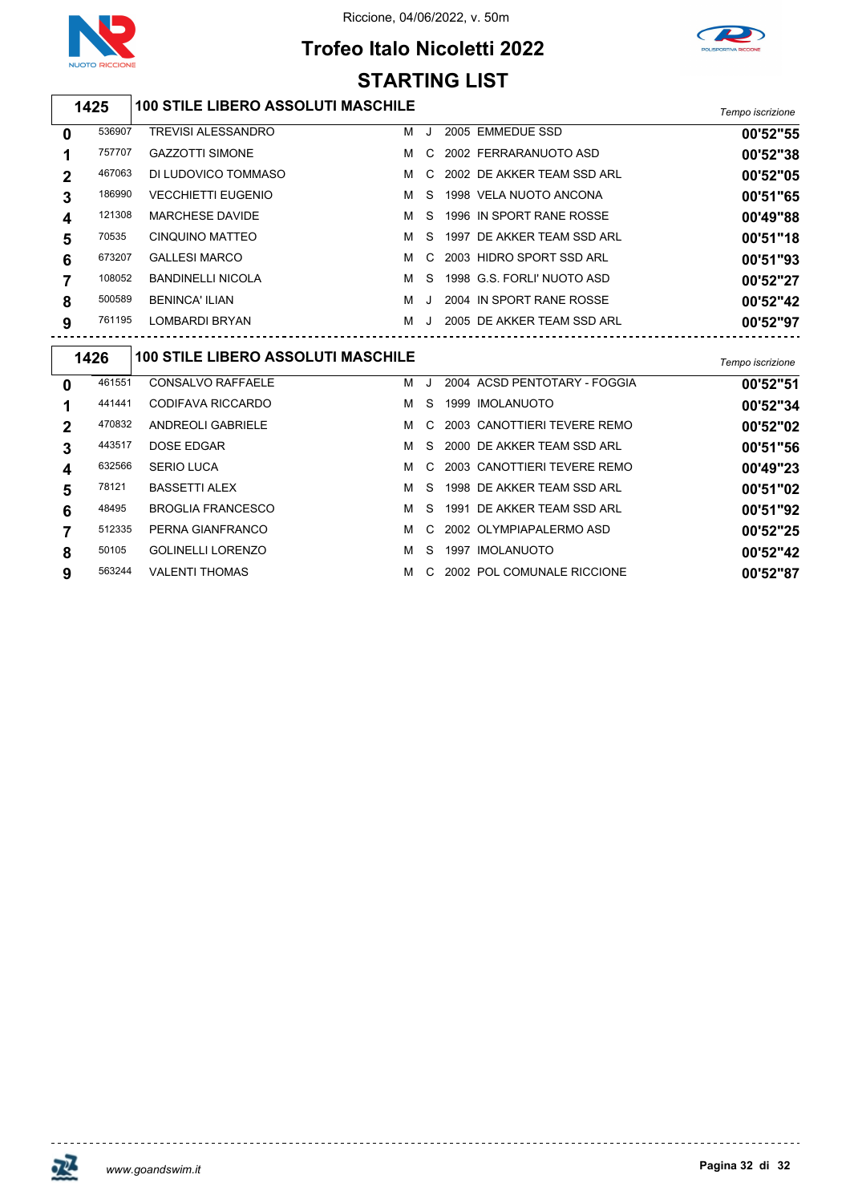

# **Trofeo Italo Nicoletti 2022 STARTING LIST**



## *Tempo iscrizione* **100 STILE LIBERO ASSOLUTI MASCHILE**

| 0           | 536907 | <b>TREVISI ALESSANDRO</b> | м | $\cdot$ | 2005 EMMEDUE SSD             | 00'52"55 |
|-------------|--------|---------------------------|---|---------|------------------------------|----------|
|             | 757707 | <b>GAZZOTTI SIMONE</b>    | м | C.      | 2002 FERRARANUOTO ASD        | 00'52"38 |
| $\mathbf 2$ | 467063 | DI LUDOVICO TOMMASO       | м |         | C 2002 DE AKKER TEAM SSD ARL | 00'52"05 |
| 3           | 186990 | <b>VECCHIETTI EUGENIO</b> | м | S.      | 1998 VELA NUOTO ANCONA       | 00'51"65 |
| 4           | 121308 | <b>MARCHESE DAVIDE</b>    | м | S.      | 1996 IN SPORT RANE ROSSE     | 00'49"88 |
| 5           | 70535  | CINQUINO MATTEO           | м | S.      | 1997 DE AKKER TEAM SSD ARL   | 00'51"18 |
| 6           | 673207 | <b>GALLESI MARCO</b>      | м | C.      | 2003 HIDRO SPORT SSD ARL     | 00'51"93 |
|             | 108052 | <b>BANDINELLI NICOLA</b>  | м | S.      | 1998 G.S. FORLI' NUOTO ASD   | 00'52"27 |
| 8           | 500589 | <b>BENINCA' ILIAN</b>     | м | $\cdot$ | 2004 IN SPORT RANE ROSSE     | 00'52"42 |
| 9           | 761195 | LOMBARDI BRYAN            | м |         | 2005 DE AKKER TEAM SSD ARL   | 00'52"97 |
|             |        |                           |   |         |                              |          |

| 1426             |        | <b>100 STILE LIBERO ASSOLUTI MASCHILE</b> |   |         |  |                               | Tempo iscrizione |  |
|------------------|--------|-------------------------------------------|---|---------|--|-------------------------------|------------------|--|
| $\mathbf 0$      | 461551 | <b>CONSALVO RAFFAELE</b>                  | м | $\cdot$ |  | 2004 ACSD PENTOTARY - FOGGIA  | 00'52"51         |  |
|                  | 441441 | CODIFAVA RICCARDO                         | м | S.      |  | 1999 IMOLANUOTO               | 00'52"34         |  |
| $\mathbf{2}$     | 470832 | ANDREOLI GABRIELE                         | м | C.      |  | 2003 CANOTTIERI TEVERE REMO   | 00'52"02         |  |
| 3                | 443517 | DOSE EDGAR                                | м | S.      |  | 2000 DE AKKER TEAM SSD ARL    | 00'51"56         |  |
| $\boldsymbol{4}$ | 632566 | <b>SERIO LUCA</b>                         | м |         |  | C 2003 CANOTTIERI TEVERE REMO | 00'49"23         |  |
| 5                | 78121  | <b>BASSETTI ALEX</b>                      | м | S.      |  | 1998 DE AKKER TEAM SSD ARL    | 00'51"02         |  |
| 6                | 48495  | <b>BROGLIA FRANCESCO</b>                  | м | S.      |  | 1991 DE AKKER TEAM SSD ARL    | 00'51"92         |  |
| 7                | 512335 | PERNA GIANFRANCO                          | м |         |  | C 2002 OLYMPIAPALERMO ASD     | 00'52"25         |  |
| 8                | 50105  | <b>GOLINELLI LORENZO</b>                  | м | S.      |  | 1997 IMOLANUOTO               | 00'52"42         |  |
| 9                | 563244 | <b>VALENTI THOMAS</b>                     | м |         |  | C 2002 POL COMUNALE RICCIONE  | 00'52"87         |  |



<u> - - - - - - - - - - -</u>